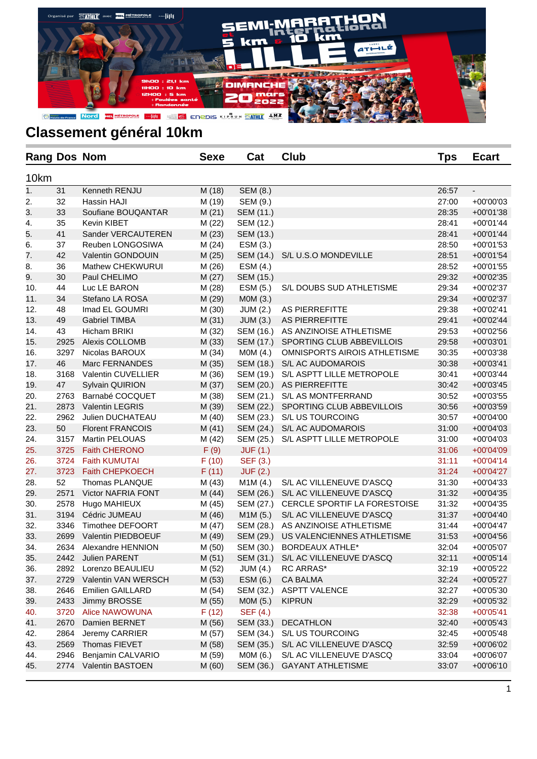

| <b>Rang Dos Nom</b> |      |                         | <b>Sexe</b> | Cat             | Club                         | Tps   | <b>Ecart</b>             |
|---------------------|------|-------------------------|-------------|-----------------|------------------------------|-------|--------------------------|
| 10km                |      |                         |             |                 |                              |       |                          |
| $\overline{1}$ .    | 31   | Kenneth RENJU           | M (18)      | SEM (8.)        |                              | 26:57 | $\overline{\phantom{a}}$ |
| 2.                  | 32   | Hassin HAJI             | M (19)      | SEM (9.)        |                              | 27:00 | +00'00'03                |
| 3.                  | 33   | Soufiane BOUQANTAR      | M(21)       | SEM (11.)       |                              | 28:35 | +00'01'38                |
| 4.                  | 35   | Kevin KIBET             | M(22)       | SEM (12.)       |                              | 28:41 | $+00'01'44$              |
| 5.                  | 41   | Sander VERCAUTEREN      | M(23)       | SEM (13.)       |                              | 28:41 | $+00'01'44$              |
| 6.                  | 37   | Reuben LONGOSIWA        | M(24)       | ESM (3.)        |                              | 28:50 | $+00'01'53$              |
| 7.                  | 42   | Valentin GONDOUIN       | M(25)       | SEM (14.)       | S/L U.S.O MONDEVILLE         | 28:51 | $+00'01'54$              |
| 8.                  | 36   | Mathew CHEKWURUI        | M (26)      | ESM (4.)        |                              | 28:52 | +00'01'55                |
| 9.                  | 30   | Paul CHELIMO            | M(27)       | SEM (15.)       |                              | 29:32 | +00'02'35                |
| 10.                 | 44   | Luc LE BARON            | M (28)      | ESM (5.)        | S/L DOUBS SUD ATHLETISME     | 29:34 | +00'02'37                |
| 11.                 | 34   | Stefano LA ROSA         | M (29)      | M0M (3.)        |                              | 29:34 | +00'02'37                |
| 12.                 | 48   | Imad EL GOUMRI          | M (30)      | <b>JUM (2.)</b> | AS PIERREFITTE               | 29:38 | +00'02'41                |
| 13.                 | 49   | <b>Gabriel TIMBA</b>    | M(31)       | JUM(3.)         | AS PIERREFITTE               | 29:41 | +00'02'44                |
| 14.                 | 43   | Hicham BRIKI            | M (32)      | SEM (16.)       | AS ANZINOISE ATHLETISME      | 29:53 | +00'02'56                |
| 15.                 | 2925 | Alexis COLLOMB          | M (33)      | SEM (17.)       | SPORTING CLUB ABBEVILLOIS    | 29:58 | +00'03'01                |
| 16.                 | 3297 | Nicolas BAROUX          | M (34)      | MOM (4.)        | OMNISPORTS AIROIS ATHLETISME | 30:35 | +00'03'38                |
| 17.                 | 46   | Marc FERNANDES          | M (35)      | SEM (18.)       | S/L AC AUDOMAROIS            | 30:38 | +00'03'41                |
| 18.                 | 3168 | Valentin CUVELLIER      | M (36)      | SEM (19.)       | S/L ASPTT LILLE METROPOLE    | 30:41 | +00'03'44                |
| 19.                 | 47   | <b>Sylvain QUIRION</b>  | M (37)      | SEM (20.)       | AS PIERREFITTE               | 30:42 | $+00'03'45$              |
| 20.                 | 2763 | Barnabé COCQUET         | M (38)      | SEM (21.)       | S/L AS MONTFERRAND           | 30:52 | +00'03'55                |
| 21.                 | 2873 | <b>Valentin LEGRIS</b>  | M (39)      | SEM (22.)       | SPORTING CLUB ABBEVILLOIS    | 30:56 | +00'03'59                |
| 22.                 | 2962 | Julien DUCHATEAU        | M(40)       | SEM (23.)       | S/L US TOURCOING             | 30:57 | +00'04'00                |
| 23.                 | 50   | <b>Florent FRANCOIS</b> | M(41)       | SEM (24.)       | S/L AC AUDOMAROIS            | 31:00 | +00'04'03                |
| 24.                 | 3157 | Martin PELOUAS          | M (42)      | SEM (25.)       | S/L ASPTT LILLE METROPOLE    | 31:00 | $+00'04'03$              |
| 25.                 | 3725 | <b>Faith CHERONO</b>    | F(9)        | <b>JUF (1.)</b> |                              | 31:06 | +00'04'09                |
| 26.                 | 3724 | <b>Faith KUMUTAI</b>    | F(10)       | SEF (3.)        |                              | 31:11 | $+00'04'14$              |
| 27.                 | 3723 | Faith CHEPKOECH         | F(11)       | <b>JUF (2.)</b> |                              | 31:24 | +00'04'27                |
| 28.                 | 52   | Thomas PLANQUE          | M (43)      | M1M(4.)         | S/L AC VILLENEUVE D'ASCQ     | 31:30 | $+00'04'33$              |
| 29.                 | 2571 | Victor NAFRIA FONT      | M(44)       | SEM (26.)       | S/L AC VILLENEUVE D'ASCQ     | 31:32 | +00'04'35                |
| 30.                 | 2578 | Hugo MAHIEUX            | M (45)      | SEM (27.)       | CERCLE SPORTIF LA FORESTOISE | 31:32 | $+00'04'35$              |
| 31.                 | 3194 | Cédric JUMEAU           | M (46)      | M1M (5.)        | S/L AC VILLENEUVE D'ASCQ     | 31:37 | $+00'04'40$              |
| 32.                 | 3346 | Timothee DEFOORT        | M(47)       | SEM (28.)       | AS ANZINOISE ATHLETISME      | 31:44 | $+00'04'47$              |
| 33.                 | 2699 | Valentin PIEDBOEUF      | M (49)      | SEM (29.)       | US VALENCIENNES ATHLETISME   | 31:53 | $+00'04'56$              |
| 34.                 | 2634 | Alexandre HENNION       | M (50)      | SEM (30.)       | <b>BORDEAUX ATHLE*</b>       | 32:04 | +00'05'07                |
| 35.                 | 2442 | Julien PARENT           | M(51)       | SEM (31.)       | S/L AC VILLENEUVE D'ASCQ     | 32:11 | $+00'05'14$              |
| 36.                 | 2892 | Lorenzo BEAULIEU        | M (52)      | <b>JUM (4.)</b> | <b>RC ARRAS*</b>             | 32:19 | +00'05'22                |
| 37.                 | 2729 | Valentin VAN WERSCH     | M (53)      | ESM (6.)        | CA BALMA                     | 32:24 | +00'05'27                |
| 38.                 | 2646 | <b>Emilien GAILLARD</b> | M (54)      | SEM (32.)       | <b>ASPTT VALENCE</b>         | 32:27 | +00'05'30                |
| 39.                 | 2433 | Jimmy BROSSE            | M (55)      | MOM (5.)        | <b>KIPRUN</b>                | 32:29 | +00'05'32                |
| 40.                 | 3720 | Alice NAWOWUNA          | F(12)       | SEF (4.)        |                              | 32:38 | $+00'05'41$              |
| 41.                 | 2670 | Damien BERNET           | M (56)      | SEM (33.)       | <b>DECATHLON</b>             | 32:40 | $+00'05'43$              |
| 42.                 | 2864 | Jeremy CARRIER          | M (57)      | SEM (34.)       | S/L US TOURCOING             | 32:45 | +00'05'48                |
| 43.                 | 2569 | Thomas FIEVET           | M (58)      | SEM (35.)       | S/L AC VILLENEUVE D'ASCQ     | 32:59 | +00'06'02                |
| 44.                 | 2946 | Benjamin CALVARIO       | M (59)      | M0M (6.)        | S/L AC VILLENEUVE D'ASCQ     | 33:04 | +00'06'07                |
| 45.                 | 2774 | Valentin BASTOEN        | M(60)       | SEM (36.)       | <b>GAYANT ATHLETISME</b>     | 33:07 | $+00'06'10$              |
|                     |      |                         |             |                 |                              |       |                          |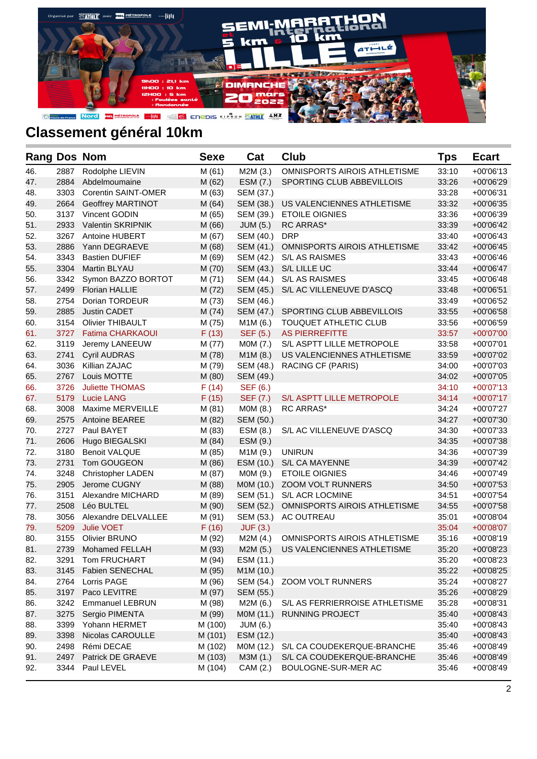

| <b>Rang Dos Nom</b> |      |                          | <b>Sexe</b> | Cat             | <b>Club</b>                         | Tps   | <b>Ecart</b> |
|---------------------|------|--------------------------|-------------|-----------------|-------------------------------------|-------|--------------|
| 46.                 | 2887 | Rodolphe LIEVIN          | M(61)       | M2M (3.)        | OMNISPORTS AIROIS ATHLETISME        | 33:10 | $+00'06'13$  |
| 47.                 | 2884 | Abdelmoumaine            | M (62)      | ESM (7.)        | SPORTING CLUB ABBEVILLOIS           | 33:26 | +00'06'29    |
| 48.                 | 3303 | Corentin SAINT-OMER      | M (63)      | SEM (37.)       |                                     | 33:28 | $+00'06'31$  |
| 49.                 | 2664 | <b>Geoffrey MARTINOT</b> | M(64)       | SEM (38.)       | US VALENCIENNES ATHLETISME          | 33:32 | +00'06'35    |
| 50.                 | 3137 | Vincent GODIN            | M (65)      | SEM (39.)       | <b>ETOILE OIGNIES</b>               | 33:36 | +00'06'39    |
| 51.                 | 2933 | Valentin SKRIPNIK        | M (66)      | JUM (5.)        | RC ARRAS*                           | 33:39 | $+00'06'42$  |
| 52.                 | 3267 | Antoine HUBERT           | M (67)      | SEM (40.)       | <b>DRP</b>                          | 33:40 | $+00'06'43$  |
| 53.                 | 2886 | Yann DEGRAEVE            | M (68)      | SEM (41.)       | OMNISPORTS AIROIS ATHLETISME        | 33:42 | $+00'06'45$  |
| 54.                 | 3343 | <b>Bastien DUFIEF</b>    | M (69)      | SEM (42.)       | S/L AS RAISMES                      | 33:43 | $+00'06'46$  |
| 55.                 | 3304 | Martin BLYAU             | M (70)      | SEM (43.)       | S/L LILLE UC                        | 33:44 | $+00'06'47$  |
| 56.                 | 3342 | Symon BAZZO BORTOT       | M(71)       | SEM (44.)       | S/L AS RAISMES                      | 33:45 | $+00'06'48$  |
| 57.                 | 2499 | <b>Florian HALLIE</b>    | M (72)      | SEM (45.)       | S/L AC VILLENEUVE D'ASCQ            | 33:48 | $+00'06'51$  |
| 58.                 | 2754 | Dorian TORDEUR           | M (73)      | SEM (46.)       |                                     | 33:49 | +00'06'52    |
| 59.                 | 2885 | <b>Justin CADET</b>      | M (74)      | SEM (47.)       | SPORTING CLUB ABBEVILLOIS           | 33:55 | +00'06'58    |
| 60.                 | 3154 | <b>Olivier THIBAULT</b>  | M (75)      | M1M (6.)        | <b>TOUQUET ATHLETIC CLUB</b>        | 33:56 | +00'06'59    |
| 61.                 | 3727 | <b>Fatima CHARKAOUI</b>  | F(13)       | SEF (5.)        | <b>AS PIERREFITTE</b>               | 33:57 | +00'07'00    |
| 62.                 | 3119 | Jeremy LANEEUW           | M (77)      | MOM (7.)        | S/L ASPTT LILLE METROPOLE           | 33:58 | $+00'07'01$  |
| 63.                 | 2741 | <b>Cyril AUDRAS</b>      | M (78)      | M1M (8.)        | US VALENCIENNES ATHLETISME          | 33:59 | +00'07'02    |
| 64.                 | 3036 | Killian ZAJAC            | M (79)      | SEM (48.)       | RACING CF (PARIS)                   | 34:00 | +00'07'03    |
| 65.                 | 2767 | Louis MOTTE              | M (80)      | SEM (49.)       |                                     | 34:02 | +00'07'05    |
| 66.                 | 3726 | <b>Juliette THOMAS</b>   | F(14)       | SEF (6.)        |                                     | 34:10 | $+00'07'13$  |
| 67.                 | 5179 | <b>Lucie LANG</b>        | F(15)       | SEF (7.)        | S/L ASPTT LILLE METROPOLE           | 34:14 | $+00'07'17$  |
| 68.                 | 3008 | Maxime MERVEILLE         | M(81)       | MOM(8.)         | <b>RC ARRAS*</b>                    | 34:24 | +00'07'27    |
| 69.                 | 2575 | <b>Antoine BEAREE</b>    | M (82)      | SEM (50.)       |                                     | 34:27 | +00'07'30    |
| 70.                 | 2727 | Paul BAYET               | M (83)      | ESM (8.)        | S/L AC VILLENEUVE D'ASCQ            | 34:30 | +00'07'33    |
| 71.                 | 2606 | Hugo BIEGALSKI           | M (84)      | ESM (9.)        |                                     | 34:35 | $+00'07'38$  |
| 72.                 | 3180 | <b>Benoit VALQUE</b>     | M (85)      | M1M (9.)        | <b>UNIRUN</b>                       | 34:36 | +00'07'39    |
| 73.                 | 2731 | Tom GOUGEON              | M (86)      | ESM (10.)       | S/L CA MAYENNE                      | 34:39 | $+00'07'42$  |
| 74.                 | 3248 | <b>Christopher LADEN</b> | M (87)      | M0M (9.)        | <b>ETOILE OIGNIES</b>               | 34:46 | +00'07'49    |
| 75.                 | 2905 | Jerome CUGNY             | M (88)      | M0M (10.)       | ZOOM VOLT RUNNERS                   | 34:50 | $+00'07'53$  |
| 76.                 | 3151 | Alexandre MICHARD        | M (89)      | SEM (51.)       | S/L ACR LOCMINE                     | 34:51 | +00'07'54    |
| 77.                 | 2508 | Léo BULTEL               | M (90)      | SEM (52.)       | OMNISPORTS AIROIS ATHLETISME        | 34:55 | +00'07'58    |
| 78.                 | 3056 | Alexandre DELVALLEE      | M (91)      | SEM (53.)       | AC OUTREAU                          | 35:01 | $+00'08'04$  |
| 79.                 | 5209 | <b>Julie VOET</b>        | F(16)       | <b>JUF (3.)</b> |                                     | 35:04 | $+00'08'07$  |
| 80.                 | 3155 | <b>Olivier BRUNO</b>     | M (92)      | M2M (4.)        | <b>OMNISPORTS AIROIS ATHLETISME</b> | 35:16 | $+00'08'19$  |
| 81.                 | 2739 | <b>Mohamed FELLAH</b>    | M (93)      | M2M (5.)        | US VALENCIENNES ATHLETISME          | 35:20 | +00'08'23    |
| 82.                 | 3291 | Tom FRUCHART             | M (94)      | ESM (11.)       |                                     | 35:20 | $+00'08'23$  |
| 83.                 | 3145 | Fabien SENECHAL          | M (95)      | M1M (10.)       |                                     | 35:22 | +00'08'25    |
| 84.                 | 2764 | Lorris PAGE              | M (96)      | SEM (54.)       | ZOOM VOLT RUNNERS                   | 35:24 | +00'08'27    |
| 85.                 | 3197 | Paco LEVITRE             | M (97)      | SEM (55.)       |                                     | 35:26 | +00'08'29    |
| 86.                 | 3242 | <b>Emmanuel LEBRUN</b>   | M (98)      | M2M (6.)        | S/L AS FERRIERROISE ATHLETISME      | 35:28 | +00'08'31    |
| 87.                 | 3275 | Sergio PIMENTA           | M (99)      | M0M (11.)       | RUNNING PROJECT                     | 35:40 | +00'08'43    |
| 88.                 | 3399 | Yohann HERMET            | M (100)     | JUM (6.)        |                                     | 35:40 | +00'08'43    |
| 89.                 | 3398 | Nicolas CAROULLE         | M (101)     | ESM (12.)       |                                     | 35:40 | $+00'08'43$  |
| 90.                 | 2498 | Rémi DECAE               | M (102)     | M0M (12.)       | S/L CA COUDEKERQUE-BRANCHE          | 35:46 | +00'08'49    |
| 91.                 | 2497 | Patrick DE GRAEVE        | M (103)     | M3M (1.)        | S/L CA COUDEKERQUE-BRANCHE          | 35:46 | +00'08'49    |
| 92.                 | 3344 | Paul LEVEL               | M (104)     | CAM (2.)        | BOULOGNE-SUR-MER AC                 | 35:46 | +00'08'49    |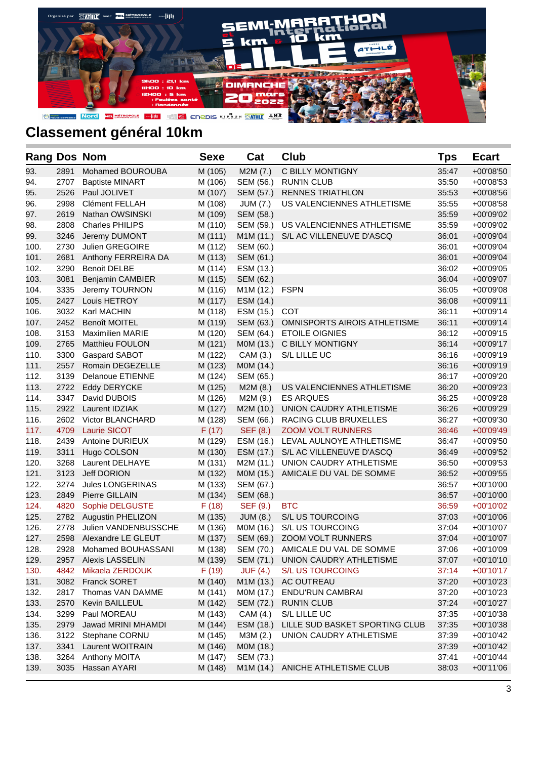

| <b>Rang Dos Nom</b> |      |                         | <b>Sexe</b> | Cat       | <b>Club</b>                       | <b>Tps</b> | <b>Ecart</b> |
|---------------------|------|-------------------------|-------------|-----------|-----------------------------------|------------|--------------|
| 93.                 | 2891 | Mohamed BOUROUBA        | M (105)     | M2M (7.)  | C BILLY MONTIGNY                  | 35:47      | +00'08'50    |
| 94.                 | 2707 | <b>Baptiste MINART</b>  | M (106)     | SEM (56.) | <b>RUN'IN CLUB</b>                | 35:50      | $+00'08'53$  |
| 95.                 | 2526 | Paul JOLIVET            | M (107)     | SEM (57.) | <b>RENNES TRIATHLON</b>           | 35:53      | $+00'08'56$  |
| 96.                 | 2998 | Clément FELLAH          | M (108)     | JUM (7.)  | US VALENCIENNES ATHLETISME        | 35:55      | $+00'08'58$  |
| 97.                 | 2619 | Nathan OWSINSKI         | M (109)     | SEM (58.) |                                   | 35:59      | +00'09'02    |
| 98.                 | 2808 | <b>Charles PHILIPS</b>  | M (110)     | SEM (59.) | US VALENCIENNES ATHLETISME        | 35:59      | +00'09'02    |
| 99.                 | 3246 | Jeremy DUMONT           | M (111)     | M1M (11.) | S/L AC VILLENEUVE D'ASCQ          | 36:01      | +00'09'04    |
| 100.                | 2730 | Julien GREGOIRE         | M (112)     | SEM (60.) |                                   | 36:01      | +00'09'04    |
| 101.                | 2681 | Anthony FERREIRA DA     | M (113)     | SEM (61.) |                                   | 36:01      | +00'09'04    |
| 102.                | 3290 | <b>Benoit DELBE</b>     | M (114)     | ESM (13.) |                                   | 36:02      | +00'09'05    |
| 103.                | 3081 | Benjamin CAMBIER        | M (115)     | SEM (62.) |                                   | 36:04      | +00'09'07    |
| 104.                | 3335 | Jeremy TOURNON          | M (116)     | M1M (12.) | <b>FSPN</b>                       | 36:05      | +00'09'08    |
| 105.                | 2427 | Louis HETROY            | M (117)     | ESM (14.) |                                   | 36:08      | $+00'09'11$  |
| 106.                | 3032 | Karl MACHIN             | M (118)     | ESM (15.) | COT                               | 36:11      | $+00'09'14$  |
| 107.                | 2452 | <b>Benoît MOITEL</b>    | M (119)     | SEM (63.) | OMNISPORTS AIROIS ATHLETISME      | 36:11      | $+00'09'14$  |
| 108.                | 3153 | <b>Maximilien MARIE</b> | M (120)     | SEM (64.) | <b>ETOILE OIGNIES</b>             | 36:12      | $+00'09'15$  |
| 109.                | 2765 | <b>Matthieu FOULON</b>  | M (121)     | M0M (13.) | C BILLY MONTIGNY                  | 36:14      | $+00'09'17$  |
| 110.                | 3300 | Gaspard SABOT           | M (122)     | CAM (3.)  | S/L LILLE UC                      | 36:16      | $+00'09'19$  |
| 111.                | 2557 | Romain DEGEZELLE        | M (123)     | M0M (14.) |                                   | 36:16      | $+00'09'19$  |
| 112.                | 3139 | <b>Delanoue ETIENNE</b> | M (124)     | SEM (65.) |                                   | 36:17      | +00'09'20    |
| 113.                | 2722 | <b>Eddy DERYCKE</b>     | M (125)     | M2M(8.)   | US VALENCIENNES ATHLETISME        | 36:20      | $+00'09'23$  |
| 114.                | 3347 | David DUBOIS            | M (126)     | M2M (9.)  | <b>ES ARQUES</b>                  | 36:25      | +00'09'28    |
| 115.                | 2922 | Laurent IDZIAK          | M (127)     | M2M (10.) | UNION CAUDRY ATHLETISME           | 36:26      | +00'09'29    |
| 116.                | 2602 | Victor BLANCHARD        | M (128)     | SEM (66.) | RACING CLUB BRUXELLES             | 36:27      | +00'09'30    |
| 117.                | 4709 | Laurie SICOT            | F(17)       | SEF (8.)  | <b>ZOOM VOLT RUNNERS</b>          | 36:46      | $+00'09'49$  |
| 118.                | 2439 | Antoine DURIEUX         | M (129)     | ESM (16.) | LEVAL AULNOYE ATHLETISME          | 36:47      | +00'09'50    |
| 119.                | 3311 | Hugo COLSON             | M (130)     | ESM (17.) | S/L AC VILLENEUVE D'ASCQ          | 36:49      | +00'09'52    |
| 120.                | 3268 | <b>Laurent DELHAYE</b>  | M (131)     | M2M (11.) | UNION CAUDRY ATHLETISME           | 36:50      | $+00'09'53$  |
| 121.                | 3123 | Jeff DORION             | M (132)     | M0M (15.) | AMICALE DU VAL DE SOMME           | 36:52      | $+00'09'55$  |
| 122.                | 3274 | Jules LONGERINAS        | M (133)     | SEM (67.) |                                   | 36:57      | $+00'10'00$  |
| 123.                | 2849 | Pierre GILLAIN          | M (134)     | SEM (68.) |                                   | 36:57      | $+00'10'00$  |
| 124.                | 4820 | Sophie DELGUSTE         | F(18)       | SEF (9.)  | <b>BTC</b>                        | 36:59      | $+00'10'02$  |
| 125.                | 2782 | Augustin PHELIZON       | M (135)     | JUM (8.)  | S/L US TOURCOING                  | 37:03      | $+00'10'06$  |
| 126.                | 2778 | Julien VANDENBUSSCHE    | M (136)     | M0M (16.) | S/L US TOURCOING                  | 37:04      | $+00'10'07$  |
| 127.                | 2598 | Alexandre LE GLEUT      | M (137)     | SEM (69.) | ZOOM VOLT RUNNERS                 | 37:04      | $+00'10'07$  |
| 128.                | 2928 | Mohamed BOUHASSANI      | M (138)     |           | SEM (70.) AMICALE DU VAL DE SOMME | 37:06      | +00'10'09    |
| 129.                | 2957 | <b>Alexis LASSELIN</b>  | M (139)     | SEM (71.) | UNION CAUDRY ATHLETISME           | 37:07      | $+00'10'10$  |
| 130.                | 4842 | Mikaela ZERDOUK         | F(19)       | JUF(4.)   | <b>S/L US TOURCOING</b>           | 37:14      | $+00'10'17$  |
| 131.                | 3082 | <b>Franck SORET</b>     | M (140)     | M1M (13.) | AC OUTREAU                        | 37:20      | $+00'10'23$  |
| 132.                | 2817 | Thomas VAN DAMME        | M (141)     | MOM (17.) | ENDU'RUN CAMBRAI                  | 37:20      | +00'10'23    |
| 133.                | 2570 | Kevin BAILLEUL          | M (142)     | SEM (72.) | <b>RUN'IN CLUB</b>                | 37:24      | +00'10'27    |
| 134.                | 3299 | Paul MOREAU             | M (143)     | CAM (4.)  | S/L LILLE UC                      | 37:35      | +00'10'38    |
| 135.                | 2979 | Jawad MRINI MHAMDI      | M (144)     | ESM (18.) | LILLE SUD BASKET SPORTING CLUB    | 37:35      | $+00'10'38$  |
| 136.                | 3122 | Stephane CORNU          | M (145)     | M3M (2.)  | UNION CAUDRY ATHLETISME           | 37:39      | $+00'10'42$  |
| 137.                | 3341 | Laurent WOITRAIN        | M (146)     | M0M (18.) |                                   | 37:39      | +00'10'42    |
| 138.                | 3264 | Anthony MOITA           | M (147)     | SEM (73.) |                                   | 37:41      | +00'10'44    |
| 139.                | 3035 | Hassan AYARI            | M (148)     | M1M (14.) | ANICHE ATHLETISME CLUB            | 38:03      | $+00'11'06$  |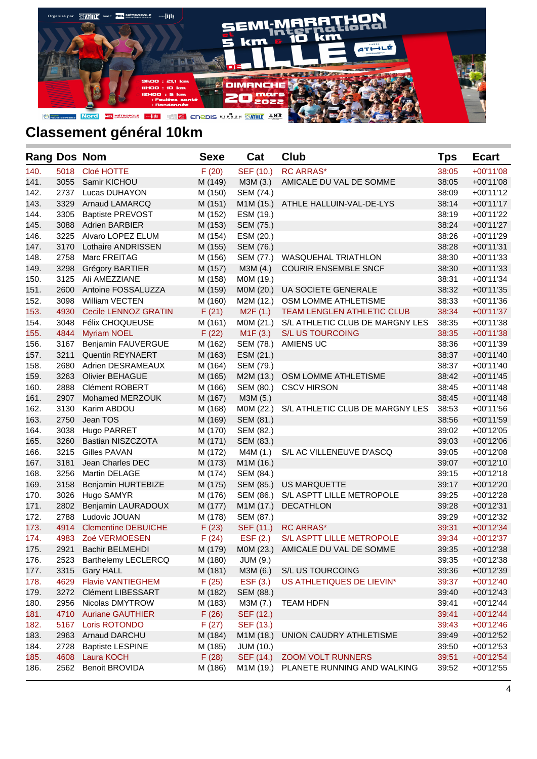

| <b>Rang Dos Nom</b> |      |                            | <b>Sexe</b> | Cat              | Club                            | <b>Tps</b> | <b>Ecart</b> |
|---------------------|------|----------------------------|-------------|------------------|---------------------------------|------------|--------------|
| 140.                | 5018 | Cloé HOTTE                 | F(20)       | SEF (10.)        | <b>RC ARRAS*</b>                | 38:05      | $+00'11'08$  |
| 141.                | 3055 | Samir KICHOU               | M (149)     | M3M (3.)         | AMICALE DU VAL DE SOMME         | 38:05      | $+00'11'08$  |
| 142.                | 2737 | Lucas DUHAYON              | M (150)     | SEM (74.)        |                                 | 38:09      | $+00'11'12$  |
| 143.                | 3329 | Arnaud LAMARCQ             | M (151)     | M1M (15.)        | ATHLE HALLUIN-VAL-DE-LYS        | 38:14      | $+00'11'17$  |
| 144.                | 3305 | <b>Baptiste PREVOST</b>    | M (152)     | ESM (19.)        |                                 | 38:19      | $+00'11'22$  |
| 145.                | 3088 | <b>Adrien BARBIER</b>      | M (153)     | SEM (75.)        |                                 | 38:24      | $+00'11'27$  |
| 146.                | 3225 | Alvaro LOPEZ ELUM          | M (154)     | ESM (20.)        |                                 | 38:26      | $+00'11'29$  |
| 147.                | 3170 | Lothaire ANDRISSEN         | M (155)     | SEM (76.)        |                                 | 38:28      | $+00'11'31$  |
| 148.                | 2758 | Marc FREITAG               | M (156)     | SEM (77.)        | WASQUEHAL TRIATHLON             | 38:30      | $+00'11'33$  |
| 149.                | 3298 | Grégory BARTIER            | M (157)     | M3M(4.)          | <b>COURIR ENSEMBLE SNCF</b>     | 38:30      | $+00'11'33$  |
| 150.                | 3125 | Ali AMEZZIANE              | M (158)     | M0M (19.)        |                                 | 38:31      | $+00'11'34$  |
| 151.                | 2600 | Antoine FOSSALUZZA         | M (159)     | M0M (20.)        | <b>UA SOCIETE GENERALE</b>      | 38:32      | $+00'11'35$  |
| 152.                | 3098 | <b>William VECTEN</b>      | M (160)     | M2M (12.)        | OSM LOMME ATHLETISME            | 38:33      | $+00'11'36$  |
| 153.                | 4930 | Cecile LENNOZ GRATIN       | F(21)       | M2F(1.)          | TEAM LENGLEN ATHLETIC CLUB      | 38:34      | $+00'11'37$  |
| 154.                | 3048 | Félix CHOQUEUSE            | M (161)     | M0M (21.)        | S/L ATHLETIC CLUB DE MARGNY LES | 38:35      | $+00'11'38$  |
| 155.                | 4844 | <b>Myriam NOEL</b>         | F(22)       | M1F(3.)          | <b>S/L US TOURCOING</b>         | 38:35      | $+00'11'38$  |
| 156.                | 3167 | Benjamin FAUVERGUE         | M (162)     | SEM (78.)        | AMIENS UC                       | 38:36      | $+00'11'39$  |
| 157.                | 3211 | <b>Quentin REYNAERT</b>    | M (163)     | ESM (21.)        |                                 | 38:37      | $+00'11'40$  |
| 158.                | 2680 | Adrien DESRAMEAUX          | M (164)     | SEM (79.)        |                                 | 38:37      | $+00'11'40$  |
| 159.                | 3263 | <b>Olivier BEHAGUE</b>     | M (165)     | M2M (13.)        | OSM LOMME ATHLETISME            | 38:42      | $+00'11'45$  |
| 160.                | 2888 | <b>Clément ROBERT</b>      | M (166)     | SEM (80.)        | <b>CSCV HIRSON</b>              | 38:45      | $+00'11'48$  |
| 161.                | 2907 | Mohamed MERZOUK            | M (167)     | M3M (5.)         |                                 | 38:45      | $+00'11'48$  |
| 162.                | 3130 | Karim ABDOU                | M (168)     | M0M (22.)        | S/L ATHLETIC CLUB DE MARGNY LES | 38:53      | $+00'11'56$  |
| 163.                | 2750 | Jean TOS                   | M (169)     | SEM (81.)        |                                 | 38:56      | $+00'11'59$  |
| 164.                | 3038 | Hugo PARRET                | M (170)     | SEM (82.)        |                                 | 39:02      | $+00'12'05$  |
| 165.                | 3260 | Bastian NISZCZOTA          | M (171)     | SEM (83.)        |                                 | 39:03      | $+00'12'06$  |
| 166.                | 3215 | Gilles PAVAN               | M (172)     | M4M (1.)         | S/L AC VILLENEUVE D'ASCQ        | 39:05      | $+00'12'08$  |
| 167.                | 3181 | Jean Charles DEC           | M (173)     | M1M (16.)        |                                 | 39:07      | $+00'12'10$  |
| 168.                | 3256 | Martin DELAGE              | M (174)     | SEM (84.)        |                                 | 39:15      | $+00'12'18$  |
| 169.                | 3158 | Benjamin HURTEBIZE         | M (175)     | SEM (85.)        | US MARQUETTE                    | 39:17      | $+00'12'20$  |
| 170.                | 3026 | Hugo SAMYR                 | M (176)     | SEM (86.)        | S/L ASPTT LILLE METROPOLE       | 39:25      | +00'12'28    |
| 171.                | 2802 | Benjamin LAURADOUX         | M (177)     | M1M (17.)        | <b>DECATHLON</b>                | 39:28      | $+00'12'31$  |
| 172.                | 2788 | Ludovic JOUAN              | M (178)     | SEM (87.)        |                                 | 39:29      | +00'12'32    |
| 173.                | 4914 | <b>Clementine DEBUICHE</b> | F(23)       | SEF (11.)        | <b>RC ARRAS*</b>                | 39:31      | $+00'12'34$  |
| 174.                | 4983 | Zoé VERMOESEN              | F(24)       | EST(2.)          | S/L ASPTT LILLE METROPOLE       | 39:34      | $+00'12'37$  |
| 175.                | 2921 | <b>Bachir BELMEHDI</b>     | M (179)     | MOM (23.)        | AMICALE DU VAL DE SOMME         | 39:35      | +00'12'38    |
| 176.                | 2523 | Barthelemy LECLERCQ        | M (180)     | <b>JUM (9.)</b>  |                                 | 39:35      | +00'12'38    |
| 177.                | 3315 | <b>Gary HALL</b>           | M (181)     | M3M (6.)         | S/L US TOURCOING                | 39:36      | +00'12'39    |
| 178.                | 4629 | <b>Flavie VANTIEGHEM</b>   | F(25)       | EST(3.)          | US ATHLETIQUES DE LIEVIN*       | 39:37      | +00'12'40    |
| 179.                | 3272 | <b>Clément LIBESSART</b>   | M (182)     | SEM (88.)        |                                 | 39:40      | $+00'12'43$  |
| 180.                | 2956 | Nicolas DMYTROW            | M (183)     | M3M (7.)         | <b>TEAM HDFN</b>                | 39:41      | +00'12'44    |
| 181.                | 4710 | <b>Auriane GAUTHIER</b>    | F(26)       | SEF (12.)        |                                 | 39:41      | $+00'12'44$  |
| 182.                | 5167 | Loris ROTONDO              | F(27)       | SEF (13.)        |                                 | 39:43      | $+00'12'46$  |
| 183.                | 2963 | Arnaud DARCHU              | M (184)     | M1M (18.)        | UNION CAUDRY ATHLETISME         | 39:49      | +00'12'52    |
| 184.                | 2728 | <b>Baptiste LESPINE</b>    | M (185)     | <b>JUM (10.)</b> |                                 | 39:50      | +00'12'53    |
| 185.                | 4608 | Laura KOCH                 | F(28)       | SEF (14.)        | <b>ZOOM VOLT RUNNERS</b>        | 39:51      | $+00'12'54$  |
| 186.                | 2562 | <b>Benoit BROVIDA</b>      | M (186)     | M1M (19.)        | PLANETE RUNNING AND WALKING     | 39:52      | +00'12'55    |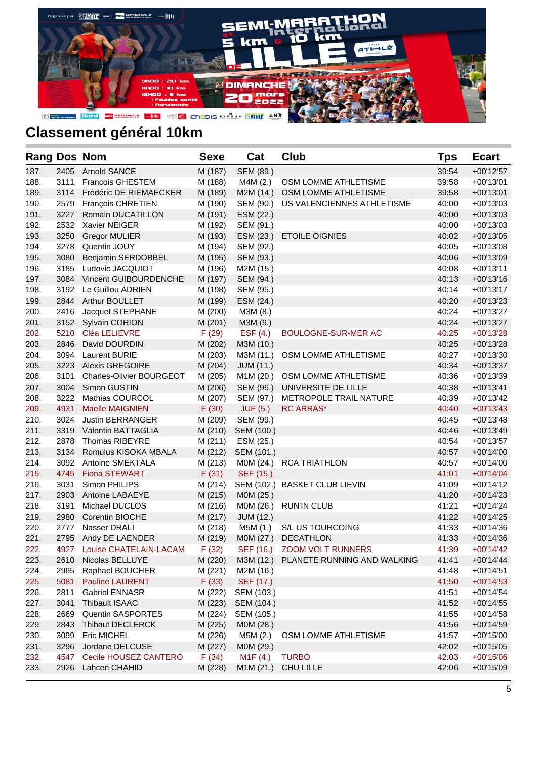

| <b>Rang Dos Nom</b> |      |                                 | <b>Sexe</b> | Cat                   | <b>Club</b>                           | Tps   | <b>Ecart</b> |
|---------------------|------|---------------------------------|-------------|-----------------------|---------------------------------------|-------|--------------|
| 187.                | 2405 | <b>Arnold SANCE</b>             | M (187)     | SEM (89.)             |                                       | 39:54 | $+00'12'57$  |
| 188.                | 3111 | <b>Francois GHESTEM</b>         | M (188)     | M4M (2.)              | OSM LOMME ATHLETISME                  | 39:58 | $+00'13'01$  |
| 189.                | 3114 | Frédéric DE RIEMAECKER          | M (189)     | M2M (14.)             | OSM LOMME ATHLETISME                  | 39:58 | $+00'13'01$  |
| 190.                | 2579 | François CHRETIEN               | M (190)     | SEM (90.)             | US VALENCIENNES ATHLETISME            | 40:00 | $+00'13'03$  |
| 191.                | 3227 | Romain DUCATILLON               | M (191)     | ESM (22.)             |                                       | 40:00 | $+00'13'03$  |
| 192.                | 2532 | Xavier NEIGER                   | M (192)     | SEM (91.)             |                                       | 40:00 | $+00'13'03$  |
| 193.                | 3250 | <b>Gregor MULIER</b>            | M (193)     | ESM (23.)             | <b>ETOILE OIGNIES</b>                 | 40:02 | $+00'13'05$  |
| 194.                | 3278 | Quentin JOUY                    | M (194)     | SEM (92.)             |                                       | 40:05 | $+00'13'08$  |
| 195.                | 3080 | Benjamin SERDOBBEL              | M (195)     | SEM (93.)             |                                       | 40:06 | $+00'13'09$  |
| 196.                | 3185 | Ludovic JACQUIOT                | M (196)     | M2M (15.)             |                                       | 40:08 | $+00'13'11$  |
| 197.                | 3084 | Vincent GUIBOURDENCHE           | M (197)     | SEM (94.)             |                                       | 40:13 | $+00'13'16$  |
| 198.                | 3192 | Le Guillou ADRIEN               | M (198)     | SEM (95.)             |                                       | 40:14 | $+00'13'17$  |
| 199.                | 2844 | Arthur BOULLET                  | M (199)     | ESM (24.)             |                                       | 40:20 | $+00'13'23$  |
| 200.                | 2416 | Jacquet STEPHANE                | M (200)     | M3M (8.)              |                                       | 40:24 | $+00'13'27$  |
| 201.                | 3152 | <b>Sylvain CORION</b>           | M (201)     | M3M (9.)              |                                       | 40:24 | $+00'13'27$  |
| 202.                | 5210 | Cléa LELIEVRE                   | F(29)       | ESF $(4.)$            | <b>BOULOGNE-SUR-MER AC</b>            | 40:25 | $+00'13'28$  |
| 203.                | 2846 | David DOURDIN                   | M (202)     | M3M (10.)             |                                       | 40:25 | $+00'13'28$  |
| 204.                | 3094 | <b>Laurent BURIE</b>            | M (203)     | M3M (11.)             | OSM LOMME ATHLETISME                  | 40:27 | $+00'13'30$  |
| 205.                | 3223 | <b>Alexis GREGOIRE</b>          | M (204)     | <b>JUM (11.)</b>      |                                       | 40:34 | $+00'13'37$  |
| 206.                | 3101 | <b>Charles-Olivier BOURGEOT</b> | M (205)     | M1M (20.)             | OSM LOMME ATHLETISME                  | 40:36 | $+00'13'39$  |
| 207.                | 3004 | Simon GUSTIN                    | M (206)     | SEM (96.)             | UNIVERSITE DE LILLE                   | 40:38 | $+00'13'41$  |
| 208.                | 3222 | Mathias COURCOL                 | M (207)     | SEM (97.)             | METROPOLE TRAIL NATURE                | 40:39 | $+00'13'42$  |
| 209.                | 4931 | <b>Maelle MAIGNIEN</b>          | F(30)       | <b>JUF (5.)</b>       | <b>RC ARRAS*</b>                      | 40:40 | $+00'13'43$  |
| 210.                | 3024 | <b>Justin BERRANGER</b>         | M (209)     | SEM (99.)             |                                       | 40:45 | $+00'13'48$  |
| 211.                | 3319 | Valentin BATTAGLIA              | M (210)     | SEM (100.)            |                                       | 40:46 | $+00'13'49$  |
| 212.                | 2878 | Thomas RIBEYRE                  | M(211)      | ESM (25.)             |                                       | 40:54 | $+00'13'57$  |
| 213.                | 3134 | Romulus KISOKA MBALA            | M (212)     | SEM (101.)            |                                       | 40:57 | $+00'14'00$  |
| 214.                | 3092 | Antoine SMEKTALA                | M (213)     | M0M (24.)             | <b>RCA TRIATHLON</b>                  | 40:57 | $+00'14'00$  |
| 215.                | 4745 | <b>Fiona STEWART</b>            | F(31)       | SEF (15.)             |                                       | 41:01 | $+00'14'04$  |
| 216.                | 3031 | Simon PHILIPS                   | M (214)     |                       | SEM (102.) BASKET CLUB LIEVIN         | 41:09 | $+00'14'12$  |
| 217.                | 2903 | Antoine LABAEYE                 | M (215)     | M0M (25.)             |                                       | 41:20 | $+00'14'23$  |
| 218.                | 3191 | Michael DUCLOS                  | M (216)     | M0M (26.)             | <b>RUN'IN CLUB</b>                    | 41:21 | $+00'14'24$  |
| 219.                | 2980 | <b>Corentin BIOCHE</b>          | M (217)     | <b>JUM (12.)</b>      |                                       | 41:22 | $+00'14'25$  |
| 220.                | 2777 | Nasser DRALI                    | M (218)     | M5M (1.)              | S/L US TOURCOING                      | 41:33 | $+00'14'36$  |
| 221.                | 2795 | Andy DE LAENDER                 | M (219)     | M0M (27.)             | <b>DECATHLON</b>                      | 41:33 | $+00'14'36$  |
| 222.                | 4927 | Louise CHATELAIN-LACAM          | F(32)       | SEF (16.)             | <b>ZOOM VOLT RUNNERS</b>              | 41:39 | $+00'14'42$  |
| 223.                | 2610 | Nicolas BELLUYE                 | M (220)     |                       | M3M (12.) PLANETE RUNNING AND WALKING | 41:41 | $+00'14'44$  |
| 224.                | 2965 | Raphael BOUCHER                 | M (221)     | M2M (16.)             |                                       | 41:48 | $+00'14'51$  |
| 225.                | 5081 | <b>Pauline LAURENT</b>          | F(33)       | SEF (17.)             |                                       | 41:50 | $+00'14'53$  |
| 226.                | 2811 | <b>Gabriel ENNASR</b>           | M (222)     | SEM (103.)            |                                       | 41:51 | $+00'14'54$  |
| 227.                | 3041 | Thibault ISAAC                  | M (223)     | SEM (104.)            |                                       | 41:52 | $+00'14'55$  |
| 228.                | 2669 | Quentin SASPORTES               | M (224)     | SEM (105.)            |                                       | 41:55 | +00'14'58    |
| 229.                | 2843 | <b>Thibaut DECLERCK</b>         | M (225)     | M0M (28.)             |                                       | 41:56 | +00'14'59    |
| 230.                | 3099 | <b>Eric MICHEL</b>              | M (226)     | M5M (2.)              | OSM LOMME ATHLETISME                  | 41:57 | +00'15'00    |
| 231.                | 3296 | Jordane DELCUSE                 | M (227)     | M0M (29.)             |                                       | 42:02 | $+00'15'05$  |
| 232.                | 4547 | Cecile HOUSEZ CANTERO           | F(34)       | M <sub>1</sub> F (4.) | <b>TURBO</b>                          | 42:03 | $+00'15'06$  |
| 233.                | 2926 | Lahcen CHAHID                   | M (228)     | M1M (21.)             | CHU LILLE                             | 42:06 | +00'15'09    |
|                     |      |                                 |             |                       |                                       |       |              |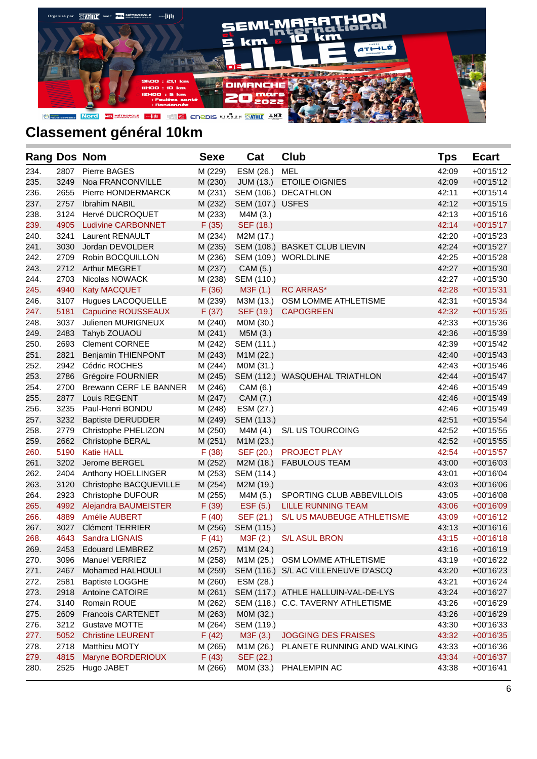

| <b>Rang Dos Nom</b> |      |                           | <b>Sexe</b> | Cat              | Club                                | Tps   | <b>Ecart</b> |
|---------------------|------|---------------------------|-------------|------------------|-------------------------------------|-------|--------------|
| 234.                | 2807 | Pierre BAGES              | M (229)     | ESM (26.)        | <b>MEL</b>                          | 42:09 | $+00'15'12$  |
| 235.                | 3249 | Noa FRANCONVILLE          | M (230)     | JUM (13.)        | <b>ETOILE OIGNIES</b>               | 42:09 | $+00'15'12$  |
| 236.                | 2655 | Pierre HONDERMARCK        | M (231)     |                  | SEM (106.) DECATHLON                | 42:11 | $+00'15'14$  |
| 237.                | 2757 | <b>Ibrahim NABIL</b>      | M (232)     | SEM (107.) USFES |                                     | 42:12 | $+00'15'15$  |
| 238.                | 3124 | Hervé DUCROQUET           | M (233)     | M4M (3.)         |                                     | 42:13 | $+00'15'16$  |
| 239.                | 4905 | <b>Ludivine CARBONNET</b> | F(35)       | SEF (18.)        |                                     | 42:14 | $+00'15'17$  |
| 240.                | 3241 | <b>Laurent RENAULT</b>    | M (234)     | M2M (17.)        |                                     | 42:20 | $+00'15'23$  |
| 241.                | 3030 | Jordan DEVOLDER           | M (235)     |                  | SEM (108.) BASKET CLUB LIEVIN       | 42:24 | $+00'15'27$  |
| 242.                | 2709 | Robin BOCQUILLON          | M (236)     |                  | SEM (109.) WORLDLINE                | 42:25 | $+00'15'28$  |
| 243.                | 2712 | <b>Arthur MEGRET</b>      | M (237)     | CAM (5.)         |                                     | 42:27 | $+00'15'30$  |
| 244.                | 2703 | Nicolas NOWACK            | M (238)     | SEM (110.)       |                                     | 42:27 | $+00'15'30$  |
| 245.                | 4940 | <b>Katy MACQUET</b>       | F(36)       | M3F (1.)         | <b>RC ARRAS*</b>                    | 42:28 | $+00'15'31$  |
| 246.                | 3107 | Hugues LACOQUELLE         | M (239)     | M3M (13.)        | OSM LOMME ATHLETISME                | 42:31 | $+00'15'34$  |
| 247.                | 5181 | Capucine ROUSSEAUX        | F(37)       | SEF (19.)        | <b>CAPOGREEN</b>                    | 42:32 | $+00'15'35$  |
| 248.                | 3037 | Julienen MURIGNEUX        | M (240)     | M0M (30.)        |                                     | 42:33 | $+00'15'36$  |
| 249.                | 2483 | Tahyb ZOUAOU              | M (241)     | M5M (3.)         |                                     | 42:36 | $+00'15'39$  |
| 250.                | 2693 | <b>Clement CORNEE</b>     | M (242)     | SEM (111.)       |                                     | 42:39 | $+00'15'42$  |
| 251.                | 2821 | <b>Benjamin THIENPONT</b> | M (243)     | M1M (22.)        |                                     | 42:40 | $+00'15'43$  |
| 252.                | 2942 | Cédric ROCHES             | M (244)     | M0M (31.)        |                                     | 42:43 | $+00'15'46$  |
| 253.                | 2786 | Grégoire FOURNIER         | M (245)     |                  | SEM (112.) WASQUEHAL TRIATHLON      | 42:44 | $+00'15'47$  |
| 254.                | 2700 | Brewann CERF LE BANNER    | M (246)     | CAM (6.)         |                                     | 42:46 | $+00'15'49$  |
| 255.                | 2877 | Louis REGENT              | M (247)     | CAM (7.)         |                                     | 42:46 | $+00'15'49$  |
| 256.                | 3235 | Paul-Henri BONDU          | M (248)     | ESM (27.)        |                                     | 42:46 | $+00'15'49$  |
| 257.                | 3232 | <b>Baptiste DERUDDER</b>  | M (249)     | SEM (113.)       |                                     | 42:51 | $+00'15'54$  |
| 258.                | 2779 | Christophe PHELIZON       | M (250)     | M4M (4.)         | S/L US TOURCOING                    | 42:52 | $+00'15'55$  |
| 259.                | 2662 | Christophe BERAL          | M (251)     | M1M (23.)        |                                     | 42:52 | $+00'15'55$  |
| 260.                | 5190 | <b>Katie HALL</b>         | F(38)       | SEF (20.)        | <b>PROJECT PLAY</b>                 | 42:54 | $+00'15'57$  |
| 261.                | 3202 | Jerome BERGEL             | M (252)     | M2M (18.)        | <b>FABULOUS TEAM</b>                | 43:00 | $+00'16'03$  |
| 262.                | 2404 | Anthony HOELLINGER        | M (253)     | SEM (114.)       |                                     | 43:01 | $+00'16'04$  |
| 263.                | 3120 | Christophe BACQUEVILLE    | M (254)     | M2M (19.)        |                                     | 43:03 | $+00'16'06$  |
| 264.                | 2923 | Christophe DUFOUR         | M (255)     | M4M (5.)         | SPORTING CLUB ABBEVILLOIS           | 43:05 | $+00'16'08$  |
| 265.                | 4992 | Alejandra BAUMEISTER      | F(39)       | EST(5.)          | <b>LILLE RUNNING TEAM</b>           | 43:06 | $+00'16'09$  |
| 266.                | 4889 | Amélie AUBERT             | F(40)       | SEF (21.)        | S/L US MAUBEUGE ATHLETISME          | 43:09 | $+00'16'12$  |
| 267.                | 3027 | <b>Clément TERRIER</b>    | M (256)     | SEM (115.)       |                                     | 43:13 | $+00'16'16$  |
| 268.                | 4643 | Sandra LIGNAIS            | F(41)       | M3F (2.)         | <b>S/L ASUL BRON</b>                | 43:15 | $+00'16'18$  |
| 269.                | 2453 | <b>Edouard LEMBREZ</b>    | M (257)     | M1M (24.)        |                                     | 43:16 | +00'16'19    |
| 270.                | 3096 | Manuel VERRIEZ            | M (258)     |                  | M1M (25.) OSM LOMME ATHLETISME      | 43:19 | +00'16'22    |
| 271.                | 2467 | Mohamed HALHOULI          | M (259)     |                  | SEM (116.) S/L AC VILLENEUVE D'ASCQ | 43:20 | +00'16'23    |
| 272.                | 2581 | <b>Baptiste LOGGHE</b>    | M (260)     | ESM (28.)        |                                     | 43:21 | +00'16'24    |
| 273.                | 2918 | Antoine CATOIRE           | M (261)     |                  | SEM (117.) ATHLE HALLUIN-VAL-DE-LYS | 43:24 | $+00'16'27$  |
| 274.                | 3140 | Romain ROUE               | M (262)     |                  | SEM (118.) C.C. TAVERNY ATHLETISME  | 43:26 | $+00'16'29$  |
| 275.                | 2609 | Francois CARTENET         | M (263)     | M0M (32.)        |                                     | 43:26 | $+00'16'29$  |
| 276.                | 3212 | <b>Gustave MOTTE</b>      | M (264)     | SEM (119.)       |                                     | 43:30 | $+00'16'33$  |
| 277.                | 5052 | <b>Christine LEURENT</b>  | F(42)       | M3F (3.)         | <b>JOGGING DES FRAISES</b>          | 43:32 | $+00'16'35$  |
| 278.                | 2718 | Matthieu MOTY             | M (265)     | M1M (26.)        | PLANETE RUNNING AND WALKING         | 43:33 | +00'16'36    |
| 279.                | 4815 | Maryne BORDERIOUX         | F(43)       | SEF (22.)        |                                     | 43:34 | $+00'16'37$  |
| 280.                | 2525 | Hugo JABET                | M (266)     | M0M (33.)        | PHALEMPIN AC                        | 43:38 | $+00'16'41$  |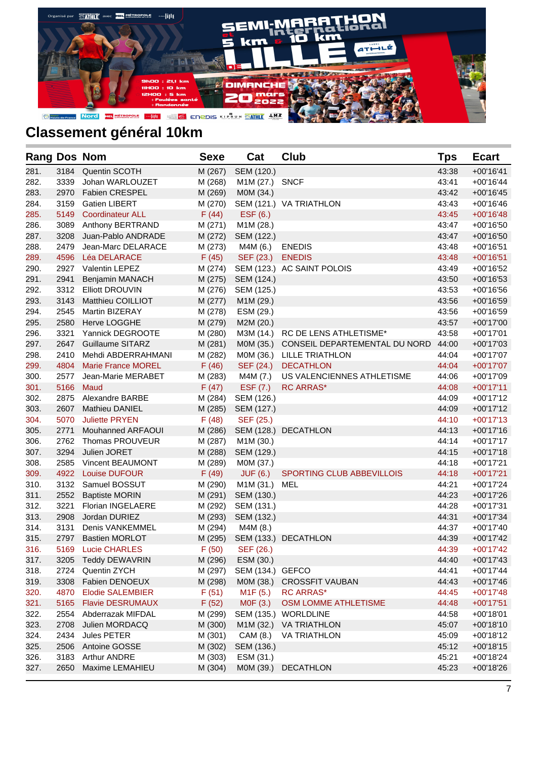

| <b>Rang Dos Nom</b> |      |                           | <b>Sexe</b> | Cat                   | <b>Club</b>                   | <b>Tps</b> | <b>Ecart</b> |
|---------------------|------|---------------------------|-------------|-----------------------|-------------------------------|------------|--------------|
| 281.                | 3184 | Quentin SCOTH             | M (267)     | SEM (120.)            |                               | 43:38      | $+00'16'41$  |
| 282.                | 3339 | Johan WARLOUZET           | M (268)     | M1M (27.) SNCF        |                               | 43:41      | $+00'16'44$  |
| 283.                | 2970 | <b>Fabien CRESPEL</b>     | M (269)     | M0M (34.)             |                               | 43:42      | $+00'16'45$  |
| 284.                | 3159 | <b>Gatien LIBERT</b>      | M (270)     |                       | SEM (121.) VA TRIATHLON       | 43:43      | $+00'16'46$  |
| 285.                | 5149 | <b>Coordinateur ALL</b>   | F(44)       | ESF (6.)              |                               | 43:45      | $+00'16'48$  |
| 286.                | 3089 | Anthony BERTRAND          | M (271)     | M1M (28.)             |                               | 43:47      | $+00'16'50$  |
| 287.                | 3208 | Juan-Pablo ANDRADE        | M (272)     | SEM (122.)            |                               | 43:47      | $+00'16'50$  |
| 288.                | 2479 | Jean-Marc DELARACE        | M (273)     | M4M (6.)              | <b>ENEDIS</b>                 | 43:48      | $+00'16'51$  |
| 289.                | 4596 | <b>Léa DELARACE</b>       | F(45)       | SEF (23.)             | <b>ENEDIS</b>                 | 43:48      | $+00'16'51$  |
| 290.                | 2927 | <b>Valentin LEPEZ</b>     | M (274)     |                       | SEM (123.) AC SAINT POLOIS    | 43:49      | $+00'16'52$  |
| 291.                | 2941 | Benjamin MANACH           | M (275)     | SEM (124.)            |                               | 43:50      | $+00'16'53$  |
| 292.                | 3312 | <b>Elliott DROUVIN</b>    | M (276)     | SEM (125.)            |                               | 43:53      | $+00'16'56$  |
| 293.                | 3143 | Matthieu COILLIOT         | M (277)     | M1M (29.)             |                               | 43:56      | $+00'16'59$  |
| 294.                | 2545 | <b>Martin BIZERAY</b>     | M (278)     | ESM (29.)             |                               | 43:56      | $+00'16'59$  |
| 295.                | 2580 | <b>Herve LOGGHE</b>       | M (279)     | M2M (20.)             |                               | 43:57      | $+00'17'00$  |
| 296.                | 3321 | Yannick DEGROOTE          | M (280)     | M3M (14.)             | RC DE LENS ATHLETISME*        | 43:58      | $+00'17'01$  |
| 297.                | 2647 | <b>Guillaume SITARZ</b>   | M (281)     | MOM (35.)             | CONSEIL DEPARTEMENTAL DU NORD | 44:00      | $+00'17'03$  |
| 298.                | 2410 | Mehdi ABDERRAHMANI        | M (282)     | M0M (36.)             | <b>LILLE TRIATHLON</b>        | 44:04      | $+00'17'07$  |
| 299.                | 4804 | <b>Marie France MOREL</b> | F(46)       | SEF (24.)             | <b>DECATHLON</b>              | 44:04      | $+00'17'07$  |
| 300.                | 2577 | Jean-Marie MERABET        | M (283)     | M4M (7.)              | US VALENCIENNES ATHLETISME    | 44:06      | $+00'17'09$  |
| 301.                | 5166 | Maud                      | F(47)       | EST(7.)               | <b>RC ARRAS*</b>              | 44:08      | $+00'17'11$  |
| 302.                | 2875 | Alexandre BARBE           | M (284)     | SEM (126.)            |                               | 44:09      | $+00'17'12$  |
| 303.                | 2607 | <b>Mathieu DANIEL</b>     | M (285)     | SEM (127.)            |                               | 44:09      | $+00'17'12$  |
| 304.                | 5070 | <b>Juliette PRYEN</b>     | F(48)       | SEF (25.)             |                               | 44:10      | $+00'17'13$  |
| 305.                | 2771 | Mouhanned ARFAOUI         | M (286)     |                       | SEM (128.) DECATHLON          | 44:13      | $+00'17'16$  |
| 306.                | 2762 | Thomas PROUVEUR           | M (287)     | M1M (30.)             |                               | 44:14      | $+00'17'17$  |
| 307.                | 3294 | Julien JORET              | M (288)     | SEM (129.)            |                               | 44:15      | $+00'17'18$  |
| 308.                | 2585 | <b>Vincent BEAUMONT</b>   | M (289)     | M0M (37.)             |                               | 44:18      | $+00'17'21$  |
| 309.                | 4922 | <b>Louise DUFOUR</b>      | F(49)       | <b>JUF (6.)</b>       | SPORTING CLUB ABBEVILLOIS     | 44:18      | $+00'17'21$  |
| 310.                | 3132 | Samuel BOSSUT             | M (290)     | M1M (31.)             | MEL                           | 44:21      | $+00'17'24$  |
| 311.                | 2552 | <b>Baptiste MORIN</b>     | M (291)     | SEM (130.)            |                               | 44:23      | $+00'17'26$  |
| 312.                | 3221 | <b>Florian INGELAERE</b>  | M (292)     | SEM (131.)            |                               | 44:28      | $+00'17'31$  |
| 313.                | 2908 | Jordan DURIEZ             | M (293)     | SEM (132.)            |                               | 44:31      | $+00'17'34$  |
| 314.                | 3131 | Denis VANKEMMEL           | M (294)     | M4M (8.)              |                               | 44:37      | $+00'17'40$  |
| 315.                | 2797 | <b>Bastien MORLOT</b>     | M (295)     |                       | SEM (133.) DECATHLON          | 44:39      | +00'17'42    |
| 316.                | 5169 | <b>Lucie CHARLES</b>      | F(50)       | SEF (26.)             |                               | 44:39      | $+00'17'42$  |
| 317.                | 3205 | <b>Teddy DEWAVRIN</b>     | M (296)     | ESM (30.)             |                               | 44:40      | $+00'17'43$  |
| 318.                | 2724 | Quentin ZYCH              | M (297)     | SEM (134.) GEFCO      |                               | 44:41      | $+00'17'44$  |
| 319.                | 3308 | Fabien DENOEUX            | M (298)     | MOM (38.)             | <b>CROSSFIT VAUBAN</b>        | 44:43      | $+00'17'46$  |
| 320.                | 4870 | <b>Elodie SALEMBIER</b>   | F(51)       | M <sub>1</sub> F (5.) | <b>RC ARRAS*</b>              | 44:45      | $+00'17'48$  |
| 321.                | 5165 | <b>Flavie DESRUMAUX</b>   | F(52)       | M0F (3.)              | OSM LOMME ATHLETISME          | 44:48      | $+00'17'51$  |
| 322.                | 2554 | Abderrazak MIFDAL         | M (299)     | SEM (135.)            | <b>WORLDLINE</b>              | 44:58      | $+00'18'01$  |
| 323.                | 2708 | Julien MORDACQ            | M (300)     | M1M (32.)             | <b>VA TRIATHLON</b>           | 45:07      | $+00'18'10$  |
| 324.                | 2434 | Jules PETER               | M (301)     | CAM (8.)              | <b>VA TRIATHLON</b>           | 45:09      | $+00'18'12$  |
| 325.                | 2506 | Antoine GOSSE             | M (302)     | SEM (136.)            |                               | 45:12      | $+00'18'15$  |
| 326.                | 3183 | <b>Arthur ANDRE</b>       | M (303)     | ESM (31.)             |                               | 45:21      | +00'18'24    |
| 327.                | 2650 | Maxime LEMAHIEU           | M (304)     | M0M (39.)             | DECATHLON                     | 45:23      | +00'18'26    |
|                     |      |                           |             |                       |                               |            |              |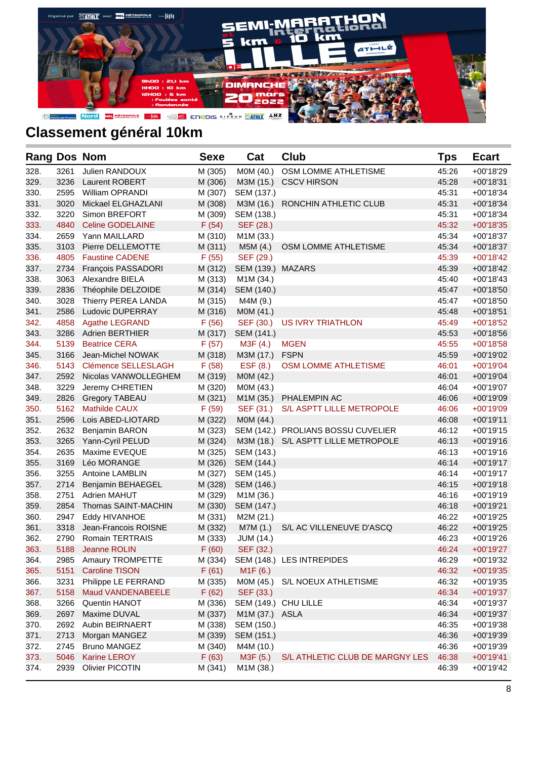

| <b>Rang Dos Nom</b> |      |                         | <b>Sexe</b> | Cat                    | Club                                | Tps   | <b>Ecart</b> |
|---------------------|------|-------------------------|-------------|------------------------|-------------------------------------|-------|--------------|
| 328.                | 3261 | Julien RANDOUX          | M (305)     | M0M (40.)              | OSM LOMME ATHLETISME                | 45:26 | +00'18'29    |
| 329.                | 3236 | Laurent ROBERT          | M (306)     | M3M (15.)              | <b>CSCV HIRSON</b>                  | 45:28 | $+00'18'31$  |
| 330.                | 2595 | <b>William OPRANDI</b>  | M (307)     | SEM (137.)             |                                     | 45:31 | $+00'18'34$  |
| 331.                | 3020 | Mickael ELGHAZLANI      | M (308)     | M3M (16.)              | RONCHIN ATHLETIC CLUB               | 45:31 | $+00'18'34$  |
| 332.                | 3220 | Simon BREFORT           | M (309)     | SEM (138.)             |                                     | 45:31 | $+00'18'34$  |
| 333.                | 4840 | <b>Celine GODELAINE</b> | F(54)       | SEF (28.)              |                                     | 45:32 | $+00'18'35$  |
| 334.                | 2659 | Yann MAILLARD           | M (310)     | M <sub>1</sub> M (33.) |                                     | 45:34 | $+00'18'37$  |
| 335.                | 3103 | Pierre DELLEMOTTE       | M (311)     | M5M(4.)                | OSM LOMME ATHLETISME                | 45:34 | $+00'18'37$  |
| 336.                | 4805 | <b>Faustine CADENE</b>  | F(55)       | SEF (29.)              |                                     | 45:39 | $+00'18'42$  |
| 337.                | 2734 | François PASSADORI      | M (312)     | SEM (139.) MAZARS      |                                     | 45:39 | $+00'18'42$  |
| 338.                | 3063 | Alexandre BIELA         | M (313)     | M1M (34.)              |                                     | 45:40 | $+00'18'43$  |
| 339.                | 2836 | Théophile DELZOIDE      | M (314)     | SEM (140.)             |                                     | 45:47 | $+00'18'50$  |
| 340.                | 3028 | Thierry PEREA LANDA     | M (315)     | M4M (9.)               |                                     | 45:47 | $+00'18'50$  |
| 341.                | 2586 | Ludovic DUPERRAY        | M (316)     | M0M (41.)              |                                     | 45:48 | $+00'18'51$  |
| 342.                | 4858 | <b>Agathe LEGRAND</b>   | F(56)       | SEF (30.)              | <b>US IVRY TRIATHLON</b>            | 45:49 | $+00'18'52$  |
| 343.                | 3286 | <b>Adrien BERTHIER</b>  | M (317)     | SEM (141.)             |                                     | 45:53 | $+00'18'56$  |
| 344.                | 5139 | <b>Beatrice CERA</b>    | F(57)       | M3F (4.)               | <b>MGEN</b>                         | 45:55 | $+00'18'58$  |
| 345.                | 3166 | Jean-Michel NOWAK       | M (318)     | M3M (17.)              | <b>FSPN</b>                         | 45:59 | $+00'19'02$  |
| 346.                | 5143 | Clémence SELLESLAGH     | F(58)       | ESF (8.)               | OSM LOMME ATHLETISME                | 46:01 | $+00'19'04$  |
| 347.                | 2592 | Nicolas VANWOLLEGHEM    | M (319)     | M0M (42.)              |                                     | 46:01 | $+00'19'04$  |
| 348.                | 3229 | Jeremy CHRETIEN         | M (320)     | M0M (43.)              |                                     | 46:04 | $+00'19'07$  |
| 349.                | 2826 | <b>Gregory TABEAU</b>   | M (321)     | M1M (35.)              | PHALEMPIN AC                        | 46:06 | $+00'19'09$  |
| 350.                | 5162 | <b>Mathilde CAUX</b>    | F(59)       | SEF (31.)              | S/L ASPTT LILLE METROPOLE           | 46:06 | $+00'19'09$  |
| 351.                | 2596 | Lois ABED-LIOTARD       | M (322)     | M0M (44.)              |                                     | 46:08 | $+00'19'11$  |
| 352.                | 2632 | <b>Benjamin BARON</b>   | M (323)     |                        | SEM (142.) PROLIANS BOSSU CUVELIER  | 46:12 | $+00'19'15$  |
| 353.                | 3265 | Yann-Cyril PELUD        | M (324)     |                        | M3M (18.) S/L ASPTT LILLE METROPOLE | 46:13 | $+00'19'16$  |
| 354.                | 2635 | Maxime EVEQUE           | M (325)     | SEM (143.)             |                                     | 46:13 | $+00'19'16$  |
| 355.                | 3169 | Léo MORANGE             | M (326)     | SEM (144.)             |                                     | 46:14 | $+00'19'17$  |
| 356.                | 3255 | <b>Antoine LAMBLIN</b>  | M (327)     | SEM (145.)             |                                     | 46:14 | $+00'19'17$  |
| 357.                | 2714 | Benjamin BEHAEGEL       | M (328)     | SEM (146.)             |                                     | 46:15 | $+00'19'18$  |
| 358.                | 2751 | <b>Adrien MAHUT</b>     | M (329)     | M1M (36.)              |                                     | 46:16 | $+00'19'19$  |
| 359.                | 2854 | Thomas SAINT-MACHIN     | M (330)     | SEM (147.)             |                                     | 46:18 | $+00'19'21$  |
| 360.                | 2947 | Eddy HIVANHOE           | M (331)     | M2M (21.)              |                                     | 46:22 | +00'19'25    |
| 361.                | 3318 | Jean-Francois ROISNE    | M (332)     | M7M (1.)               | S/L AC VILLENEUVE D'ASCQ            | 46:22 | $+00'19'25$  |
| 362.                | 2790 | <b>Romain TERTRAIS</b>  | M (333)     | <b>JUM (14.)</b>       |                                     | 46:23 | +00'19'26    |
| 363.                |      | 5188 Jeanne ROLIN       | F(60)       | SEF (32.)              |                                     | 46:24 | $+00'19'27$  |
| 364.                | 2985 | Amaury TROMPETTE        | M (334)     |                        | SEM (148.) LES INTREPIDES           | 46:29 | +00'19'32    |
| 365.                | 5151 | <b>Caroline TISON</b>   | F(61)       | M1F(6.)                |                                     | 46:32 | $+00'19'35$  |
| 366.                | 3231 | Philippe LE FERRAND     | M (335)     | M0M (45.)              | S/L NOEUX ATHLETISME                | 46:32 | +00'19'35    |
| 367.                | 5158 | Maud VANDENABEELE       | F(62)       | SEF (33.)              |                                     | 46:34 | +00'19'37    |
| 368.                | 3266 | Quentin HANOT           | M (336)     |                        | SEM (149.) CHU LILLE                | 46:34 | +00'19'37    |
| 369.                | 2697 | Maxime DUVAL            | M (337)     | M1M (37.) ASLA         |                                     | 46:34 | +00'19'37    |
| 370.                | 2692 | Aubin BEIRNAERT         | M (338)     | SEM (150.)             |                                     | 46:35 | +00'19'38    |
| 371.                | 2713 | Morgan MANGEZ           | M (339)     | SEM (151.)             |                                     | 46:36 | +00'19'39    |
| 372.                | 2745 | <b>Bruno MANGEZ</b>     | M (340)     | M4M (10.)              |                                     | 46:36 | +00'19'39    |
| 373.                | 5046 | <b>Karine LEROY</b>     | F(63)       | M3F (5.)               | S/L ATHLETIC CLUB DE MARGNY LES     | 46:38 | $+00'19'41$  |
| 374.                | 2939 | <b>Olivier PICOTIN</b>  | M (341)     | M1M (38.)              |                                     | 46:39 | +00'19'42    |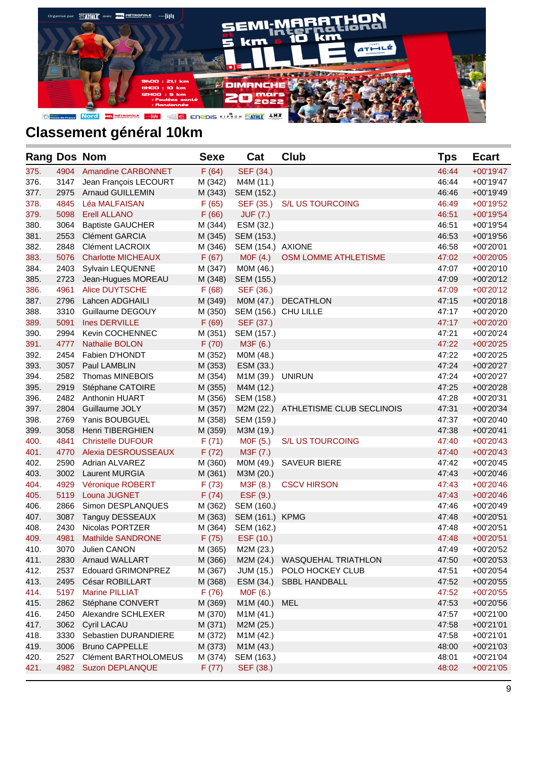

| <b>Rang Dos Nom</b> |      |                           | <b>Sexe</b> | Cat               | <b>Club</b>               | Tps   | <b>Ecart</b> |
|---------------------|------|---------------------------|-------------|-------------------|---------------------------|-------|--------------|
| 375.                | 4904 | <b>Amandine CARBONNET</b> | F(64)       | SEF (34.)         |                           | 46:44 | $+00'19'47$  |
| 376.                | 3147 | Jean François LECOURT     | M (342)     | M4M (11.)         |                           | 46:44 | $+00'19'47$  |
| 377.                | 2975 | <b>Arnaud GUILLEMIN</b>   | M (343)     | SEM (152.)        |                           | 46:46 | $+00'19'49$  |
| 378.                | 4845 | Léa MALFAISAN             | F(65)       | SEF (35.)         | <b>S/L US TOURCOING</b>   | 46:49 | $+00'19'52$  |
| 379.                | 5098 | <b>Erell ALLANO</b>       | F(66)       | <b>JUF (7.)</b>   |                           | 46:51 | $+00'19'54$  |
| 380.                | 3064 | <b>Baptiste GAUCHER</b>   | M (344)     | ESM (32.)         |                           | 46:51 | $+00'19'54$  |
| 381.                | 2553 | <b>Clément GARCIA</b>     | M (345)     | SEM (153.)        |                           | 46:53 | $+00'19'56$  |
| 382.                | 2848 | <b>Clément LACROIX</b>    | M (346)     | SEM (154.) AXIONE |                           | 46:58 | $+00'20'01$  |
| 383.                | 5076 | <b>Charlotte MICHEAUX</b> | F(67)       | MOF(4.)           | OSM LOMME ATHLETISME      | 47:02 | $+00'20'05$  |
| 384.                | 2403 | Sylvain LEQUENNE          | M (347)     | M0M (46.)         |                           | 47:07 | +00'20'10    |
| 385.                | 2723 | Jean-Hugues MOREAU        | M (348)     | SEM (155.)        |                           | 47:09 | $+00'20'12$  |
| 386.                | 4961 | <b>Alice DUYTSCHE</b>     | F(68)       | SEF (36.)         |                           | 47:09 | $+00'20'12$  |
| 387.                | 2796 | Lahcen ADGHAILI           | M (349)     | MOM (47.)         | DECATHLON                 | 47:15 | $+00'20'18$  |
| 388.                | 3310 | Guillaume DEGOUY          | M (350)     |                   | SEM (156.) CHU LILLE      | 47:17 | +00'20'20    |
| 389.                | 5091 | Ines DERVILLE             | F(69)       | SEF (37.)         |                           | 47:17 | +00'20'20    |
| 390.                | 2994 | Kevin COCHENNEC           | M (351)     | SEM (157.)        |                           | 47:21 | +00'20'24    |
| 391.                | 4777 | <b>Nathalie BOLON</b>     | F(70)       | M3F (6.)          |                           | 47:22 | $+00'20'25$  |
| 392.                | 2454 | Fabien D'HONDT            | M (352)     | M0M (48.)         |                           | 47:22 | +00'20'25    |
| 393.                | 3057 | Paul LAMBLIN              | M (353)     | ESM (33.)         |                           | 47:24 | +00'20'27    |
| 394.                | 2582 | Thomas MINEBOIS           | M (354)     | M1M (39.) UNIRUN  |                           | 47:24 | +00'20'27    |
| 395.                | 2919 | Stéphane CATOIRE          | M (355)     | M4M (12.)         |                           | 47:25 | +00'20'28    |
| 396.                | 2482 | Anthonin HUART            | M (356)     | SEM (158.)        |                           | 47:28 | $+00'20'31$  |
| 397.                | 2804 | Guillaume JOLY            | M (357)     | M2M (22.)         | ATHLETISME CLUB SECLINOIS | 47:31 | $+00'20'34$  |
| 398.                | 2769 | Yanis BOUBGUEL            | M (358)     | SEM (159.)        |                           | 47:37 | +00'20'40    |
| 399.                | 3058 | Henri TIBERGHIEN          | M (359)     | M3M (19.)         |                           | 47:38 | $+00'20'41$  |
| 400.                | 4841 | <b>Christelle DUFOUR</b>  | F(71)       | M0F (5.)          | <b>S/L US TOURCOING</b>   | 47:40 | $+00'20'43$  |
| 401.                | 4770 | Alexia DESROUSSEAUX       | F(72)       | M3F (7.)          |                           | 47:40 | $+00'20'43$  |
| 402.                | 2590 | Adrian ALVAREZ            | M (360)     | M0M (49.)         | <b>SAVEUR BIERE</b>       | 47:42 | $+00'20'45$  |
| 403.                | 3002 | <b>Laurent MURGIA</b>     | M (361)     | M3M (20.)         |                           | 47:43 | $+00'20'46$  |
| 404.                | 4929 | Véronique ROBERT          | F(73)       | M3F (8.)          | <b>CSCV HIRSON</b>        | 47:43 | $+00'20'46$  |
| 405.                | 5119 | Louna JUGNET              | F(74)       | ESF (9.)          |                           | 47:43 | $+00'20'46$  |
| 406.                | 2866 | Simon DESPLANQUES         | M (362)     | SEM (160.)        |                           | 47:46 | +00'20'49    |
| 407.                | 3087 | Tanguy DESSEAUX           | M (363)     | SEM (161.) KPMG   |                           | 47:48 | $+00'20'51$  |
| 408.                | 2430 | Nicolas PORTZER           | M (364)     | SEM (162.)        |                           | 47:48 | $+00'20'51$  |
| 409.                | 4981 | <b>Mathilde SANDRONE</b>  | F(75)       | ESF (10.)         |                           | 47:48 | +00'20'51    |
| 410.                | 3070 | Julien CANON              | M (365)     | M2M (23.)         |                           | 47:49 | +00'20'52    |
| 411.                | 2830 | <b>Arnaud WALLART</b>     | M (366)     | M2M (24.)         | WASQUEHAL TRIATHLON       | 47:50 | $+00'20'53$  |
| 412.                | 2537 | Edouard GRIMONPREZ        | M (367)     | JUM (15.)         | POLO HOCKEY CLUB          | 47:51 | +00'20'54    |
| 413.                | 2495 | César ROBILLART           | M (368)     | ESM (34.)         | SBBL HANDBALL             | 47:52 | +00'20'55    |
| 414.                | 5197 | Marine PILLIAT            | F(76)       | M0F (6.)          |                           | 47:52 | +00'20'55    |
| 415.                | 2862 | Stéphane CONVERT          | M (369)     | M1M (40.)         | MEL                       | 47:53 | +00'20'56    |
| 416.                | 2450 | Alexandre SCHLEXER        | M (370)     | M1M (41.)         |                           | 47:57 | +00'21'00    |
| 417.                | 3062 | Cyril LACAU               | M (371)     | M2M (25.)         |                           | 47:58 | $+00'21'01$  |
| 418.                | 3330 | Sebastien DURANDIERE      | M (372)     | M1M (42.)         |                           | 47:58 | $+00'21'01$  |
| 419.                | 3006 | <b>Bruno CAPPELLE</b>     | M (373)     | M1M (43.)         |                           | 48:00 | $+00'21'03$  |
| 420.                | 2527 | Clément BARTHOLOMEUS      | M (374)     | SEM (163.)        |                           | 48:01 | $+00'21'04$  |
| 421.                | 4982 | <b>Suzon DEPLANQUE</b>    | F(77)       | SEF (38.)         |                           | 48:02 | $+00'21'05$  |
|                     |      |                           |             |                   |                           |       |              |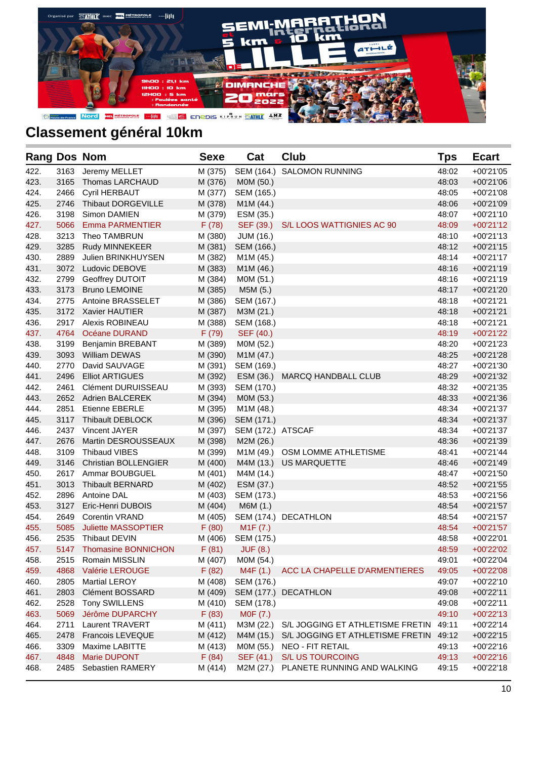

| <b>Rang Dos Nom</b> |      |                             | <b>Sexe</b> | Cat                   | Club                             | <b>Tps</b> | <b>Ecart</b> |
|---------------------|------|-----------------------------|-------------|-----------------------|----------------------------------|------------|--------------|
| 422.                | 3163 | Jeremy MELLET               | M (375)     | SEM (164.)            | SALOMON RUNNING                  | 48:02      | $+00'21'05$  |
| 423.                | 3165 | Thomas LARCHAUD             | M (376)     | M0M (50.)             |                                  | 48:03      | $+00'21'06$  |
| 424.                | 2466 | Cyril HERBAUT               | M (377)     | SEM (165.)            |                                  | 48:05      | +00'21'08    |
| 425.                | 2746 | Thibaut DORGEVILLE          | M (378)     | M1M (44.)             |                                  | 48:06      | +00'21'09    |
| 426.                | 3198 | Simon DAMIEN                | M (379)     | ESM (35.)             |                                  | 48:07      | $+00'21'10$  |
| 427.                | 5066 | <b>Emma PARMENTIER</b>      | F(78)       | SEF (39.)             | S/L LOOS WATTIGNIES AC 90        | 48:09      | $+00'21'12$  |
| 428.                | 3213 | Theo TAMBRUN                | M (380)     | JUM (16.)             |                                  | 48:10      | $+00'21'13$  |
| 429.                | 3285 | Rudy MINNEKEER              | M (381)     | SEM (166.)            |                                  | 48:12      | $+00'21'15$  |
| 430.                | 2889 | Julien BRINKHUYSEN          | M (382)     | M1M (45.)             |                                  | 48:14      | $+00'21'17$  |
| 431.                | 3072 | Ludovic DEBOVE              | M (383)     | M1M (46.)             |                                  | 48:16      | $+00'21'19$  |
| 432.                | 2799 | Geoffrey DUTOIT             | M (384)     | M0M (51.)             |                                  | 48:16      | +00'21'19    |
| 433.                | 3173 | <b>Bruno LEMOINE</b>        | M (385)     | M5M (5.)              |                                  | 48:17      | +00'21'20    |
| 434.                | 2775 | Antoine BRASSELET           | M (386)     | SEM (167.)            |                                  | 48:18      | $+00'21'21$  |
| 435.                |      | 3172 Xavier HAUTIER         | M (387)     | M3M (21.)             |                                  | 48:18      | $+00'21'21$  |
| 436.                | 2917 | Alexis ROBINEAU             | M (388)     | SEM (168.)            |                                  | 48:18      | $+00'21'21$  |
| 437.                | 4764 | Océane DURAND               | F(79)       | SEF (40.)             |                                  | 48:19      | +00'21'22    |
| 438.                | 3199 | <b>Benjamin BREBANT</b>     | M (389)     | M0M (52.)             |                                  | 48:20      | $+00'21'23$  |
| 439.                | 3093 | William DEWAS               | M (390)     | M1M (47.)             |                                  | 48:25      | +00'21'28    |
| 440.                | 2770 | David SAUVAGE               | M (391)     | SEM (169.)            |                                  | 48:27      | +00'21'30    |
| 441.                | 2496 | <b>Elliot ARTIGUES</b>      | M (392)     |                       | ESM (36.) MARCQ HANDBALL CLUB    | 48:29      | $+00'21'32$  |
| 442.                | 2461 | Clément DURUISSEAU          | M (393)     | SEM (170.)            |                                  | 48:32      | $+00'21'35$  |
| 443.                | 2652 | <b>Adrien BALCEREK</b>      | M (394)     | M0M (53.)             |                                  | 48:33      | $+00'21'36$  |
| 444.                | 2851 | <b>Etienne EBERLE</b>       | M (395)     | M1M (48.)             |                                  | 48:34      | +00'21'37    |
| 445.                | 3117 | Thibault DEBLOCK            | M (396)     | SEM (171.)            |                                  | 48:34      | $+00'21'37$  |
| 446.                |      | 2437 Vincent JAYER          | M (397)     | SEM (172.) ATSCAF     |                                  | 48:34      | $+00'21'37$  |
| 447.                | 2676 | Martin DESROUSSEAUX         | M (398)     | M2M (26.)             |                                  | 48:36      | +00'21'39    |
| 448.                | 3109 | <b>Thibaud VIBES</b>        | M (399)     |                       | M1M (49.) OSM LOMME ATHLETISME   | 48:41      | $+00'21'44$  |
| 449.                | 3146 | <b>Christian BOLLENGIER</b> | M (400)     |                       | M4M (13.) US MARQUETTE           | 48:46      | +00'21'49    |
| 450.                | 2617 | Ammar BOUBGUEL              | M (401)     | M4M (14.)             |                                  | 48:47      | $+00'21'50$  |
| 451.                | 3013 | <b>Thibault BERNARD</b>     | M (402)     | ESM (37.)             |                                  | 48:52      | $+00'21'55$  |
| 452.                | 2896 | Antoine DAL                 | M (403)     | SEM (173.)            |                                  | 48:53      | $+00'21'56$  |
| 453.                | 3127 | Eric-Henri DUBOIS           | M (404)     | M6M (1.)              |                                  | 48:54      | $+00'21'57$  |
| 454.                | 2649 | <b>Corentin VRAND</b>       |             |                       | M (405) SEM (174.) DECATHLON     | 48:54      | $+00'21'57$  |
| 455.                | 5085 | <b>Juliette MASSOPTIER</b>  | F(80)       | M <sub>1</sub> F (7.) |                                  | 48:54      | $+00'21'57$  |
| 456.                | 2535 | Thibaut DEVIN               |             | M (406) SEM (175.)    |                                  | 48:58      | +00'22'01    |
| 457.                |      | 5147 Thomasine BONNICHON    | F(81)       | JUF (8.)              |                                  | 48:59      | $+00'22'02$  |
| 458.                | 2515 | Romain MISSLIN              | M (407)     | M0M (54.)             |                                  | 49:01      | +00'22'04    |
| 459.                | 4868 | Valérie LEROUGE             | F(82)       | M4F (1.)              | ACC LA CHAPELLE D'ARMENTIERES    | 49:05      | +00'22'08    |
| 460.                | 2805 | <b>Martial LEROY</b>        | M (408)     | SEM (176.)            |                                  | 49:07      | +00'22'10    |
| 461.                | 2803 | <b>Clément BOSSARD</b>      | M (409)     |                       | SEM (177.) DECATHLON             | 49:08      | $+00'22'11$  |
| 462.                | 2528 | Tony SWILLENS               | M (410)     | SEM (178.)            |                                  | 49:08      | +00'22'11    |
| 463.                | 5069 | Jérôme DUPARCHY             | F(83)       | M0F (7.)              |                                  | 49:10      | $+00'22'13$  |
| 464.                | 2711 | <b>Laurent TRAVERT</b>      | M (411)     | M3M (22.)             | S/L JOGGING ET ATHLETISME FRETIN | 49:11      | +00'22'14    |
| 465.                | 2478 | Francois LEVEQUE            | M (412)     | M4M (15.)             | S/L JOGGING ET ATHLETISME FRETIN | 49:12      | +00'22'15    |
| 466.                | 3309 | Maxime LABITTE              | M (413)     | M0M (55.)             | NEO - FIT RETAIL                 | 49:13      | +00'22'16    |
| 467.                | 4848 | Marie DUPONT                | F(84)       | SEF (41.)             | <b>S/L US TOURCOING</b>          | 49:13      | $+00'22'16$  |
| 468.                | 2485 | Sebastien RAMERY            | M (414)     | M2M (27.)             | PLANETE RUNNING AND WALKING      | 49:15      | +00'22'18    |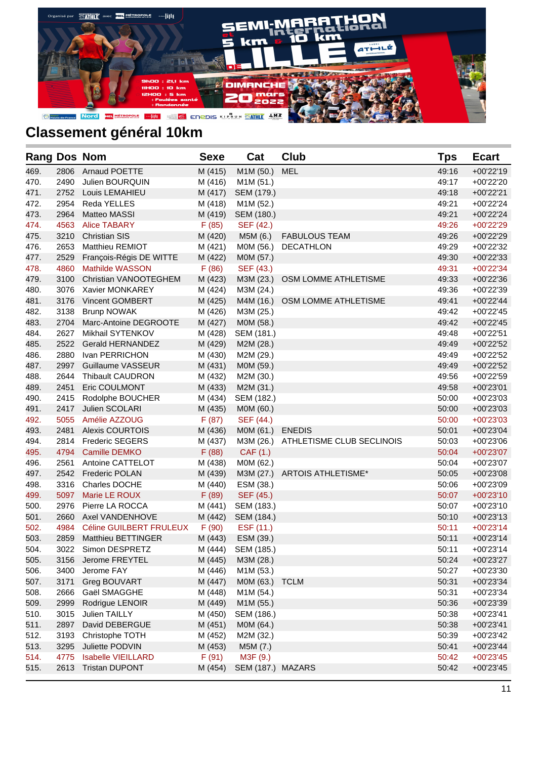

| <b>Rang Dos Nom</b> |      |                           | <b>Sexe</b> | Cat               | Club                                | Tps   | <b>Ecart</b> |
|---------------------|------|---------------------------|-------------|-------------------|-------------------------------------|-------|--------------|
| 469.                | 2806 | <b>Arnaud POETTE</b>      | M (415)     | M1M (50.)         | <b>MEL</b>                          | 49:16 | +00'22'19    |
| 470.                | 2490 | Julien BOURQUIN           | M (416)     | M1M (51.)         |                                     | 49:17 | +00'22'20    |
| 471.                | 2752 | Louis LEMAHIEU            | M (417)     | SEM (179.)        |                                     | 49:18 | +00'22'21    |
| 472.                | 2954 | Reda YELLES               | M (418)     | M1M (52.)         |                                     | 49:21 | +00'22'24    |
| 473.                | 2964 | <b>Matteo MASSI</b>       | M (419)     | SEM (180.)        |                                     | 49:21 | +00'22'24    |
| 474.                | 4563 | <b>Alice TABARY</b>       | F(85)       | SEF (42.)         |                                     | 49:26 | +00'22'29    |
| 475.                | 3210 | <b>Christian SIS</b>      | M (420)     | M5M (6.)          | <b>FABULOUS TEAM</b>                | 49:26 | +00'22'29    |
| 476.                | 2653 | Matthieu REMIOT           | M (421)     | M0M (56.)         | <b>DECATHLON</b>                    | 49:29 | +00'22'32    |
| 477.                | 2529 | François-Régis DE WITTE   | M (422)     | M0M (57.)         |                                     | 49:30 | $+00'22'33$  |
| 478.                | 4860 | <b>Mathilde WASSON</b>    | F(86)       | SEF (43.)         |                                     | 49:31 | +00'22'34    |
| 479.                | 3100 | Christian VANOOTEGHEM     | M (423)     | M3M (23.)         | OSM LOMME ATHLETISME                | 49:33 | +00'22'36    |
| 480.                | 3076 | Xavier MONKAREY           | M (424)     | M3M (24.)         |                                     | 49:36 | +00'22'39    |
| 481.                | 3176 | Vincent GOMBERT           | M (425)     | M4M (16.)         | OSM LOMME ATHLETISME                | 49:41 | $+00'22'44$  |
| 482.                | 3138 | <b>Brunp NOWAK</b>        | M (426)     | M3M (25.)         |                                     | 49:42 | +00'22'45    |
| 483.                | 2704 | Marc-Antoine DEGROOTE     | M (427)     | M0M (58.)         |                                     | 49:42 | $+00'22'45$  |
| 484.                | 2627 | Mikhail SYTENKOV          | M (428)     | SEM (181.)        |                                     | 49:48 | +00'22'51    |
| 485.                | 2522 | <b>Gerald HERNANDEZ</b>   | M (429)     | M2M (28.)         |                                     | 49:49 | $+00'22'52$  |
| 486.                | 2880 | Ivan PERRICHON            | M (430)     | M2M (29.)         |                                     | 49:49 | +00'22'52    |
| 487.                | 2997 | Guillaume VASSEUR         | M (431)     | M0M (59.)         |                                     | 49:49 | $+00'22'52$  |
| 488.                | 2644 | <b>Thibault CAUDRON</b>   | M (432)     | M2M (30.)         |                                     | 49:56 | +00'22'59    |
| 489.                | 2451 | Eric COULMONT             | M (433)     | M2M (31.)         |                                     | 49:58 | $+00'23'01$  |
| 490.                | 2415 | Rodolphe BOUCHER          | M (434)     | SEM (182.)        |                                     | 50:00 | $+00'23'03$  |
| 491.                | 2417 | Julien SCOLARI            | M (435)     | MOM (60.)         |                                     | 50:00 | +00'23'03    |
| 492.                | 5055 | Amélie AZZOUG             | F(87)       | SEF (44.)         |                                     | 50:00 | +00'23'03    |
| 493.                | 2481 | <b>Alexis COURTOIS</b>    | M (436)     | M0M (61.)         | <b>ENEDIS</b>                       | 50:01 | +00'23'04    |
| 494.                | 2814 | <b>Frederic SEGERS</b>    | M (437)     |                   | M3M (26.) ATHLETISME CLUB SECLINOIS | 50:03 | +00'23'06    |
| 495.                | 4794 | <b>Camille DEMKO</b>      | F(88)       | CAF (1.)          |                                     | 50:04 | $+00'23'07$  |
| 496.                | 2561 | Antoine CATTELOT          | M (438)     | M0M (62.)         |                                     | 50:04 | +00'23'07    |
| 497.                | 2542 | <b>Frederic POLAN</b>     | M (439)     |                   | M3M (27.) ARTOIS ATHLETISME*        | 50:05 | $+00'23'08$  |
| 498.                | 3316 | Charles DOCHE             | M (440)     | ESM (38.)         |                                     | 50:06 | +00'23'09    |
| 499.                | 5097 | Marie LE ROUX             | F(89)       | SEF (45.)         |                                     | 50:07 | $+00'23'10$  |
| 500.                | 2976 | Pierre LA ROCCA           | M (441)     | SEM (183.)        |                                     | 50:07 | +00'23'10    |
| 501.                | 2660 | Axel VANDENHOVE           | M (442)     | SEM (184.)        |                                     | 50:10 | $+00'23'13$  |
| 502.                | 4984 | Céline GUILBERT FRULEUX   | F(90)       | ESF (11.)         |                                     | 50:11 | $+00'23'14$  |
| 503.                | 2859 | Matthieu BETTINGER        | M (443)     | ESM (39.)         |                                     | 50:11 | $+00'23'14$  |
| 504.                | 3022 | Simon DESPRETZ            | M (444)     | SEM (185.)        |                                     | 50:11 | +00'23'14    |
| 505.                | 3156 | Jerome FREYTEL            | M (445)     | M3M (28.)         |                                     | 50:24 | +00'23'27    |
| 506.                | 3400 | Jerome FAY                | M (446)     | M1M (53.)         |                                     | 50:27 | +00'23'30    |
| 507.                | 3171 | Greg BOUVART              | M (447)     | M0M (63.)         | <b>TCLM</b>                         | 50:31 | +00'23'34    |
| 508.                | 2666 | Gaël SMAGGHE              | M (448)     | M1M (54.)         |                                     | 50:31 | +00'23'34    |
| 509.                | 2999 | Rodrigue LENOIR           | M (449)     | M1M (55.)         |                                     | 50:36 | +00'23'39    |
| 510.                | 3015 | Julien TAILLY             | M (450)     | SEM (186.)        |                                     | 50:38 | +00'23'41    |
| 511.                | 2897 | David DEBERGUE            | M (451)     | MOM (64.)         |                                     | 50:38 | $+00'23'41$  |
| 512.                | 3193 | Christophe TOTH           | M (452)     | M2M (32.)         |                                     | 50:39 | +00'23'42    |
| 513.                | 3295 | Juliette PODVIN           | M (453)     | M5M (7.)          |                                     | 50:41 | +00'23'44    |
| 514.                | 4775 | <b>Isabelle VIEILLARD</b> | F(91)       | M3F (9.)          |                                     | 50:42 | +00'23'45    |
| 515.                | 2613 | <b>Tristan DUPONT</b>     | M (454)     | SEM (187.) MAZARS |                                     | 50:42 | +00'23'45    |
|                     |      |                           |             |                   |                                     |       |              |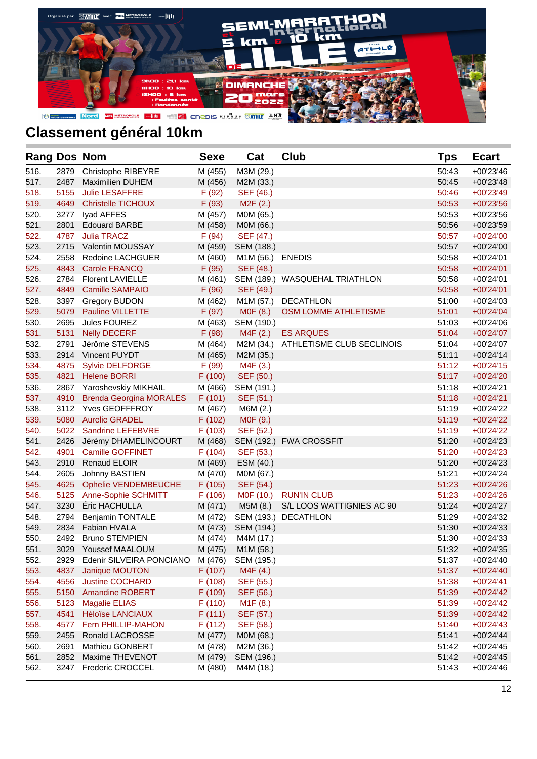

| <b>Rang Dos Nom</b> |      |                                | <b>Sexe</b> | Cat              | <b>Club</b>                         | <b>Tps</b> | <b>Ecart</b> |
|---------------------|------|--------------------------------|-------------|------------------|-------------------------------------|------------|--------------|
| 516.                | 2879 | Christophe RIBEYRE             | M (455)     | M3M (29.)        |                                     | 50:43      | $+00'23'46$  |
| 517.                | 2487 | <b>Maximilien DUHEM</b>        | M (456)     | M2M (33.)        |                                     | 50:45      | $+00'23'48$  |
| 518.                | 5155 | <b>Julie LESAFFRE</b>          | F(92)       | SEF (46.)        |                                     | 50:46      | $+00'23'49$  |
| 519.                | 4649 | <b>Christelle TICHOUX</b>      | F(93)       | M2F(2.)          |                                     | 50:53      | $+00'23'56$  |
| 520.                | 3277 | Iyad AFFES                     | M (457)     | M0M (65.)        |                                     | 50:53      | $+00'23'56$  |
| 521.                | 2801 | <b>Edouard BARBE</b>           | M (458)     | M0M (66.)        |                                     | 50:56      | $+00'23'59$  |
| 522.                | 4787 | <b>Julia TRACZ</b>             | F(94)       | SEF (47.)        |                                     | 50:57      | $+00'24'00$  |
| 523.                | 2715 | <b>Valentin MOUSSAY</b>        | M (459)     | SEM (188.)       |                                     | 50:57      | $+00'24'00$  |
| 524.                | 2558 | Redoine LACHGUER               | M (460)     | M1M (56.) ENEDIS |                                     | 50:58      | $+00'24'01$  |
| 525.                | 4843 | Carole FRANCQ                  | F(95)       | SEF (48.)        |                                     | 50:58      | $+00'24'01$  |
| 526.                | 2784 | <b>Florent LAVIELLE</b>        | M (461)     |                  | SEM (189.) WASQUEHAL TRIATHLON      | 50:58      | $+00'24'01$  |
| 527.                | 4849 | <b>Camille SAMPAIO</b>         | F(96)       | SEF (49.)        |                                     | 50:58      | $+00'24'01$  |
| 528.                | 3397 | <b>Gregory BUDON</b>           | M (462)     | M1M (57.)        | DECATHLON                           | 51:00      | $+00'24'03$  |
| 529.                | 5079 | Pauline VILLETTE               | F(97)       | MOF(8.)          | OSM LOMME ATHLETISME                | 51:01      | $+00'24'04$  |
| 530.                | 2695 | Jules FOUREZ                   | M (463)     | SEM (190.)       |                                     | 51:03      | +00'24'06    |
| 531.                | 5131 | <b>Nelly DECERF</b>            | F(98)       | M4F (2.)         | <b>ES ARQUES</b>                    | 51:04      | +00'24'07    |
| 532.                | 2791 | Jérôme STEVENS                 | M (464)     |                  | M2M (34.) ATHLETISME CLUB SECLINOIS | 51:04      | +00'24'07    |
| 533.                | 2914 | Vincent PUYDT                  | M (465)     | M2M (35.)        |                                     | 51:11      | $+00'24'14$  |
| 534.                | 4875 | <b>Sylvie DELFORGE</b>         | F (99)      | M4F (3.)         |                                     | 51:12      | $+00'24'15$  |
| 535.                | 4821 | <b>Helene BORRI</b>            | F(100)      | SEF (50.)        |                                     | 51:17      | +00'24'20    |
| 536.                | 2867 | Yaroshevskiy MIKHAIL           | M (466)     | SEM (191.)       |                                     | 51:18      | $+00'24'21$  |
| 537.                | 4910 | <b>Brenda Georgina MORALES</b> | F(101)      | SEF (51.)        |                                     | 51:18      | $+00'24'21$  |
| 538.                |      | 3112 Yves GEOFFFROY            | M (467)     | M6M (2.)         |                                     | 51:19      | +00'24'22    |
| 539.                | 5080 | <b>Aurelie GRADEL</b>          | F(102)      | MOF (9.)         |                                     | 51:19      | $+00'24'22$  |
| 540.                | 5022 | Sandrine LEFEBVRE              | F(103)      | SEF (52.)        |                                     | 51:19      | $+00'24'22$  |
| 541.                | 2426 | Jérémy DHAMELINCOURT           | M (468)     |                  | SEM (192.) FWA CROSSFIT             | 51:20      | $+00'24'23$  |
| 542.                | 4901 | <b>Camille GOFFINET</b>        | F(104)      | SEF (53.)        |                                     | 51:20      | $+00'24'23$  |
| 543.                | 2910 | <b>Renaud ELOIR</b>            | M (469)     | ESM (40.)        |                                     | 51:20      | $+00'24'23$  |
| 544.                | 2605 | Johnny BASTIEN                 | M (470)     | M0M (67.)        |                                     | 51:21      | $+00'24'24$  |
| 545.                | 4625 | <b>Ophelie VENDEMBEUCHE</b>    | F(105)      | SEF (54.)        |                                     | 51:23      | $+00'24'26$  |
| 546.                | 5125 | <b>Anne-Sophie SCHMITT</b>     | F(106)      | M0F (10.)        | <b>RUN'IN CLUB</b>                  | 51:23      | $+00'24'26$  |
| 547.                | 3230 | Éric HACHULLA                  | M (471)     | M5M (8.)         | S/L LOOS WATTIGNIES AC 90           | 51:24      | $+00'24'27$  |
| 548.                | 2794 | <b>Benjamin TONTALE</b>        | M (472)     | SEM (193.)       | DECATHLON                           | 51:29      | +00'24'32    |
| 549.                | 2834 | Fabian HVALA                   | M (473)     | SEM (194.)       |                                     | 51:30      | $+00'24'33$  |
| 550.                | 2492 | <b>Bruno STEMPIEN</b>          | M (474)     | M4M (17.)        |                                     | 51:30      | $+00'24'33$  |
| 551.                |      | 3029 Youssef MAALOUM           | M (475)     | M1M (58.)        |                                     | 51:32      | +00'24'35    |
| 552.                | 2929 | Edenir SILVEIRA PONCIANO       | M (476)     | SEM (195.)       |                                     | 51:37      | +00'24'40    |
| 553.                | 4837 | Janique MOUTON                 | F (107)     | M4F (4.)         |                                     | 51:37      | +00'24'40    |
| 554.                | 4556 | Justine COCHARD                | F(108)      | SEF (55.)        |                                     | 51:38      | $+00'24'41$  |
| 555.                | 5150 | <b>Amandine ROBERT</b>         | F (109)     | SEF (56.)        |                                     | 51:39      | $+00'24'42$  |
| 556.                | 5123 | <b>Magalie ELIAS</b>           | F(110)      | M1F(8.)          |                                     | 51:39      | $+00'24'42$  |
| 557.                | 4541 | <b>Héloïse LANCIAUX</b>        | F(111)      | SEF (57.)        |                                     | 51:39      | $+00'24'42$  |
| 558.                | 4577 | Fern PHILLIP-MAHON             | F(112)      | SEF (58.)        |                                     | 51:40      | $+00'24'43$  |
| 559.                | 2455 | Ronald LACROSSE                | M (477)     | M0M (68.)        |                                     | 51:41      | $+00'24'44$  |
| 560.                | 2691 | Mathieu GONBERT                | M (478)     | M2M (36.)        |                                     | 51:42      | +00'24'45    |
| 561.                | 2852 | Maxime THEVENOT                | M (479)     | SEM (196.)       |                                     | 51:42      | $+00'24'45$  |
| 562.                | 3247 | <b>Frederic CROCCEL</b>        | M (480)     | M4M (18.)        |                                     | 51:43      | +00'24'46    |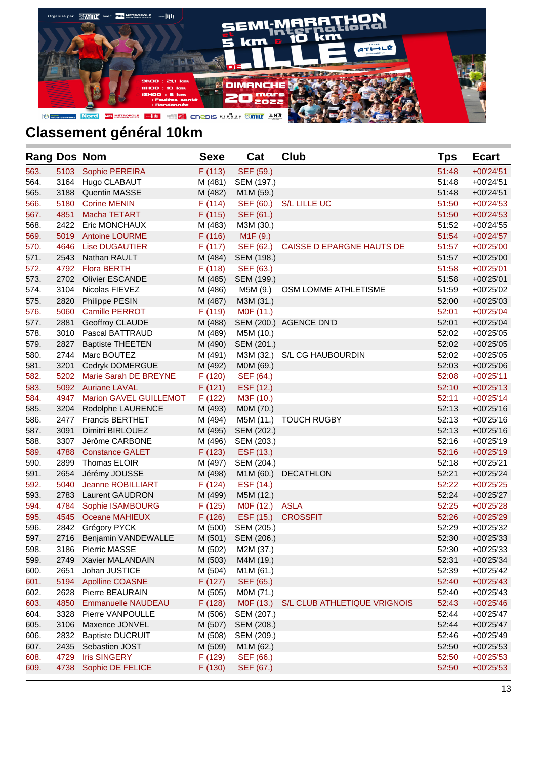

| <b>Rang Dos Nom</b> |      |                               | <b>Sexe</b> | Cat                   | <b>Club</b>                  | Tps   | <b>Ecart</b> |
|---------------------|------|-------------------------------|-------------|-----------------------|------------------------------|-------|--------------|
| 563.                | 5103 | Sophie PEREIRA                | F(113)      | SEF (59.)             |                              | 51:48 | $+00'24'51$  |
| 564.                | 3164 | Hugo CLABAUT                  | M (481)     | SEM (197.)            |                              | 51:48 | $+00'24'51$  |
| 565.                | 3188 | <b>Quentin MASSE</b>          | M (482)     | M1M (59.)             |                              | 51:48 | $+00'24'51$  |
| 566.                | 5180 | <b>Corine MENIN</b>           | F(114)      | SEF (60.)             | <b>S/L LILLE UC</b>          | 51:50 | $+00'24'53$  |
| 567.                | 4851 | Macha TETART                  | F(115)      | SEF (61.)             |                              | 51:50 | $+00'24'53$  |
| 568.                | 2422 | <b>Eric MONCHAUX</b>          | M (483)     | M3M (30.)             |                              | 51:52 | $+00'24'55$  |
| 569.                | 5019 | <b>Antoine LOURME</b>         | F(116)      | M <sub>1</sub> F (9.) |                              | 51:54 | $+00'24'57$  |
| 570.                | 4646 | <b>Lise DUGAUTIER</b>         | F(117)      | SEF (62.)             | CAISSE D EPARGNE HAUTS DE    | 51:57 | $+00'25'00$  |
| 571.                | 2543 | Nathan RAULT                  | M (484)     | SEM (198.)            |                              | 51:57 | $+00'25'00$  |
| 572.                | 4792 | <b>Flora BERTH</b>            | F(118)      | SEF (63.)             |                              | 51:58 | $+00'25'01$  |
| 573.                | 2702 | <b>Olivier ESCANDE</b>        | M (485)     | SEM (199.)            |                              | 51:58 | $+00'25'01$  |
| 574.                | 3104 | Nicolas FIEVEZ                | M (486)     | M5M (9.)              | OSM LOMME ATHLETISME         | 51:59 | +00'25'02    |
| 575.                | 2820 | Philippe PESIN                | M (487)     | M3M (31.)             |                              | 52:00 | $+00'25'03$  |
| 576.                | 5060 | Camille PERROT                | F(119)      | M0F (11.)             |                              | 52:01 | $+00'25'04$  |
| 577.                | 2881 | Geoffroy CLAUDE               | M (488)     |                       | SEM (200.) AGENCE DN'D       | 52:01 | $+00'25'04$  |
| 578.                | 3010 | Pascal BATTRAUD               | M (489)     | M5M (10.)             |                              | 52:02 | $+00'25'05$  |
| 579.                | 2827 | <b>Baptiste THEETEN</b>       | M (490)     | SEM (201.)            |                              | 52:02 | $+00'25'05$  |
| 580.                | 2744 | Marc BOUTEZ                   | M (491)     |                       | M3M (32.) S/L CG HAUBOURDIN  | 52:02 | $+00'25'05$  |
| 581.                | 3201 | Cedryk DOMERGUE               | M (492)     | M0M (69.)             |                              | 52:03 | $+00'25'06$  |
| 582.                | 5202 | Marie Sarah DE BREYNE         | F(120)      | SEF (64.)             |                              | 52:08 | $+00'25'11$  |
| 583.                | 5092 | <b>Auriane LAVAL</b>          | F(121)      | ESF (12.)             |                              | 52:10 | $+00'25'13$  |
| 584.                | 4947 | <b>Marion GAVEL GUILLEMOT</b> | F(122)      | M3F (10.)             |                              | 52:11 | $+00'25'14$  |
| 585.                | 3204 | Rodolphe LAURENCE             | M (493)     | M0M (70.)             |                              | 52:13 | $+00'25'16$  |
| 586.                | 2477 | <b>Francis BERTHET</b>        | M (494)     | M5M (11.)             | <b>TOUCH RUGBY</b>           | 52:13 | $+00'25'16$  |
| 587.                | 3091 | Dimitri BIRLOUEZ              | M (495)     | SEM (202.)            |                              | 52:13 | $+00'25'16$  |
| 588.                | 3307 | Jérôme CARBONE                | M (496)     | SEM (203.)            |                              | 52:16 | +00'25'19    |
| 589.                | 4788 | <b>Constance GALET</b>        | F(123)      | ESF (13.)             |                              | 52:16 | $+00'25'19$  |
| 590.                | 2899 | Thomas ELOIR                  | M (497)     | SEM (204.)            |                              | 52:18 | $+00'25'21$  |
| 591.                | 2654 | Jérémy JOUSSE                 | M (498)     | M1M (60.)             | <b>DECATHLON</b>             | 52:21 | $+00'25'24$  |
| 592.                | 5040 | Jeanne ROBILLIART             | F(124)      | ESF (14.)             |                              | 52:22 | +00'25'25    |
| 593.                | 2783 | <b>Laurent GAUDRON</b>        | M (499)     | M5M (12.)             |                              | 52:24 | $+00'25'27$  |
| 594.                | 4784 | Sophie ISAMBOURG              | F(125)      | M0F (12.) ASLA        |                              | 52:25 | +00'25'28    |
| 595.                | 4545 | Oceane MAHIEUX                | F(126)      | ESF (15.)             | <b>CROSSFIT</b>              | 52:26 | +00'25'29    |
| 596.                | 2842 | Grégory PYCK                  | M (500)     | SEM (205.)            |                              | 52:29 | +00'25'32    |
| 597.                | 2716 | Benjamin VANDEWALLE           | M (501)     | SEM (206.)            |                              | 52:30 | $+00'25'33$  |
| 598.                | 3186 | Pierric MASSE                 | M (502)     | M2M (37.)             |                              | 52:30 | +00'25'33    |
| 599.                | 2749 | Xavier MALANDAIN              | M (503)     | M4M (19.)             |                              | 52:31 | +00'25'34    |
| 600.                | 2651 | Johan JUSTICE                 | M (504)     | M1M (61.)             |                              | 52:39 | +00'25'42    |
| 601.                | 5194 | <b>Apolline COASNE</b>        | F(127)      | SEF (65.)             |                              | 52:40 | $+00'25'43$  |
| 602.                | 2628 | Pierre BEAURAIN               | M (505)     | MOM (71.)             |                              | 52:40 | +00'25'43    |
| 603.                | 4850 | <b>Emmanuelle NAUDEAU</b>     | F(128)      | M0F (13.)             | S/L CLUB ATHLETIQUE VRIGNOIS | 52:43 | +00'25'46    |
| 604.                | 3328 | Pierre VANPOULLE              | M (506)     | SEM (207.)            |                              | 52:44 | +00'25'47    |
| 605.                | 3106 | Maxence JONVEL                | M (507)     | SEM (208.)            |                              | 52:44 | +00'25'47    |
| 606.                | 2832 | <b>Baptiste DUCRUIT</b>       | M (508)     | SEM (209.)            |                              | 52:46 | +00'25'49    |
| 607.                | 2435 | Sebastien JOST                | M (509)     | M1M (62.)             |                              | 52:50 | +00'25'53    |
| 608.                | 4729 | <b>Iris SINGERY</b>           | F (129)     | SEF (66.)             |                              | 52:50 | $+00'25'53$  |
| 609.                | 4738 | Sophie DE FELICE              | F(130)      | SEF (67.)             |                              | 52:50 | $+00'25'53$  |
|                     |      |                               |             |                       |                              |       |              |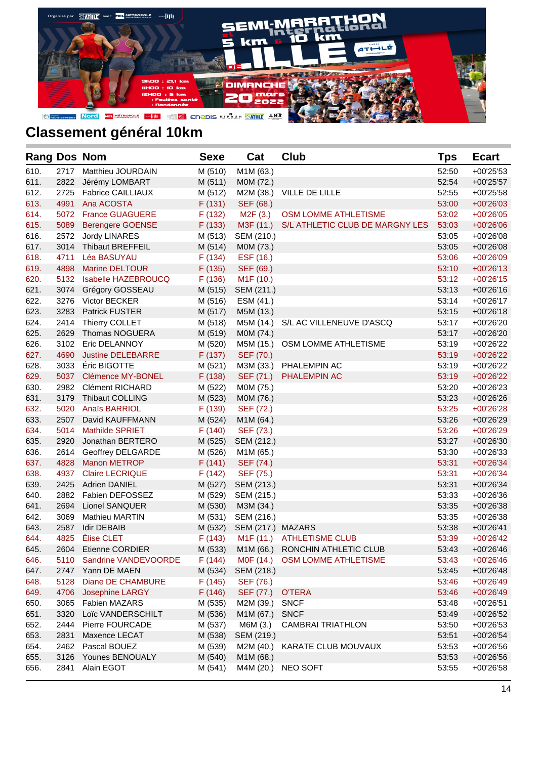

| <b>Rang Dos Nom</b> |      |                           | <b>Sexe</b> | Cat                    | <b>Club</b>                     | Tps   | <b>Ecart</b>             |
|---------------------|------|---------------------------|-------------|------------------------|---------------------------------|-------|--------------------------|
| 610.                | 2717 | Matthieu JOURDAIN         | M (510)     | M1M (63.)              |                                 | 52:50 | +00'25'53                |
| 611.                | 2822 | Jérémy LOMBART            | M(511)      | M0M (72.)              |                                 | 52:54 | $+00'25'57$              |
| 612.                | 2725 | <b>Fabrice CAILLIAUX</b>  | M (512)     |                        | M2M (38.) VILLE DE LILLE        | 52:55 | +00'25'58                |
| 613.                | 4991 | Ana ACOSTA                | F(131)      | SEF (68.)              |                                 | 53:00 | $+00'26'03$              |
| 614.                | 5072 | <b>France GUAGUERE</b>    | F(132)      | M2F (3.)               | OSM LOMME ATHLETISME            | 53:02 | $+00'26'05$              |
| 615.                | 5089 | <b>Berengere GOENSE</b>   | F(133)      | M3F (11.)              | S/L ATHLETIC CLUB DE MARGNY LES | 53:03 | +00'26'06                |
| 616.                | 2572 | Jordy LINARES             | M (513)     | SEM (210.)             |                                 | 53:05 | +00'26'08                |
| 617.                | 3014 | Thibaut BREFFEIL          | M (514)     | M0M (73.)              |                                 | 53:05 | +00'26'08                |
| 618.                | 4711 | Léa BASUYAU               | F(134)      | ESF (16.)              |                                 | 53:06 | +00'26'09                |
| 619.                | 4898 | Marine DELTOUR            | F(135)      | SEF (69.)              |                                 | 53:10 | $+00'26'13$              |
| 620.                | 5132 | Isabelle HAZEBROUCQ       | F(136)      | M <sub>1</sub> F (10.) |                                 | 53:12 | $+00'26'15$              |
| 621.                | 3074 | Grégory GOSSEAU           | M (515)     | SEM (211.)             |                                 | 53:13 | $+00'26'16$              |
| 622.                | 3276 | Victor BECKER             | M (516)     | ESM (41.)              |                                 | 53:14 | +00'26'17                |
| 623.                | 3283 | Patrick FUSTER            | M (517)     | M5M (13.)              |                                 | 53:15 | $+00'26'18$              |
| 624.                | 2414 | Thierry COLLET            | M (518)     | M5M (14.)              | S/L AC VILLENEUVE D'ASCQ        | 53:17 | +00'26'20                |
| 625.                | 2629 | Thomas NOGUERA            | M (519)     | M0M (74.)              |                                 | 53:17 | +00'26'20                |
| 626.                | 3102 | Eric DELANNOY             | M (520)     | M5M (15.)              | OSM LOMME ATHLETISME            | 53:19 | +00'26'22                |
| 627.                | 4690 | <b>Justine DELEBARRE</b>  | F(137)      | SEF (70.)              |                                 | 53:19 | +00'26'22                |
| 628.                | 3033 | Éric BIGOTTE              | M (521)     | M3M (33.)              | PHALEMPIN AC                    | 53:19 | +00'26'22                |
| 629.                | 5037 | Clémence MY-BONEL         | F(138)      | SEF (71.)              | PHALEMPIN AC                    | 53:19 | +00'26'22                |
| 630.                | 2982 | <b>Clément RICHARD</b>    | M (522)     | M0M (75.)              |                                 | 53:20 | +00'26'23                |
| 631.                | 3179 | <b>Thibaut COLLING</b>    | M (523)     | M0M (76.)              |                                 | 53:23 | +00'26'26                |
| 632.                | 5020 | <b>Anaïs BARRIOL</b>      | F(139)      | SEF (72.)              |                                 | 53:25 | $+00'26'28$              |
| 633.                | 2507 | David KAUFFMANN           | M (524)     | M1M (64.)              |                                 | 53:26 | +00'26'29                |
| 634.                | 5014 | <b>Mathilde SPRIET</b>    | F(140)      | SEF (73.)              |                                 | 53:26 | +00'26'29                |
| 635.                | 2920 | Jonathan BERTERO          | M (525)     | SEM (212.)             |                                 | 53:27 | +00'26'30                |
| 636.                | 2614 | Geoffrey DELGARDE         | M (526)     | M1M (65.)              |                                 | 53:30 | +00'26'33                |
| 637.                | 4828 | <b>Manon METROP</b>       | F(141)      | SEF (74.)              |                                 | 53:31 | $+00'26'34$              |
| 638.                | 4937 | <b>Claire LECRIQUE</b>    | F(142)      | SEF (75.)              |                                 | 53:31 | $+00'26'34$              |
| 639.                | 2425 | <b>Adrien DANIEL</b>      | M (527)     | SEM (213.)             |                                 | 53:31 | $+00'26'34$              |
| 640.                | 2882 | Fabien DEFOSSEZ           | M (529)     | SEM (215.)             |                                 | 53:33 | +00'26'36                |
| 641.                | 2694 | Lionel SANQUER            | M (530)     | M3M (34.)              |                                 | 53:35 | +00'26'38                |
| 642.                | 3069 | <b>Mathieu MARTIN</b>     | M (531)     | SEM (216.)             |                                 | 53:35 | +00'26'38                |
| 643.                | 2587 | Idir DEBAIB               | M (532)     | SEM (217.) MAZARS      |                                 | 53:38 | $+00'26'41$              |
| 644.                | 4825 | Élise CLET                | F(143)      |                        | M1F (11.) ATHLETISME CLUB       | 53:39 | +00'26'42                |
| 645.                |      | 2604 Etienne CORDIER      | M (533)     |                        | M1M (66.) RONCHIN ATHLETIC CLUB | 53:43 | $+00'26'46$              |
| 646.                |      | 5110 Sandrine VANDEVOORDE | F(144)      |                        | M0F (14.) OSM LOMME ATHLETISME  | 53:43 | $+00'26'46$              |
| 647.                | 2747 | Yann DE MAEN              | M (534)     | SEM (218.)             |                                 | 53:45 | +00'26'48                |
| 648.                | 5128 | Diane DE CHAMBURE         | F(145)      | SEF (76.)              |                                 | 53:46 | +00'26'49                |
| 649.                | 4706 | Josephine LARGY           | F(146)      | SEF (77.)              | <b>O'TERA</b>                   | 53:46 | +00'26'49                |
| 650.                | 3065 | <b>Fabien MAZARS</b>      | M (535)     | M2M (39.)              | <b>SNCF</b>                     | 53:48 | $+00'26'51$              |
| 651.                | 3320 | Loïc VANDERSCHILT         | M (536)     | M1M (67.)              | <b>SNCF</b>                     | 53:49 | +00'26'52                |
| 652.                | 2444 | Pierre FOURCADE           | M (537)     | M6M (3.)               | <b>CAMBRAI TRIATHLON</b>        | 53:50 |                          |
| 653.                | 2831 | Maxence LECAT             | M (538)     | SEM (219.)             |                                 | 53:51 | $+00'26'53$<br>+00'26'54 |
| 654.                | 2462 | Pascal BOUEZ              | M (539)     | M2M (40.)              | KARATE CLUB MOUVAUX             | 53:53 | +00'26'56                |
| 655.                | 3126 | Younes BENOUALY           | M (540)     | M1M (68.)              |                                 | 53:53 | +00'26'56                |
| 656.                | 2841 | Alain EGOT                | M (541)     |                        | M4M (20.) NEO SOFT              | 53:55 | +00'26'58                |
|                     |      |                           |             |                        |                                 |       |                          |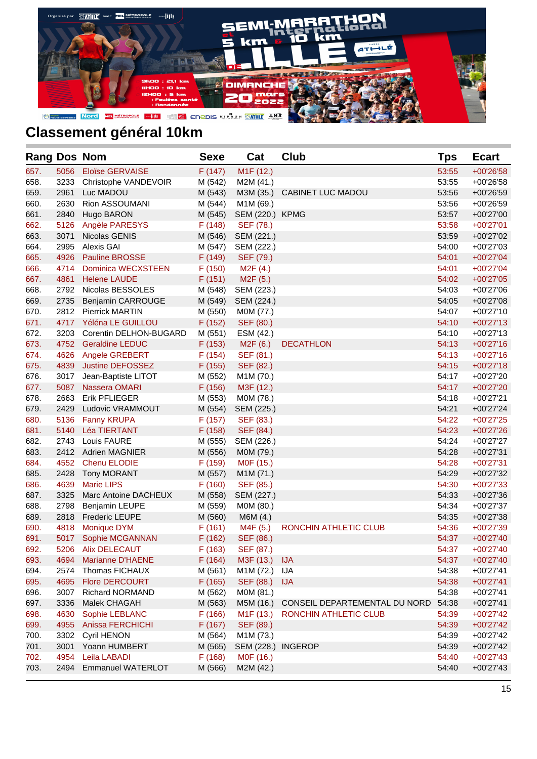

| <b>Rang Dos Nom</b> |      |                           | <b>Sexe</b> | Cat                    | <b>Club</b>                   | <b>Tps</b> | <b>Ecart</b> |
|---------------------|------|---------------------------|-------------|------------------------|-------------------------------|------------|--------------|
| 657.                | 5056 | <b>Eloïse GERVAISE</b>    | F(147)      | M <sub>1</sub> F (12.) |                               | 53:55      | +00'26'58    |
| 658.                | 3233 | Christophe VANDEVOIR      | M (542)     | M2M (41.)              |                               | 53:55      | +00'26'58    |
| 659.                | 2961 | Luc MADOU                 | M (543)     | M3M (35.)              | <b>CABINET LUC MADOU</b>      | 53:56      | +00'26'59    |
| 660.                | 2630 | Rion ASSOUMANI            | M (544)     | M1M (69.)              |                               | 53:56      | +00'26'59    |
| 661.                | 2840 | Hugo BARON                | M (545)     | SEM (220.) KPMG        |                               | 53:57      | +00'27'00    |
| 662.                | 5126 | Angèle PARESYS            | F(148)      | SEF (78.)              |                               | 53:58      | $+00'27'01$  |
| 663.                | 3071 | Nicolas GENIS             | M (546)     | SEM (221.)             |                               | 53:59      | +00'27'02    |
| 664.                | 2995 | Alexis GAI                | M (547)     | SEM (222.)             |                               | 54:00      | +00'27'03    |
| 665.                | 4926 | <b>Pauline BROSSE</b>     | F(149)      | SEF (79.)              |                               | 54:01      | $+00'27'04$  |
| 666.                | 4714 | <b>Dominica WECXSTEEN</b> | F(150)      | M <sub>2</sub> F (4.)  |                               | 54:01      | +00'27'04    |
| 667.                | 4861 | <b>Helene LAUDE</b>       | F(151)      | M <sub>2</sub> F (5.)  |                               | 54:02      | $+00'27'05$  |
| 668.                | 2792 | Nicolas BESSOLES          | M (548)     | SEM (223.)             |                               | 54:03      | +00'27'06    |
| 669.                | 2735 | <b>Benjamin CARROUGE</b>  | M (549)     | SEM (224.)             |                               | 54:05      | +00'27'08    |
| 670.                | 2812 | <b>Pierrick MARTIN</b>    | M (550)     | M0M (77.)              |                               | 54:07      | +00'27'10    |
| 671.                | 4717 | Yéléna LE GUILLOU         | F(152)      | SEF (80.)              |                               | 54:10      | $+00'27'13$  |
| 672.                | 3203 | Corentin DELHON-BUGARD    | M (551)     | ESM (42.)              |                               | 54:10      | +00'27'13    |
| 673.                | 4752 | <b>Geraldine LEDUC</b>    | F(153)      | M <sub>2</sub> F (6.)  | <b>DECATHLON</b>              | 54:13      | $+00'27'16$  |
| 674.                | 4626 | Angele GREBERT            | F(154)      | SEF (81.)              |                               | 54:13      | $+00'27'16$  |
| 675.                | 4839 | <b>Justine DEFOSSEZ</b>   | F(155)      | SEF (82.)              |                               | 54:15      | $+00'27'18$  |
| 676.                | 3017 | Jean-Baptiste LITOT       | M (552)     | M1M (70.)              |                               | 54:17      | +00'27'20    |
| 677.                | 5087 | Nassera OMARI             | F(156)      | M3F (12.)              |                               | 54:17      | +00'27'20    |
| 678.                | 2663 | <b>Erik PFLIEGER</b>      | M (553)     | M0M (78.)              |                               | 54:18      | +00'27'21    |
| 679.                | 2429 | Ludovic VRAMMOUT          | M (554)     | SEM (225.)             |                               | 54:21      | +00'27'24    |
| 680.                | 5136 | <b>Fanny KRUPA</b>        | F(157)      | SEF (83.)              |                               | 54:22      | +00'27'25    |
| 681.                | 5140 | Léa TIERTANT              | F(158)      | SEF (84.)              |                               | 54:23      | +00'27'26    |
| 682.                | 2743 | Louis FAURE               | M (555)     | SEM (226.)             |                               | 54:24      | +00'27'27    |
| 683.                | 2412 | <b>Adrien MAGNIER</b>     | M (556)     | M0M (79.)              |                               | 54:28      | $+00'27'31$  |
| 684.                | 4552 | Chenu ELODIE              | F (159)     | M0F (15.)              |                               | 54:28      | $+00'27'31$  |
| 685.                | 2428 | <b>Tony MORANT</b>        | M (557)     | M1M (71.)              |                               | 54:29      | +00'27'32    |
| 686.                | 4639 | <b>Marie LIPS</b>         | F(160)      | SEF (85.)              |                               | 54:30      | +00'27'33    |
| 687.                | 3325 | Marc Antoine DACHEUX      | M (558)     | SEM (227.)             |                               | 54:33      | +00'27'36    |
| 688.                | 2798 | <b>Benjamin LEUPE</b>     | M (559)     | MOM (80.)              |                               | 54:34      | +00'27'37    |
| 689.                | 2818 | <b>Frederic LEUPE</b>     | M (560)     | M6M (4.)               |                               | 54:35      | +00'27'38    |
| 690.                | 4818 | <b>Monique DYM</b>        | F(161)      | M4F (5.)               | RONCHIN ATHLETIC CLUB         | 54:36      | +00'27'39    |
| 691.                | 5017 | Sophie MCGANNAN           | F(162)      | SEF (86.)              |                               | 54:37      | +00'27'40    |
| 692.                | 5206 | <b>Alix DELECAUT</b>      | F(163)      | SEF (87.)              |                               | 54:37      | +00'27'40    |
| 693.                | 4694 | <b>Marianne D'HAENE</b>   | F(164)      | M3F (13.)              | <b>IJA</b>                    | 54:37      | +00'27'40    |
| 694.                | 2574 | Thomas FICHAUX            | M (561)     | M1M (72.)              | IJА                           | 54:38      | +00'27'41    |
| 695.                | 4695 | <b>Flore DERCOURT</b>     | F(165)      | SEF (88.)              | <b>IJA</b>                    | 54:38      | $+00'27'41$  |
| 696.                | 3007 | <b>Richard NORMAND</b>    | M (562)     | M0M (81.)              |                               | 54:38      | +00'27'41    |
| 697.                | 3336 | Malek CHAGAH              | M (563)     | M5M (16.)              | CONSEIL DEPARTEMENTAL DU NORD | 54:38      | $+00'27'41$  |
| 698.                | 4630 | Sophie LEBLANC            | F(166)      | M <sub>1</sub> F (13.) | RONCHIN ATHLETIC CLUB         | 54:39      | +00'27'42    |
| 699.                | 4955 | Anissa FERCHICHI          | F(167)      | SEF (89.)              |                               | 54:39      | $+00'27'42$  |
| 700.                | 3302 | Cyril HENON               | M (564)     | M1M (73.)              |                               | 54:39      | +00'27'42    |
| 701.                | 3001 | Yoann HUMBERT             | M (565)     | SEM (228.)             | <b>INGEROP</b>                | 54:39      | +00'27'42    |
| 702.                | 4954 | Leila LABADI              | F(168)      | M0F (16.)              |                               | 54:40      | +00'27'43    |
| 703.                | 2494 | <b>Emmanuel WATERLOT</b>  | M (566)     | M2M (42.)              |                               | 54:40      | $+00'27'43$  |
|                     |      |                           |             |                        |                               |            |              |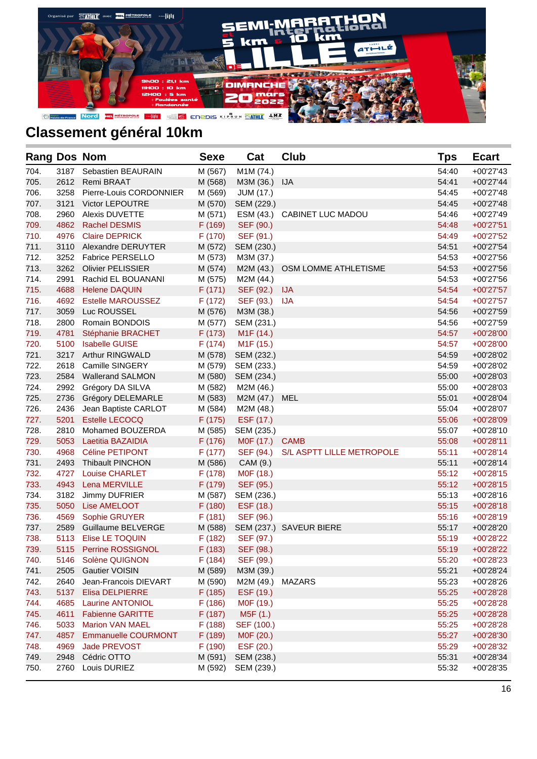

| <b>Rang Dos Nom</b> |      |                            | <b>Sexe</b> | Cat                    | <b>Club</b>                 | Tps   | <b>Ecart</b> |
|---------------------|------|----------------------------|-------------|------------------------|-----------------------------|-------|--------------|
| 704.                | 3187 | Sebastien BEAURAIN         | M (567)     | M1M (74.)              |                             | 54:40 | $+00'27'43$  |
| 705.                |      | 2612 Remi BRAAT            | M (568)     | M3M (36.) IJA          |                             | 54:41 | $+00'27'44$  |
| 706.                | 3258 | Pierre-Louis CORDONNIER    | M (569)     | <b>JUM (17.)</b>       |                             | 54:45 | $+00'27'48$  |
| 707.                | 3121 | <b>Victor LEPOUTRE</b>     | M (570)     | SEM (229.)             |                             | 54:45 | $+00'27'48$  |
| 708.                | 2960 | <b>Alexis DUVETTE</b>      | M (571)     |                        | ESM (43.) CABINET LUC MADOU | 54:46 | $+00'27'49$  |
| 709.                | 4862 | <b>Rachel DESMIS</b>       | F (169)     | SEF (90.)              |                             | 54:48 | $+00'27'51$  |
| 710.                | 4976 | <b>Claire DEPRICK</b>      | F(170)      | SEF (91.)              |                             | 54:49 | $+00'27'52$  |
| 711.                | 3110 | Alexandre DERUYTER         | M (572)     | SEM (230.)             |                             | 54:51 | $+00'27'54$  |
| 712.                |      | 3252 Fabrice PERSELLO      | M (573)     | M3M (37.)              |                             | 54:53 | +00'27'56    |
| 713.                | 3262 | <b>Olivier PELISSIER</b>   | M (574)     | M2M (43.)              | OSM LOMME ATHLETISME        | 54:53 | $+00'27'56$  |
| 714.                | 2991 | Rachid EL BOUANANI         | M (575)     | M2M (44.)              |                             | 54:53 | +00'27'56    |
| 715.                | 4688 | <b>Helene DAQUIN</b>       | F(171)      | SEF (92.)              | <b>IJA</b>                  | 54:54 | $+00'27'57$  |
| 716.                | 4692 | <b>Estelle MAROUSSEZ</b>   | F(172)      | SEF (93.)              | <b>IJA</b>                  | 54:54 | $+00'27'57$  |
| 717.                | 3059 | Luc ROUSSEL                | M (576)     | M3M (38.)              |                             | 54:56 | $+00'27'59$  |
| 718.                | 2800 | Romain BONDOIS             | M (577)     | SEM (231.)             |                             | 54:56 | +00'27'59    |
| 719.                | 4781 | Stéphanie BRACHET          | F(173)      | M <sub>1</sub> F (14.) |                             | 54:57 | $+00'28'00$  |
| 720.                | 5100 | <b>Isabelle GUISE</b>      | F(174)      | M <sub>1</sub> F (15.) |                             | 54:57 | $+00'28'00$  |
| 721.                | 3217 | <b>Arthur RINGWALD</b>     | M (578)     | SEM (232.)             |                             | 54:59 | +00'28'02    |
| 722.                | 2618 | Camille SINGERY            | M (579)     | SEM (233.)             |                             | 54:59 | +00'28'02    |
| 723.                | 2584 | <b>Wallerand SALMON</b>    | M (580)     | SEM (234.)             |                             | 55:00 | $+00'28'03$  |
| 724.                | 2992 | Grégory DA SILVA           | M (582)     | M2M (46.)              |                             | 55:00 | +00'28'03    |
| 725.                | 2736 | Grégory DELEMARLE          | M (583)     | M2M (47.)              | MEL                         | 55:01 | $+00'28'04$  |
| 726.                | 2436 | Jean Baptiste CARLOT       | M (584)     | M2M (48.)              |                             | 55:04 | +00'28'07    |
| 727.                | 5201 | <b>Estelle LECOCQ</b>      | F (175)     | ESF (17.)              |                             | 55:06 | +00'28'09    |
| 728.                | 2810 | Mohamed BOUZERDA           | M (585)     | SEM (235.)             |                             | 55:07 | $+00'28'10$  |
| 729.                | 5053 | Laetitia BAZAIDIA          | F (176)     | M0F (17.)              | <b>CAMB</b>                 | 55:08 | $+00'28'11$  |
| 730.                | 4968 | Céline PETIPONT            | F(177)      | SEF (94.)              | S/L ASPTT LILLE METROPOLE   | 55:11 | $+00'28'14$  |
| 731.                | 2493 | <b>Thibault PINCHON</b>    | M (586)     | CAM (9.)               |                             | 55:11 | $+00'28'14$  |
| 732.                | 4727 | <b>Louise CHARLET</b>      | F(178)      | M0F (18.)              |                             | 55:12 | $+00'28'15$  |
| 733.                | 4943 | Lena MERVILLE              | F (179)     | SEF (95.)              |                             | 55:12 | $+00'28'15$  |
| 734.                | 3182 | Jimmy DUFRIER              | M (587)     | SEM (236.)             |                             | 55:13 | $+00'28'16$  |
| 735.                | 5050 | Lise AMELOOT               | F(180)      | ESF (18.)              |                             | 55:15 | $+00'28'18$  |
| 736.                | 4569 | Sophie GRUYER              | F(181)      | SEF (96.)              |                             | 55:16 | $+00'28'19$  |
| 737.                | 2589 | Guillaume BELVERGE         | M (588)     |                        | SEM (237.) SAVEUR BIERE     | 55:17 | +00'28'20    |
| 738.                | 5113 | Elise LE TOQUIN            | F(182)      | SEF (97.)              |                             | 55:19 | +00'28'22    |
| 739.                |      | 5115 Perrine ROSSIGNOL     | F(183)      | SEF (98.)              |                             | 55:19 | +00'28'22    |
| 740.                | 5146 | Solène QUIGNON             | F(184)      | SEF (99.)              |                             | 55:20 | +00'28'23    |
| 741.                | 2505 | <b>Gautier VOISIN</b>      | M (589)     | M3M (39.)              |                             | 55:21 | +00'28'24    |
| 742.                | 2640 | Jean-Francois DIEVART      | M (590)     | M2M (49.)              | MAZARS                      | 55:23 | +00'28'26    |
| 743.                | 5137 | <b>Elisa DELPIERRE</b>     | F(185)      | ESF (19.)              |                             | 55:25 | +00'28'28    |
| 744.                | 4685 | Laurine ANTONIOL           | F(186)      | M0F (19.)              |                             | 55:25 | +00'28'28    |
| 745.                | 4611 | <b>Fabienne GARITTE</b>    | F(187)      | M5F (1.)               |                             | 55:25 | +00'28'28    |
| 746.                | 5033 | <b>Marion VAN MAEL</b>     | F(188)      | SEF (100.)             |                             | 55:25 | +00'28'28    |
| 747.                | 4857 | <b>Emmanuelle COURMONT</b> | F (189)     | M0F (20.)              |                             | 55:27 | +00'28'30    |
| 748.                | 4969 | Jade PREVOST               | F (190)     | ESF (20.)              |                             | 55:29 | +00'28'32    |
| 749.                | 2948 | Cédric OTTO                | M (591)     | SEM (238.)             |                             | 55:31 | +00'28'34    |
| 750.                | 2760 | Louis DURIEZ               | M (592)     | SEM (239.)             |                             | 55:32 | +00'28'35    |
|                     |      |                            |             |                        |                             |       |              |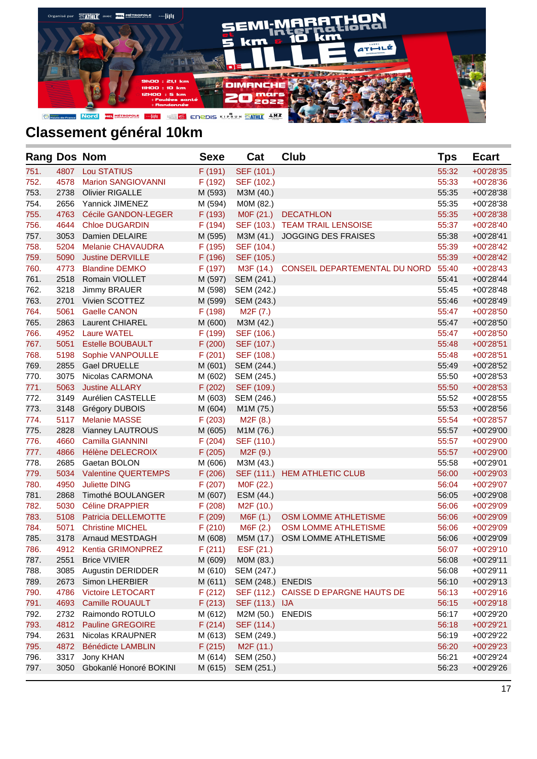

| <b>Rang Dos Nom</b> |      |                            | <b>Sexe</b> | Cat                    | <b>Club</b>                          | Tps   | <b>Ecart</b> |
|---------------------|------|----------------------------|-------------|------------------------|--------------------------------------|-------|--------------|
| 751.                | 4807 | <b>Lou STATIUS</b>         | F(191)      | SEF (101.)             |                                      | 55:32 | $+00'28'35$  |
| 752.                | 4578 | <b>Marion SANGIOVANNI</b>  | F (192)     | SEF (102.)             |                                      | 55:33 | +00'28'36    |
| 753.                | 2738 | <b>Olivier RIGALLE</b>     | M (593)     | M3M (40.)              |                                      | 55:35 | +00'28'38    |
| 754.                | 2656 | Yannick JIMENEZ            | M (594)     | M0M (82.)              |                                      | 55:35 | +00'28'38    |
| 755.                | 4763 | Cécile GANDON-LEGER        | F (193)     | M0F (21.)              | <b>DECATHLON</b>                     | 55:35 | $+00'28'38$  |
| 756.                | 4644 | <b>Chloe DUGARDIN</b>      | F (194)     |                        | SEF (103.) TEAM TRAIL LENSOISE       | 55:37 | $+00'28'40$  |
| 757.                | 3053 | Damien DELAIRE             | M (595)     | M3M (41.)              | JOGGING DES FRAISES                  | 55:38 | $+00'28'41$  |
| 758.                | 5204 | <b>Melanie CHAVAUDRA</b>   | F (195)     | SEF (104.)             |                                      | 55:39 | $+00'28'42$  |
| 759.                | 5090 | <b>Justine DERVILLE</b>    | F (196)     | SEF (105.)             |                                      | 55:39 | +00'28'42    |
| 760.                | 4773 | <b>Blandine DEMKO</b>      | F (197)     | M3F (14.)              | CONSEIL DEPARTEMENTAL DU NORD        | 55:40 | $+00'28'43$  |
| 761.                | 2518 | Romain VIOLLET             | M (597)     | SEM (241.)             |                                      | 55:41 | +00'28'44    |
| 762.                | 3218 | Jimmy BRAUER               | M (598)     | SEM (242.)             |                                      | 55:45 | $+00'28'48$  |
| 763.                | 2701 | Vivien SCOTTEZ             | M (599)     | SEM (243.)             |                                      | 55:46 | $+00'28'49$  |
| 764.                | 5061 | <b>Gaelle CANON</b>        | F (198)     | M2F (7.)               |                                      | 55:47 | $+00'28'50$  |
| 765.                | 2863 | <b>Laurent CHIAREL</b>     | M (600)     | M3M (42.)              |                                      | 55:47 | +00'28'50    |
| 766.                | 4952 | <b>Laure WATEL</b>         | F (199)     | SEF (106.)             |                                      | 55:47 | $+00'28'50$  |
| 767.                | 5051 | <b>Estelle BOUBAULT</b>    | F(200)      | SEF (107.)             |                                      | 55:48 | $+00'28'51$  |
| 768.                | 5198 | Sophie VANPOULLE           | F(201)      | SEF (108.)             |                                      | 55:48 | $+00'28'51$  |
| 769.                | 2855 | <b>Gael DRUELLE</b>        | M (601)     | SEM (244.)             |                                      | 55:49 | +00'28'52    |
| 770.                | 3075 | Nicolas CARMONA            | M (602)     | SEM (245.)             |                                      | 55:50 | $+00'28'53$  |
| 771.                | 5063 | <b>Justine ALLARY</b>      | F(202)      | SEF (109.)             |                                      | 55:50 | $+00'28'53$  |
| 772.                | 3149 | Aurélien CASTELLE          | M (603)     | SEM (246.)             |                                      | 55:52 | $+00'28'55$  |
| 773.                | 3148 | Grégory DUBOIS             | M (604)     | M1M (75.)              |                                      | 55:53 | $+00'28'56$  |
| 774.                | 5117 | <b>Melanie MASSE</b>       | F(203)      | M <sub>2</sub> F (8.)  |                                      | 55:54 | +00'28'57    |
| 775.                | 2828 | Vianney LAUTROUS           | M (605)     | M1M (76.)              |                                      | 55:57 | +00'29'00    |
| 776.                | 4660 | Camilla GIANNINI           | F(204)      | SEF (110.)             |                                      | 55:57 | +00'29'00    |
| 777.                | 4866 | Hélène DELECROIX           | F(205)      | M <sub>2</sub> F (9.)  |                                      | 55:57 | +00'29'00    |
| 778.                | 2685 | Gaetan BOLON               | M (606)     | M3M (43.)              |                                      | 55:58 | $+00'29'01$  |
| 779.                | 5034 | <b>Valentine QUERTEMPS</b> | F(206)      |                        | SEF (111.) HEM ATHLETIC CLUB         | 56:00 | $+00'29'03$  |
| 780.                | 4950 | <b>Juliette DING</b>       | F(207)      | M0F (22.)              |                                      | 56:04 | +00'29'07    |
| 781.                | 2868 | Timothé BOULANGER          | M (607)     | ESM (44.)              |                                      | 56:05 | +00'29'08    |
| 782.                | 5030 | <b>Céline DRAPPIER</b>     | F(208)      | M <sub>2</sub> F (10.) |                                      | 56:06 | +00'29'09    |
| 783.                | 5108 | Patricia DELLEMOTTE        | F(209)      | M6F (1.)               | OSM LOMME ATHLETISME                 | 56:06 | +00'29'09    |
| 784.                | 5071 | <b>Christine MICHEL</b>    | F(210)      | M6F (2.)               | OSM LOMME ATHLETISME                 | 56:06 | +00'29'09    |
| 785.                | 3178 | Arnaud MESTDAGH            | M (608)     | M5M (17.)              | OSM LOMME ATHLETISME                 | 56:06 | +00'29'09    |
| 786.                | 4912 | Kentia GRIMONPREZ          | F(211)      | ESF (21.)              |                                      | 56:07 | +00'29'10    |
| 787.                | 2551 | <b>Brice VIVIER</b>        | M (609)     | M0M (83.)              |                                      | 56:08 | $+00'29'11$  |
| 788.                | 3085 | Augustin DERIDDER          | M (610)     | SEM (247.)             |                                      | 56:08 | $+00'29'11$  |
| 789.                | 2673 | Simon LHERBIER             | M (611)     | SEM (248.) ENEDIS      |                                      | 56:10 | +00'29'13    |
| 790.                | 4786 | <b>Victoire LETOCART</b>   | F(212)      |                        | SEF (112.) CAISSE D EPARGNE HAUTS DE | 56:13 | +00'29'16    |
| 791.                | 4693 | <b>Camille ROUAULT</b>     | F(213)      | SEF (113.) IJA         |                                      | 56:15 | +00'29'18    |
| 792.                | 2732 | Raimondo ROTULO            | M (612)     | M2M (50.)              | <b>ENEDIS</b>                        | 56:17 | +00'29'20    |
| 793.                | 4812 | <b>Pauline GREGOIRE</b>    | F(214)      | SEF (114.)             |                                      | 56:18 | +00'29'21    |
| 794.                | 2631 | Nicolas KRAUPNER           | M (613)     | SEM (249.)             |                                      | 56:19 | +00'29'22    |
| 795.                | 4872 | Bénédicte LAMBLIN          | F(215)      | M <sub>2</sub> F (11.) |                                      | 56:20 | +00'29'23    |
| 796.                | 3317 | Jony KHAN                  | M (614)     | SEM (250.)             |                                      | 56:21 | +00'29'24    |
| 797.                | 3050 | Gbokanlé Honoré BOKINI     | M (615)     | SEM (251.)             |                                      | 56:23 | +00'29'26    |
|                     |      |                            |             |                        |                                      |       |              |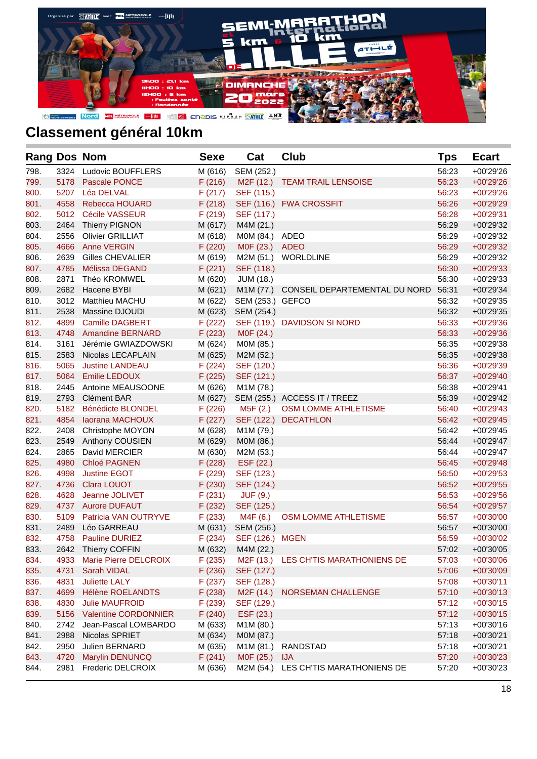

| <b>Rang Dos Nom</b> |      |                             | <b>Sexe</b> | Cat                    | <b>Club</b>                             | <b>Tps</b> | <b>Ecart</b> |
|---------------------|------|-----------------------------|-------------|------------------------|-----------------------------------------|------------|--------------|
| 798.                | 3324 | <b>Ludovic BOUFFLERS</b>    | M (616)     | SEM (252.)             |                                         | 56:23      | +00'29'26    |
| 799.                | 5178 | <b>Pascale PONCE</b>        | F(216)      | M <sub>2</sub> F (12.) | <b>TEAM TRAIL LENSOISE</b>              | 56:23      | +00'29'26    |
| 800.                | 5207 | Léa DELVAL                  | F(217)      | SEF (115.)             |                                         | 56:23      | +00'29'26    |
| 801.                | 4558 | Rebecca HOUARD              | F(218)      |                        | SEF (116.) FWA CROSSFIT                 | 56:26      | +00'29'29    |
| 802.                | 5012 | Cécile VASSEUR              | F(219)      | SEF (117.)             |                                         | 56:28      | +00'29'31    |
| 803.                | 2464 | <b>Thierry PIGNON</b>       | M (617)     | M4M (21.)              |                                         | 56:29      | +00'29'32    |
| 804.                | 2556 | <b>Olivier GRILLIAT</b>     | M (618)     | M0M (84.) ADEO         |                                         | 56:29      | +00'29'32    |
| 805.                | 4666 | <b>Anne VERGIN</b>          | F(220)      | M0F (23.) ADEO         |                                         | 56:29      | +00'29'32    |
| 806.                | 2639 | <b>Gilles CHEVALIER</b>     | M (619)     |                        | M2M (51.) WORLDLINE                     | 56:29      | +00'29'32    |
| 807.                | 4785 | Mélissa DEGAND              | F(221)      | SEF (118.)             |                                         | 56:30      | +00'29'33    |
| 808.                | 2871 | Théo KROMWEL                | M (620)     | JUM (18.)              |                                         | 56:30      | +00'29'33    |
| 809.                | 2682 | Hacene BYBI                 | M (621)     |                        | M1M (77.) CONSEIL DEPARTEMENTAL DU NORD | 56:31      | +00'29'34    |
| 810.                | 3012 | Matthieu MACHU              | M (622)     | SEM (253.) GEFCO       |                                         | 56:32      | +00'29'35    |
| 811.                | 2538 | Massine DJOUDI              | M (623)     | SEM (254.)             |                                         | 56:32      | $+00'29'35$  |
| 812.                | 4899 | <b>Camille DAGBERT</b>      | F(222)      |                        | SEF (119.) DAVIDSON SI NORD             | 56:33      | +00'29'36    |
| 813.                | 4748 | <b>Amandine BERNARD</b>     | F(223)      | M0F (24.)              |                                         | 56:33      | $+00'29'36$  |
| 814.                | 3161 | Jérémie GWIAZDOWSKI         | M (624)     | M0M (85.)              |                                         | 56:35      | +00'29'38    |
| 815.                | 2583 | Nicolas LECAPLAIN           | M (625)     | M2M (52.)              |                                         | 56:35      | +00'29'38    |
| 816.                | 5065 | <b>Justine LANDEAU</b>      | F(224)      | SEF (120.)             |                                         | 56:36      | +00'29'39    |
| 817.                | 5064 | <b>Emilie LEDOUX</b>        | F(225)      | SEF (121.)             |                                         | 56:37      | +00'29'40    |
| 818.                | 2445 | Antoine MEAUSOONE           | M (626)     | M1M (78.)              |                                         | 56:38      | +00'29'41    |
| 819.                | 2793 | Clément BAR                 | M (627)     |                        | SEM (255.) ACCESS IT / TREEZ            | 56:39      | +00'29'42    |
| 820.                | 5182 | <b>Bénédicte BLONDEL</b>    | F(226)      | M5F (2.)               | OSM LOMME ATHLETISME                    | 56:40      | $+00'29'43$  |
| 821.                | 4854 | laorana MACHOUX             | F(227)      |                        | SEF (122.) DECATHLON                    | 56:42      | $+00'29'45$  |
| 822.                | 2408 | Christophe MOYON            | M (628)     | M1M (79.)              |                                         | 56:42      | +00'29'45    |
| 823.                | 2549 | Anthony COUSIEN             | M (629)     | M0M (86.)              |                                         | 56:44      | +00'29'47    |
| 824.                | 2865 | David MERCIER               | M (630)     | M2M (53.)              |                                         | 56:44      | +00'29'47    |
| 825.                | 4980 | Chloé PAGNEN                | F(228)      | ESF (22.)              |                                         | 56:45      | $+00'29'48$  |
| 826.                | 4998 | <b>Justine EGOT</b>         | F (229)     | SEF (123.)             |                                         | 56:50      | $+00'29'53$  |
| 827.                | 4736 | <b>Clara LOUOT</b>          | F(230)      | SEF (124.)             |                                         | 56:52      | +00'29'55    |
| 828.                | 4628 | Jeanne JOLIVET              | F(231)      | <b>JUF (9.)</b>        |                                         | 56:53      | $+00'29'56$  |
| 829.                | 4737 | <b>Aurore DUFAUT</b>        | F(232)      | SEF (125.)             |                                         | 56:54      | $+00'29'57$  |
| 830.                | 5109 | Patricia VAN OUTRYVE        | F(233)      | M4F (6.)               | OSM LOMME ATHLETISME                    | 56:57      | $+00'30'00$  |
| 831.                | 2489 | Léo GARREAU                 | M (631)     | SEM (256.)             |                                         | 56:57      | $+00'30'00$  |
| 832.                | 4758 | <b>Pauline DURIEZ</b>       | F(234)      | SEF (126.) MGEN        |                                         | 56:59      | +00'30'02    |
| 833.                |      | 2642 Thierry COFFIN         | M (632)     | M4M (22.)              |                                         | 57:02      | +00'30'05    |
| 834.                | 4933 | Marie Pierre DELCROIX       | F(235)      |                        | M2F (13.) LES CH'TIS MARATHONIENS DE    | 57:03      | +00'30'06    |
| 835.                | 4731 | <b>Sarah VIDAL</b>          | F(236)      | SEF (127.)             |                                         | 57:06      | +00'30'09    |
| 836.                | 4831 | <b>Juliette LALY</b>        | F(237)      | SEF (128.)             |                                         | 57:08      | $+00'30'11$  |
| 837.                | 4699 | Hélène ROELANDTS            | F(238)      | M2F (14.)              | NORSEMAN CHALLENGE                      | 57:10      | $+00'30'13$  |
| 838.                | 4830 | <b>Julie MAUFROID</b>       | F(239)      | SEF (129.)             |                                         | 57:12      | $+00'30'15$  |
| 839.                | 5156 | <b>Valentine CORDONNIER</b> | F(240)      | ESF (23.)              |                                         | 57:12      | $+00'30'15$  |
| 840.                | 2742 | Jean-Pascal LOMBARDO        | M (633)     | M1M (80.)              |                                         | 57:13      | $+00'30'16$  |
| 841.                | 2988 | Nicolas SPRIET              | M (634)     | M0M (87.)              |                                         | 57:18      | +00'30'21    |
| 842.                | 2950 | Julien BERNARD              | M (635)     | M1M (81.)              | <b>RANDSTAD</b>                         | 57:18      | +00'30'21    |
| 843.                | 4720 | Marylin DENUNCQ             | F(241)      | M0F (25.)              | <b>IJA</b>                              | 57:20      | +00'30'23    |
|                     |      |                             |             |                        |                                         |            |              |
| 844.                | 2981 | Frederic DELCROIX           | M (636)     |                        | M2M (54.) LES CH'TIS MARATHONIENS DE    | 57:20      | +00'30'23    |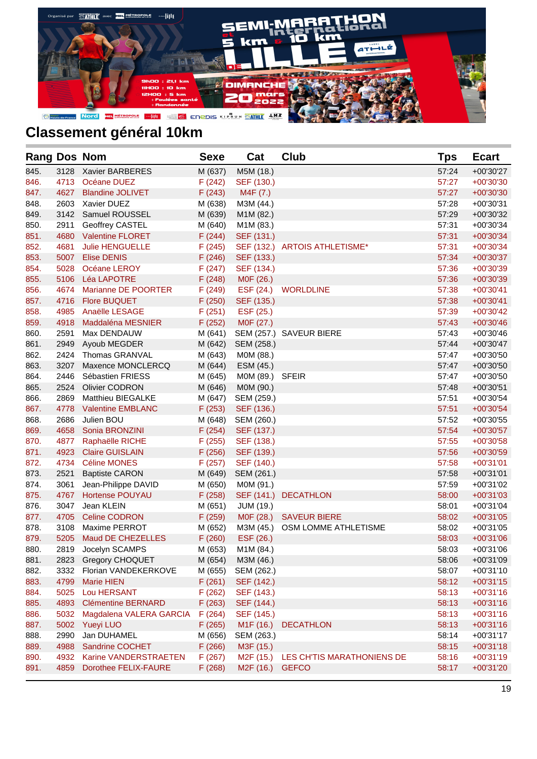

| <b>Rang Dos Nom</b> |      |                           | <b>Sexe</b> | Cat                    | Club                           | Tps   | <b>Ecart</b> |
|---------------------|------|---------------------------|-------------|------------------------|--------------------------------|-------|--------------|
| 845.                | 3128 | Xavier BARBERES           | M (637)     | M5M (18.)              |                                | 57:24 | $+00'30'27$  |
| 846.                | 4713 | Océane DUEZ               | F(242)      | SEF (130.)             |                                | 57:27 | $+00'30'30$  |
| 847.                | 4627 | <b>Blandine JOLIVET</b>   | F(243)      | M4F (7.)               |                                | 57:27 | $+00'30'30$  |
| 848.                | 2603 | Xavier DUEZ               | M (638)     | M3M (44.)              |                                | 57:28 | $+00'30'31$  |
| 849.                | 3142 | Samuel ROUSSEL            | M (639)     | M1M (82.)              |                                | 57:29 | $+00'30'32$  |
| 850.                | 2911 | Geoffrey CASTEL           | M (640)     | M1M (83.)              |                                | 57:31 | $+00'30'34$  |
| 851.                | 4680 | <b>Valentine FLORET</b>   | F(244)      | SEF (131.)             |                                | 57:31 | $+00'30'34$  |
| 852.                | 4681 | <b>Julie HENGUELLE</b>    | F(245)      |                        | SEF (132.) ARTOIS ATHLETISME*  | 57:31 | $+00'30'34$  |
| 853.                | 5007 | <b>Elise DENIS</b>        | F(246)      | SEF (133.)             |                                | 57:34 | +00'30'37    |
| 854.                | 5028 | Océane LEROY              | F(247)      | SEF (134.)             |                                | 57:36 | +00'30'39    |
| 855.                | 5106 | <b>Léa LAPOTRE</b>        | F(248)      | MOF (26.)              |                                | 57:36 | +00'30'39    |
| 856.                | 4674 | Marianne DE POORTER       | F(249)      | ESF (24.)              | <b>WORLDLINE</b>               | 57:38 | $+00'30'41$  |
| 857.                | 4716 | <b>Flore BUQUET</b>       | F(250)      | SEF (135.)             |                                | 57:38 | $+00'30'41$  |
| 858.                | 4985 | Anaëlle LESAGE            | F(251)      | ESF (25.)              |                                | 57:39 | $+00'30'42$  |
| 859.                | 4918 | Maddaléna MESNIER         | F(252)      | M0F (27.)              |                                | 57:43 | $+00'30'46$  |
| 860.                | 2591 | Max DENDAUW               | M (641)     |                        | SEM (257.) SAVEUR BIERE        | 57:43 | $+00'30'46$  |
| 861.                | 2949 | Ayoub MEGDER              | M (642)     | SEM (258.)             |                                | 57:44 | $+00'30'47$  |
| 862.                | 2424 | Thomas GRANVAL            | M (643)     | M0M (88.)              |                                | 57:47 | +00'30'50    |
| 863.                | 3207 | Maxence MONCLERCQ         | M (644)     | ESM (45.)              |                                | 57:47 | $+00'30'50$  |
| 864.                | 2446 | Sébastien FRIESS          | M (645)     | M0M (89.) SFEIR        |                                | 57:47 | +00'30'50    |
| 865.                | 2524 | <b>Olivier CODRON</b>     | M (646)     | M0M (90.)              |                                | 57:48 | $+00'30'51$  |
| 866.                | 2869 | Matthieu BIEGALKE         | M (647)     | SEM (259.)             |                                | 57:51 | $+00'30'54$  |
| 867.                | 4778 | <b>Valentine EMBLANC</b>  | F(253)      | SEF (136.)             |                                | 57:51 | $+00'30'54$  |
| 868.                | 2686 | Julien BOU                | M (648)     | SEM (260.)             |                                | 57:52 | $+00'30'55$  |
| 869.                | 4658 | Sonia BRONZINI            | F(254)      | SEF (137.)             |                                | 57:54 | $+00'30'57$  |
| 870.                | 4877 | Raphaëlle RICHE           | F(255)      | SEF (138.)             |                                | 57:55 | $+00'30'58$  |
| 871.                | 4923 | <b>Claire GUISLAIN</b>    | F(256)      | SEF (139.)             |                                | 57:56 | $+00'30'59$  |
| 872.                | 4734 | <b>Céline MONES</b>       | F(257)      | SEF (140.)             |                                | 57:58 | $+00'31'01$  |
| 873.                | 2521 | <b>Baptiste CARON</b>     | M (649)     | SEM (261.)             |                                | 57:58 | $+00'31'01$  |
| 874.                | 3061 | Jean-Philippe DAVID       | M (650)     | M0M (91.)              |                                | 57:59 | $+00'31'02$  |
| 875.                | 4767 | <b>Hortense POUYAU</b>    | F(258)      | SEF (141.)             | <b>DECATHLON</b>               | 58:00 | $+00'31'03$  |
| 876.                | 3047 | Jean KLEIN                | M (651)     | <b>JUM (19.)</b>       |                                | 58:01 | $+00'31'04$  |
| 877.                | 4705 | <b>Celine CODRON</b>      | F(259)      |                        | M0F (28.) SAVEUR BIERE         | 58:02 | $+00'31'05$  |
| 878.                | 3108 | Maxime PERROT             | M (652)     |                        | M3M (45.) OSM LOMME ATHLETISME | 58:02 | $+00'31'05$  |
| 879.                | 5205 | Maud DE CHEZELLES         | F(260)      | ESF (26.)              |                                | 58:03 | $+00'31'06$  |
| 880.                | 2819 | Jocelyn SCAMPS            | M (653)     | M1M (84.)              |                                | 58:03 | +00'31'06    |
| 881.                | 2823 | <b>Gregory CHOQUET</b>    | M (654)     | M3M (46.)              |                                | 58:06 | +00'31'09    |
| 882.                | 3332 | Florian VANDEKERKOVE      | M (655)     | SEM (262.)             |                                | 58:07 | +00'31'10    |
| 883.                | 4799 | <b>Marie HIEN</b>         | F(261)      | SEF (142.)             |                                | 58:12 | $+00'31'15$  |
| 884.                | 5025 | Lou HERSANT               | F(262)      | SEF (143.)             |                                | 58:13 | $+00'31'16$  |
| 885.                | 4893 | <b>Clémentine BERNARD</b> | F(263)      | SEF (144.)             |                                | 58:13 | $+00'31'16$  |
| 886.                | 5032 | Magdalena VALERA GARCIA   | F(264)      | SEF (145.)             |                                | 58:13 | $+00'31'16$  |
| 887.                | 5002 | Yueyi LUO                 | F(265)      | M <sub>1</sub> F (16.) | <b>DECATHLON</b>               | 58:13 | $+00'31'16$  |
| 888.                | 2990 | Jan DUHAMEL               | M (656)     | SEM (263.)             |                                | 58:14 | $+00'31'17$  |
| 889.                | 4988 | Sandrine COCHET           | F(266)      | M3F (15.)              |                                | 58:15 | $+00'31'18$  |
| 890.                | 4932 | Karine VANDERSTRAETEN     | F(267)      | M2F (15.)              | LES CH'TIS MARATHONIENS DE     | 58:16 | $+00'31'19$  |
| 891.                | 4859 | Dorothee FELIX-FAURE      | F(268)      | M2F (16.)              | <b>GEFCO</b>                   | 58:17 | +00'31'20    |
|                     |      |                           |             |                        |                                |       |              |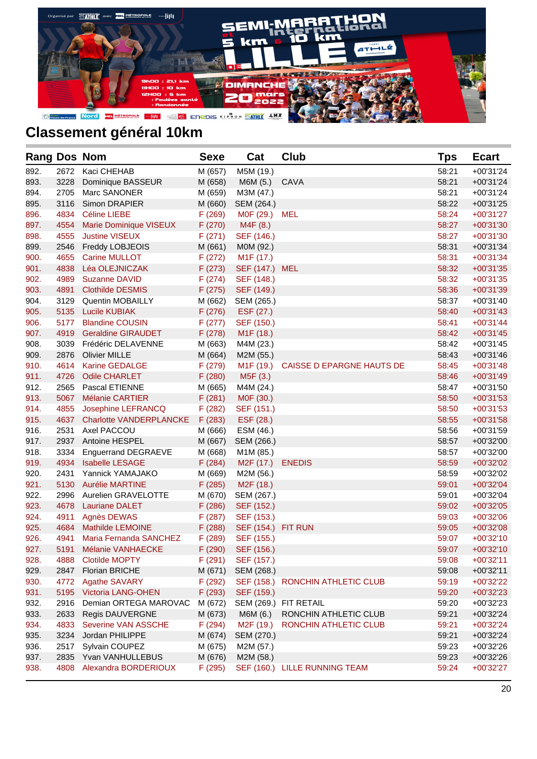

| <b>Rang Dos Nom</b> |      |                                | <b>Sexe</b> | Cat                       | Club                                | Tps   | <b>Ecart</b> |
|---------------------|------|--------------------------------|-------------|---------------------------|-------------------------------------|-------|--------------|
| 892.                | 2672 | Kaci CHEHAB                    | M (657)     | M5M (19.)                 |                                     | 58:21 | $+00'31'24$  |
| 893.                | 3228 | Dominique BASSEUR              | M (658)     | M6M (5.)                  | CAVA                                | 58:21 | $+00'31'24$  |
| 894.                | 2705 | Marc SANONER                   | M (659)     | M3M (47.)                 |                                     | 58:21 | $+00'31'24$  |
| 895.                | 3116 | Simon DRAPIER                  | M (660)     | SEM (264.)                |                                     | 58:22 | $+00'31'25$  |
| 896.                | 4834 | Céline LIEBE                   | F (269)     | M0F (29.)                 | MEL                                 | 58:24 | $+00'31'27$  |
| 897.                | 4554 | Marie Dominique VISEUX         | F(270)      | M4F (8.)                  |                                     | 58:27 | $+00'31'30$  |
| 898.                | 4555 | <b>Justine VISEUX</b>          | F(271)      | SEF (146.)                |                                     | 58:27 | $+00'31'30$  |
| 899.                | 2546 | Freddy LOBJEOIS                | M (661)     | M0M (92.)                 |                                     | 58:31 | $+00'31'34$  |
| 900.                | 4655 | <b>Carine MULLOT</b>           | F(272)      | M <sub>1</sub> F (17.)    |                                     | 58:31 | $+00'31'34$  |
| 901.                | 4838 | Léa OLEJNICZAK                 | F(273)      | SEF (147.) MEL            |                                     | 58:32 | $+00'31'35$  |
| 902.                | 4989 | <b>Suzanne DAVID</b>           | F(274)      | SEF (148.)                |                                     | 58:32 | $+00'31'35$  |
| 903.                | 4891 | <b>Clothilde DESMIS</b>        | F(275)      | SEF (149.)                |                                     | 58:36 | $+00'31'39$  |
| 904.                | 3129 | Quentin MOBAILLY               | M (662)     | SEM (265.)                |                                     | 58:37 | $+00'31'40$  |
| 905.                | 5135 | <b>Lucile KUBIAK</b>           | F(276)      | ESF (27.)                 |                                     | 58:40 | $+00'31'43$  |
| 906.                | 5177 | <b>Blandine COUSIN</b>         | F(277)      | SEF (150.)                |                                     | 58:41 | $+00'31'44$  |
| 907.                | 4919 | <b>Geraldine GIRAUDET</b>      | F(278)      | M <sub>1</sub> F (18.)    |                                     | 58:42 | $+00'31'45$  |
| 908.                | 3039 | Frédéric DELAVENNE             | M (663)     | M4M (23.)                 |                                     | 58:42 | $+00'31'45$  |
| 909.                | 2876 | <b>Olivier MILLE</b>           | M (664)     | M2M (55.)                 |                                     | 58:43 | $+00'31'46$  |
| 910.                | 4614 | <b>Karine GEDALGE</b>          | F(279)      |                           | M1F (19.) CAISSE D EPARGNE HAUTS DE | 58:45 | $+00'31'48$  |
| 911.                | 4726 | <b>Odile CHARLET</b>           | F(280)      | M5F (3.)                  |                                     | 58:46 | $+00'31'49$  |
| 912.                | 2565 | Pascal ETIENNE                 | M (665)     | M4M (24.)                 |                                     | 58:47 | $+00'31'50$  |
| 913.                | 5067 | Mélanie CARTIER                | F(281)      | M0F (30.)                 |                                     | 58:50 | $+00'31'53$  |
| 914.                | 4855 | Josephine LEFRANCQ             | F(282)      | SEF (151.)                |                                     | 58:50 | $+00'31'53$  |
| 915.                | 4637 | <b>Charlotte VANDERPLANCKE</b> | F(283)      | ESF (28.)                 |                                     | 58:55 | $+00'31'58$  |
| 916.                | 2531 | Axel PACCOU                    | M (666)     | ESM (46.)                 |                                     | 58:56 | $+00'31'59$  |
| 917.                | 2937 | Antoine HESPEL                 | M (667)     | SEM (266.)                |                                     | 58:57 | +00'32'00    |
| 918.                | 3334 | <b>Enguerrand DEGRAEVE</b>     | M (668)     | M1M (85.)                 |                                     | 58:57 | +00'32'00    |
| 919.                | 4934 | <b>Isabelle LESAGE</b>         | F(284)      | M <sub>2</sub> F (17.)    | <b>ENEDIS</b>                       | 58:59 | +00'32'02    |
| 920.                | 2431 | Yannick YAMAJAKO               | M (669)     | M2M (56.)                 |                                     | 58:59 | +00'32'02    |
| 921.                | 5130 | <b>Aurélie MARTINE</b>         | F(285)      | M <sub>2</sub> F (18.)    |                                     | 59:01 | +00'32'04    |
| 922.                | 2996 | Aurelien GRAVELOTTE            | M (670)     | SEM (267.)                |                                     | 59:01 | +00'32'04    |
| 923.                | 4678 | <b>Lauriane DALET</b>          | F(286)      | SEF (152.)                |                                     | 59:02 | $+00'32'05$  |
| 924.                | 4911 | Agnès DEWAS                    | F(287)      | SEF (153.)                |                                     | 59:03 | +00'32'06    |
| 925.                | 4684 | <b>Mathilde LEMOINE</b>        | F(288)      | <b>SEF (154.) FIT RUN</b> |                                     | 59:05 | +00'32'08    |
| 926.                | 4941 | Maria Fernanda SANCHEZ         | F (289)     | SEF (155.)                |                                     | 59:07 | $+00'32'10$  |
| 927.                | 5191 | Mélanie VANHAECKE              | F (290)     | SEF (156.)                |                                     | 59:07 | $+00'32'10$  |
| 928.                | 4888 | <b>Clotilde MOPTY</b>          | F(291)      | SEF (157.)                |                                     | 59:08 | $+00'32'11$  |
| 929.                | 2847 | <b>Florian BRICHE</b>          | M (671)     | SEM (268.)                |                                     | 59:08 | $+00'32'11$  |
| 930.                | 4772 | <b>Agathe SAVARY</b>           | F (292)     |                           | SEF (158.) RONCHIN ATHLETIC CLUB    | 59:19 | $+00'32'22$  |
| 931.                | 5195 | <b>Victoria LANG-OHEN</b>      | F (293)     | SEF (159.)                |                                     | 59:20 | +00'32'23    |
| 932.                | 2916 | Demian ORTEGA MAROVAC          | M (672)     |                           | SEM (269.) FIT RETAIL               | 59:20 | $+00'32'23$  |
| 933.                | 2633 | Regis DAUVERGNE                | M (673)     | M6M (6.)                  | RONCHIN ATHLETIC CLUB               | 59:21 | +00'32'24    |
| 934.                | 4833 | Severine VAN ASSCHE            | F (294)     | M <sub>2</sub> F (19.)    | RONCHIN ATHLETIC CLUB               | 59:21 | $+00'32'24$  |
| 935.                | 3234 | Jordan PHILIPPE                | M (674)     | SEM (270.)                |                                     | 59:21 | +00'32'24    |
| 936.                | 2517 | Sylvain COUPEZ                 | M (675)     | M2M (57.)                 |                                     | 59:23 | +00'32'26    |
| 937.                | 2835 | Yvan VANHULLEBUS               | M (676)     | M2M (58.)                 |                                     | 59:23 | $+00'32'26$  |
| 938.                | 4808 | Alexandra BORDERIOUX           | F (295)     |                           | SEF (160.) LILLE RUNNING TEAM       | 59:24 | $+00'32'27$  |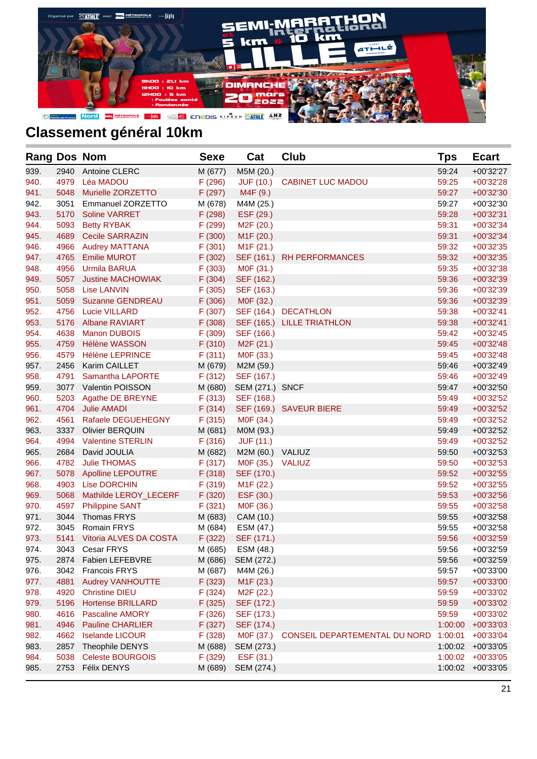

| <b>Rang Dos Nom</b> |      |                          | <b>Sexe</b> | Cat                    | <b>Club</b>                   | Tps     | <b>Ecart</b> |
|---------------------|------|--------------------------|-------------|------------------------|-------------------------------|---------|--------------|
| 939.                | 2940 | <b>Antoine CLERC</b>     | M (677)     | M5M (20.)              |                               | 59:24   | +00'32'27    |
| 940.                | 4979 | Léa MADOU                | F(296)      | <b>JUF (10.)</b>       | <b>CABINET LUC MADOU</b>      | 59:25   | +00'32'28    |
| 941.                | 5048 | Murielle ZORZETTO        | F (297)     | M4F (9.)               |                               | 59:27   | +00'32'30    |
| 942.                | 3051 | Emmanuel ZORZETTO        | M (678)     | M4M (25.)              |                               | 59:27   | $+00'32'30$  |
| 943.                | 5170 | <b>Soline VARRET</b>     | F (298)     | ESF (29.)              |                               | 59:28   | $+00'32'31$  |
| 944.                | 5093 | <b>Betty RYBAK</b>       | F (299)     | M <sub>2</sub> F (20.) |                               | 59:31   | $+00'32'34$  |
| 945.                | 4689 | <b>Cecile SARRAZIN</b>   | F(300)      | M <sub>1</sub> F (20.) |                               | 59:31   | $+00'32'34$  |
| 946.                | 4966 | <b>Audrey MATTANA</b>    | F(301)      | M <sub>1</sub> F (21.) |                               | 59:32   | $+00'32'35$  |
| 947.                | 4765 | <b>Emilie MUROT</b>      | F(302)      |                        | SEF (161.) RH PERFORMANCES    | 59:32   | $+00'32'35$  |
| 948.                | 4956 | <b>Urmila BARUA</b>      | F(303)      | M0F (31.)              |                               | 59:35   | $+00'32'38$  |
| 949.                | 5057 | <b>Justine MACHOWIAK</b> | F(304)      | SEF (162.)             |                               | 59:36   | +00'32'39    |
| 950.                | 5058 | Lise LANVIN              | F(305)      | SEF (163.)             |                               | 59:36   | $+00'32'39$  |
| 951.                | 5059 | <b>Suzanne GENDREAU</b>  | F(306)      | M0F (32.)              |                               | 59:36   | +00'32'39    |
| 952.                | 4756 | <b>Lucie VILLARD</b>     | F(307)      |                        | SEF (164.) DECATHLON          | 59:38   | $+00'32'41$  |
| 953.                | 5176 | <b>Albane RAVIART</b>    | F(308)      |                        | SEF (165.) LILLE TRIATHLON    | 59:38   | $+00'32'41$  |
| 954.                | 4638 | <b>Manon DUBOIS</b>      | F (309)     | SEF (166.)             |                               | 59:42   | $+00'32'45$  |
| 955.                | 4759 | <b>Hélène WASSON</b>     | F(310)      | M <sub>2</sub> F (21.) |                               | 59:45   | $+00'32'48$  |
| 956.                | 4579 | <b>Hélène LEPRINCE</b>   | F(311)      | M0F (33.)              |                               | 59:45   | $+00'32'48$  |
| 957.                | 2456 | Karim CAILLET            | M (679)     | M2M (59.)              |                               | 59:46   | $+00'32'49$  |
| 958.                | 4791 | Samantha LAPORTE         | F(312)      | SEF (167.)             |                               | 59:46   | $+00'32'49$  |
| 959.                |      | 3077 Valentin POISSON    | M (680)     | SEM (271.) SNCF        |                               | 59:47   | +00'32'50    |
| 960.                | 5203 | Agathe DE BREYNE         | F(313)      | SEF (168.)             |                               | 59:49   | $+00'32'52$  |
| 961.                | 4704 | <b>Julie AMADI</b>       | F(314)      |                        | SEF (169.) SAVEUR BIERE       | 59:49   | $+00'32'52$  |
| 962.                | 4561 | Rafaele DEGUEHEGNY       | F(315)      | M0F (34.)              |                               | 59:49   | $+00'32'52$  |
| 963.                | 3337 | <b>Olivier BERQUIN</b>   | M (681)     | M0M (93.)              |                               | 59:49   | $+00'32'52$  |
| 964.                | 4994 | <b>Valentine STERLIN</b> | F(316)      | <b>JUF (11.)</b>       |                               | 59:49   | $+00'32'52$  |
| 965.                | 2684 | David JOULIA             | M (682)     | M2M (60.) VALIUZ       |                               | 59:50   | $+00'32'53$  |
| 966.                | 4782 | <b>Julie THOMAS</b>      | F(317)      | M0F (35.) VALIUZ       |                               | 59:50   | $+00'32'53$  |
| 967.                | 5078 | <b>Apolline LEPOUTRE</b> | F(318)      | SEF (170.)             |                               | 59:52   | $+00'32'55$  |
| 968.                | 4903 | <b>Lise DORCHIN</b>      | F(319)      | M <sub>1</sub> F (22.) |                               | 59:52   | $+00'32'55$  |
| 969.                | 5068 | Mathilde LEROY_LECERF    | F(320)      | ESF (30.)              |                               | 59:53   | +00'32'56    |
| 970.                | 4597 | <b>Philippine SANT</b>   | F(321)      | M0F (36.)              |                               | 59:55   | $+00'32'58$  |
| 971.                | 3044 | Thomas FRYS              | M (683)     | CAM (10.)              |                               | 59:55   | +00'32'58    |
| 972.                | 3045 | <b>Romain FRYS</b>       | M (684)     | ESM (47.)              |                               | 59:55   | +00'32'58    |
| 973.                | 5141 | Vitoria ALVES DA COSTA   | F(322)      | SEF (171.)             |                               | 59:56   | +00'32'59    |
| 974.                |      | 3043 Cesar FRYS          | M (685)     | ESM (48.)              |                               | 59:56   | +00'32'59    |
| 975.                | 2874 | <b>Fabien LEFEBVRE</b>   | M (686)     | SEM (272.)             |                               | 59:56   | +00'32'59    |
| 976.                | 3042 | <b>Francois FRYS</b>     | M (687)     | M4M (26.)              |                               | 59:57   | +00'33'00    |
| 977.                | 4881 | <b>Audrey VANHOUTTE</b>  | F(323)      | M <sub>1</sub> F (23.) |                               | 59:57   | +00'33'00    |
| 978.                | 4920 | <b>Christine DIEU</b>    | F(324)      | M <sub>2</sub> F (22.) |                               | 59:59   | +00'33'02    |
| 979.                | 5196 | <b>Hortense BRILLARD</b> | F(325)      | SEF (172.)             |                               | 59:59   | +00'33'02    |
| 980.                | 4616 | <b>Pascaline AMORY</b>   | F(326)      | SEF (173.)             |                               | 59:59   | +00'33'02    |
| 981.                | 4946 | <b>Pauline CHARLIER</b>  | F (327)     | SEF (174.)             |                               | 1:00:00 | $+00'33'03$  |
| 982.                | 4662 | <b>Iselande LICOUR</b>   | F(328)      | M0F (37.)              | CONSEIL DEPARTEMENTAL DU NORD | 1:00:01 | +00'33'04    |
| 983.                | 2857 | Theophile DENYS          | M (688)     | SEM (273.)             |                               | 1:00:02 | $+00'33'05$  |
| 984.                | 5038 | <b>Celeste BOURGOIS</b>  | F (329)     | ESF (31.)              |                               | 1:00:02 | $+00'33'05$  |
| 985.                | 2753 | Félix DENYS              | M (689)     | SEM (274.)             |                               | 1:00:02 | +00'33'05    |
|                     |      |                          |             |                        |                               |         |              |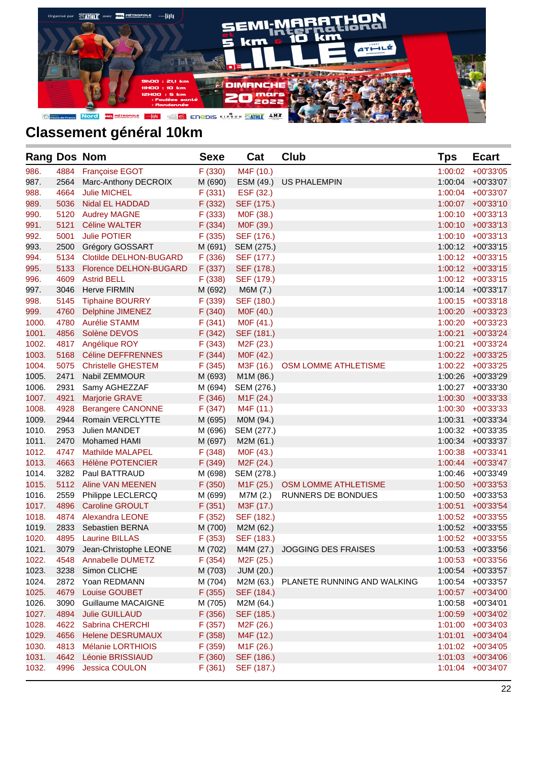

| <b>Rang Dos Nom</b> |      |                            | <b>Sexe</b> | Cat                    | <b>Club</b>                           | <b>Tps</b> | <b>Ecart</b>         |
|---------------------|------|----------------------------|-------------|------------------------|---------------------------------------|------------|----------------------|
| 986.                | 4884 | <b>Françoise EGOT</b>      | F(330)      | M4F (10.)              |                                       | 1:00:02    | $+00'33'05$          |
| 987.                | 2564 | Marc-Anthony DECROIX       | M (690)     | ESM (49.)              | <b>US PHALEMPIN</b>                   | 1:00:04    | +00'33'07            |
| 988.                | 4664 | <b>Julie MICHEL</b>        | F(331)      | ESF (32.)              |                                       |            | 1:00:04 +00'33'07    |
| 989.                | 5036 | Nidal EL HADDAD            | F(332)      | SEF (175.)             |                                       | 1:00:07    | $+00'33'10$          |
| 990.                | 5120 | <b>Audrey MAGNE</b>        | F(333)      | M0F (38.)              |                                       |            | 1:00:10 +00'33'13    |
| 991.                | 5121 | <b>Céline WALTER</b>       | F(334)      | M0F (39.)              |                                       |            | 1:00:10 +00'33'13    |
| 992.                | 5001 | <b>Julie POTIER</b>        | F(335)      | SEF (176.)             |                                       |            | 1:00:10 +00'33'13    |
| 993.                | 2500 | Grégory GOSSART            | M (691)     | SEM (275.)             |                                       |            | 1:00:12 +00'33'15    |
| 994.                | 5134 | Clotilde DELHON-BUGARD     | F(336)      | SEF (177.)             |                                       |            | 1:00:12 +00'33'15    |
| 995.                | 5133 | Florence DELHON-BUGARD     | F(337)      | SEF (178.)             |                                       |            | 1:00:12 +00'33'15    |
| 996.                | 4609 | <b>Astrid BELL</b>         | F(338)      | SEF (179.)             |                                       |            | 1:00:12 +00'33'15    |
| 997.                | 3046 | <b>Herve FIRMIN</b>        | M (692)     | M6M (7.)               |                                       |            | 1:00:14 +00'33'17    |
| 998.                | 5145 | <b>Tiphaine BOURRY</b>     | F (339)     | SEF (180.)             |                                       |            | 1:00:15 +00'33'18    |
| 999.                | 4760 | <b>Delphine JIMENEZ</b>    | F(340)      | M0F (40.)              |                                       |            | 1:00:20 +00'33'23    |
| 1000.               | 4780 | <b>Aurélie STAMM</b>       | F(341)      | MOF (41.)              |                                       |            | 1:00:20 +00'33'23    |
| 1001.               | 4856 | Solène DEVOS               | F(342)      | SEF (181.)             |                                       | 1:00:21    | $+00'33'24$          |
| 1002.               | 4817 | Angélique ROY              | F(343)      | M <sub>2</sub> F (23.) |                                       | 1:00:21    | +00'33'24            |
| 1003.               | 5168 | Céline DEFFRENNES          | F(344)      | M0F (42.)              |                                       |            | 1:00:22 +00'33'25    |
| 1004.               | 5075 | <b>Christelle GHESTEM</b>  | F(345)      | M3F (16.)              | OSM LOMME ATHLETISME                  |            | 1:00:22 +00'33'25    |
| 1005.               | 2471 | Nabil ZEMMOUR              | M (693)     | M1M (86.)              |                                       | 1:00:26    | +00'33'29            |
| 1006.               | 2931 | Samy AGHEZZAF              | M (694)     | SEM (276.)             |                                       | 1:00:27    | +00'33'30            |
| 1007.               | 4921 | Marjorie GRAVE             | F(346)      | M <sub>1</sub> F (24.) |                                       | 1:00:30    | +00'33'33            |
| 1008.               | 4928 | <b>Berangere CANONNE</b>   | F(347)      | M4F (11.)              |                                       |            | $1:00:30 + 00'33'33$ |
| 1009.               | 2944 | Romain VERCLYTTE           | M (695)     | MOM (94.)              |                                       | 1:00:31    | $+00'33'34$          |
| 1010.               | 2953 | <b>Julien MANDET</b>       | M (696)     | SEM (277.)             |                                       |            | 1:00:32 +00'33'35    |
| 1011.               | 2470 | <b>Mohamed HAMI</b>        | M (697)     | M2M (61.)              |                                       | 1:00:34    | +00'33'37            |
| 1012.               | 4747 | <b>Mathilde MALAPEL</b>    | F(348)      | MOF (43.)              |                                       |            | 1:00:38 +00'33'41    |
| 1013.               | 4663 | Hélène POTENCIER           | F (349)     | M <sub>2</sub> F (24.) |                                       | 1:00:44    | $+00'33'47$          |
| 1014.               | 3282 | Paul BATTRAUD              | M (698)     | SEM (278.)             |                                       |            | 1:00:46 +00'33'49    |
| 1015.               | 5112 | <b>Aline VAN MEENEN</b>    | F(350)      | M <sub>1</sub> F (25.) | OSM LOMME ATHLETISME                  | 1:00:50    | $+00'33'53$          |
| 1016.               | 2559 | Philippe LECLERCQ          | M (699)     | M7M (2.)               | RUNNERS DE BONDUES                    | 1:00:50    | +00'33'53            |
| 1017.               | 4896 | <b>Caroline GROULT</b>     | F(351)      | M3F (17.)              |                                       | 1:00:51    | $+00'33'54$          |
| 1018.               | 4874 | <b>Alexandra LEONE</b>     | F(352)      | SEF (182.)             |                                       |            | 1:00:52 +00'33'55    |
| 1019.               | 2833 | <b>Sebastien BERNA</b>     | M (700)     | M2M (62.)              |                                       |            | 1:00:52 +00'33'55    |
| 1020.               | 4895 | <b>Laurine BILLAS</b>      | F(353)      | SEF (183.)             |                                       |            | 1:00:52 +00'33'55    |
| 1021.               |      | 3079 Jean-Christophe LEONE | M (702)     |                        | M4M (27.) JOGGING DES FRAISES         |            | 1:00:53 +00'33'56    |
| 1022.               | 4548 | <b>Annabelle DUMETZ</b>    | F(354)      | M <sub>2</sub> F (25.) |                                       |            | 1:00:53 +00'33'56    |
| 1023.               | 3238 | Simon CLICHE               | M (703)     | JUM (20.)              |                                       |            | 1:00:54 +00'33'57    |
| 1024.               | 2872 | Yoan REDMANN               | M (704)     |                        | M2M (63.) PLANETE RUNNING AND WALKING |            | 1:00:54 +00'33'57    |
| 1025.               | 4679 | Louise GOUBET              | F(355)      | SEF (184.)             |                                       |            | 1:00:57 +00'34'00    |
| 1026.               | 3090 | Guillaume MACAIGNE         | M (705)     | M2M (64.)              |                                       | 1:00:58    | +00'34'01            |
| 1027.               | 4894 | <b>Julie GUILLAUD</b>      | F(356)      | SEF (185.)             |                                       | 1:00:59    | $+00'34'02$          |
| 1028.               | 4622 | Sabrina CHERCHI            | F(357)      | M2F (26.)              |                                       |            | 1:01:00 +00'34'03    |
| 1029.               | 4656 | <b>Helene DESRUMAUX</b>    | F(358)      | M4F (12.)              |                                       | 1:01:01    | $+00'34'04$          |
| 1030.               | 4813 | Mélanie LORTHIOIS          | F (359)     | M <sub>1</sub> F (26.) |                                       |            | 1:01:02 +00'34'05    |
| 1031.               | 4642 | <b>Léonie BRISSIAUD</b>    | F(360)      | SEF (186.)             |                                       |            | 1:01:03 +00'34'06    |
| 1032.               | 4996 | Jessica COULON             | F(361)      | SEF (187.)             |                                       |            | 1:01:04 +00'34'07    |
|                     |      |                            |             |                        |                                       |            |                      |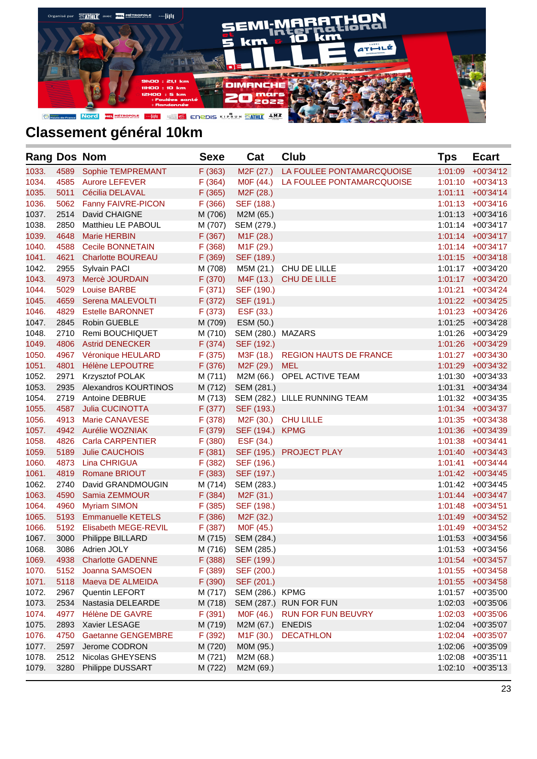

| <b>Rang Dos Nom</b> |      |                           | <b>Sexe</b> | Cat                    | <b>Club</b>                   | Tps     | <b>Ecart</b>         |
|---------------------|------|---------------------------|-------------|------------------------|-------------------------------|---------|----------------------|
| 1033.               | 4589 | Sophie TEMPREMANT         | F(363)      | M <sub>2</sub> F (27.) | LA FOULEE PONTAMARCQUOISE     | 1:01:09 | $+00'34'12$          |
| 1034.               | 4585 | <b>Aurore LEFEVER</b>     | F(364)      | M0F (44.)              | LA FOULEE PONTAMARCQUOISE     |         | $1:01:10 + 00'34'13$ |
| 1035.               | 5011 | Cécilia DELAVAL           | F(365)      | M <sub>2</sub> F (28.) |                               | 1:01:11 | $+00'34'14$          |
| 1036.               | 5062 | <b>Fanny FAIVRE-PICON</b> | F(366)      | SEF (188.)             |                               |         | $1:01:13 + 00'34'16$ |
| 1037.               | 2514 | David CHAIGNE             | M (706)     | M2M (65.)              |                               |         | 1:01:13 +00'34'16    |
| 1038.               | 2850 | Matthieu LE PABOUL        | M (707)     | SEM (279.)             |                               |         | 1:01:14 +00'34'17    |
| 1039.               | 4648 | <b>Marie HERBIN</b>       | F(367)      | M <sub>1</sub> F (28.) |                               |         | $1:01:14$ +00'34'17  |
| 1040.               | 4588 | <b>Cecile BONNETAIN</b>   | F(368)      | M <sub>1</sub> F (29.) |                               |         | 1:01:14 +00'34'17    |
| 1041.               | 4621 | <b>Charlotte BOUREAU</b>  | F (369)     | SEF (189.)             |                               |         | 1:01:15 +00'34'18    |
| 1042.               | 2955 | <b>Sylvain PACI</b>       | M (708)     |                        | M5M (21.) CHU DE LILLE        |         | 1:01:17 +00'34'20    |
| 1043.               | 4973 | Mercè JOURDAIN            | F (370)     | M4F (13.)              | CHU DE LILLE                  |         | 1:01:17 +00'34'20    |
| 1044.               | 5029 | <b>Louise BARBE</b>       | F(371)      | SEF (190.)             |                               | 1:01:21 | +00'34'24            |
| 1045.               | 4659 | Serena MALEVOLTI          | F (372)     | SEF (191.)             |                               |         | $1:01:22$ +00'34'25  |
| 1046.               | 4829 | <b>Estelle BARONNET</b>   | F(373)      | ESF (33.)              |                               |         | 1:01:23 +00'34'26    |
| 1047.               | 2845 | Robin GUEBLE              | M (709)     | ESM (50.)              |                               | 1:01:25 | +00'34'28            |
| 1048.               | 2710 | <b>Remi BOUCHIQUET</b>    | M (710)     | SEM (280.) MAZARS      |                               |         | 1:01:26 +00'34'29    |
| 1049.               | 4806 | <b>Astrid DENECKER</b>    | F(374)      | SEF (192.)             |                               |         | 1:01:26 +00'34'29    |
| 1050.               | 4967 | Véronique HEULARD         | F(375)      | M3F (18.)              | <b>REGION HAUTS DE FRANCE</b> |         | 1:01:27 +00'34'30    |
| 1051.               | 4801 | <b>Hélène LEPOUTRE</b>    | F (376)     | M2F (29.)              | <b>MEL</b>                    |         | 1:01:29 +00'34'32    |
| 1052.               | 2971 | <b>Krzysztof POLAK</b>    | M (711)     | M2M (66.)              | OPEL ACTIVE TEAM              |         | 1:01:30 +00'34'33    |
| 1053.               | 2935 | Alexandros KOURTINOS      | M (712)     | SEM (281.)             |                               | 1:01:31 | $+00'34'34$          |
| 1054.               | 2719 | <b>Antoine DEBRUE</b>     | M (713)     |                        | SEM (282.) LILLE RUNNING TEAM |         | 1:01:32 +00'34'35    |
| 1055.               | 4587 | <b>Julia CUCINOTTA</b>    | F(377)      | SEF (193.)             |                               |         | $1:01:34$ +00'34'37  |
| 1056.               | 4913 | <b>Marie CANAVESE</b>     | F(378)      | M2F (30.)              | <b>CHU LILLE</b>              |         | $1:01:35$ +00'34'38  |
| 1057.               | 4942 | <b>Aurélie WOZNIAK</b>    | F (379)     | SEF (194.) KPMG        |                               |         | 1:01:36 +00'34'39    |
| 1058.               | 4826 | <b>Carla CARPENTIER</b>   | F(380)      | ESF (34.)              |                               |         | 1:01:38 +00'34'41    |
| 1059.               | 5189 | <b>Julie CAUCHOIS</b>     | F(381)      |                        | SEF (195.) PROJECT PLAY       | 1:01:40 | $+00'34'43$          |
| 1060.               | 4873 | Lina CHRIGUA              | F(382)      | SEF (196.)             |                               | 1:01:41 | $+00'34'44$          |
| 1061.               | 4819 | <b>Romane BRIOUT</b>      | F(383)      | SEF (197.)             |                               |         | 1:01:42 +00'34'45    |
| 1062.               | 2740 | David GRANDMOUGIN         | M (714)     | SEM (283.)             |                               |         | 1:01:42 +00'34'45    |
| 1063.               | 4590 | Samia ZEMMOUR             | F(384)      | M <sub>2</sub> F (31.) |                               | 1:01:44 | +00'34'47            |
| 1064.               | 4960 | <b>Myriam SIMON</b>       | F(385)      | SEF (198.)             |                               |         | 1:01:48 +00'34'51    |
| 1065.               | 5193 | <b>Emmanuelle KETELS</b>  | F(386)      | M <sub>2</sub> F (32.) |                               | 1:01:49 | +00'34'52            |
| 1066.               | 5192 | Elisabeth MEGE-REVIL      | F(387)      | M0F (45.)              |                               | 1:01:49 | +00'34'52            |
| 1067.               | 3000 | Philippe BILLARD          | M (715)     | SEM (284.)             |                               | 1:01:53 | +00'34'56            |
| 1068.               |      | 3086 Adrien JOLY          | M (716)     | SEM (285.)             |                               |         | 1:01:53 +00'34'56    |
| 1069.               | 4938 | <b>Charlotte GADENNE</b>  | F(388)      | SEF (199.)             |                               | 1:01:54 | +00'34'57            |
| 1070.               | 5152 | Joanna SAMSOEN            | F (389)     | SEF (200.)             |                               | 1:01:55 | +00'34'58            |
| 1071.               | 5118 | Maeva DE ALMEIDA          | F (390)     | SEF (201.)             |                               | 1:01:55 | $+00'34'58$          |
| 1072.               | 2967 | Quentin LEFORT            | M (717)     | SEM (286.) KPMG        |                               | 1:01:57 | +00'35'00            |
| 1073.               | 2534 | Nastasia DELEARDE         | M (718)     | SEM (287.)             | <b>RUN FOR FUN</b>            | 1:02:03 | +00'35'06            |
| 1074.               | 4977 | Hélène DE GAVRE           | F(391)      | M0F (46.)              | RUN FOR FUN BEUVRY            | 1:02:03 | +00'35'06            |
| 1075.               | 2893 | Xavier LESAGE             | M (719)     | M2M (67.)              | <b>ENEDIS</b>                 | 1:02:04 | +00'35'07            |
| 1076.               | 4750 | <b>Gaetanne GENGEMBRE</b> | F (392)     | M <sub>1</sub> F (30.) | <b>DECATHLON</b>              | 1:02:04 | +00'35'07            |
| 1077.               | 2597 | Jerome CODRON             | M (720)     | M0M (95.)              |                               | 1:02:06 | +00'35'09            |
| 1078.               | 2512 | Nicolas GHEYSENS          | M (721)     | M2M (68.)              |                               | 1:02:08 | $+00'35'11$          |
| 1079.               | 3280 | Philippe DUSSART          | M (722)     | M2M (69.)              |                               | 1:02:10 | $+00'35'13$          |
|                     |      |                           |             |                        |                               |         |                      |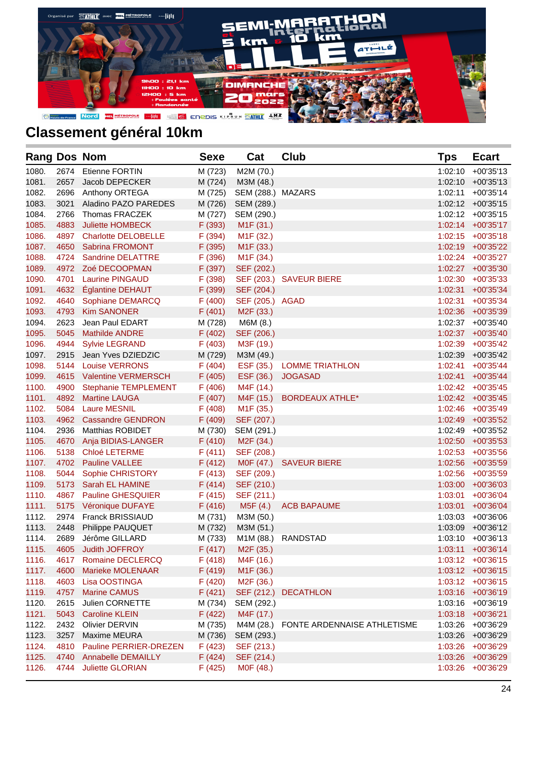

| M (723)<br>M2M (70.)<br>$+00'35'13$<br>1080.<br>2674<br>Etienne FORTIN<br>1:02:10<br>1081.<br>2657<br>Jacob DEPECKER<br>M (724)<br>M3M (48.)<br>1:02:10<br>$+00'35'13$<br>1082.<br>2696<br>Anthony ORTEGA<br>M (725)<br>SEM (288.) MAZARS<br>1:02:11<br>$+00'35'14$<br>1083.<br>Aladino PAZO PAREDES<br>3021<br>M (726)<br>SEM (289.)<br>$1:02:12 + 00'35'15$<br>1084.<br>2766<br>Thomas FRACZEK<br>M (727)<br>SEM (290.)<br>$1:02:12 + 00'35'15$<br>1085.<br>4883<br><b>Juliette HOMBECK</b><br>F (393)<br>M <sub>1</sub> F (31.)<br>$1:02:14$ +00'35'17<br>1086.<br>4897<br><b>Charlotte DELOBELLE</b><br>F (394)<br>M <sub>1</sub> F (32.)<br>$1:02:15$ +00'35'18<br>1087.<br>M <sub>1</sub> F (33.)<br>4650<br><b>Sabrina FROMONT</b><br>F (395)<br>1:02:19 +00'35'22<br>1088.<br>4724<br>Sandrine DELATTRE<br>F (396)<br>M <sub>1</sub> F (34.)<br>1:02:24 +00'35'27<br>1089.<br>4972 Zoé DECOOPMAN<br>F (397)<br>SEF (202.)<br>1:02:27 +00'35'30<br>1090.<br><b>Laurine PINGAUD</b><br>SEF (203.) SAVEUR BIERE<br>4701<br>F (398)<br>1:02:30 +00'35'33<br>1091.<br>Églantine DEHAUT<br>F (399)<br>SEF (204.)<br>4632<br>1:02:31<br>$+00'35'34$<br>1092.<br>4640<br>Sophiane DEMARCQ<br>F(400)<br>SEF (205.) AGAD<br>1:02:31<br>+00'35'34<br>1093.<br><b>Kim SANONER</b><br>4793<br>F(401)<br>M <sub>2</sub> F (33.)<br>1:02:36 +00'35'39<br>1094.<br>2623<br>Jean Paul EDART<br>M (728)<br>M6M (8.)<br>1:02:37 +00'35'40<br>1095.<br>5045<br><b>Mathilde ANDRE</b><br>F(402)<br>SEF (206.)<br>1:02:37 +00'35'40<br>1096.<br>4944<br><b>Sylvie LEGRAND</b><br>F(403)<br>M3F (19.)<br>1:02:39 +00'35'42<br>1097.<br>2915<br>Jean Yves DZIEDZIC<br>M (729)<br>M3M (49.)<br>1:02:39<br>+00'35'42<br>1098.<br>ESF (35.) LOMME TRIATHLON<br>5144<br><b>Louise VERRONS</b><br>F(404)<br>1:02:41<br>+00'35'44<br>1099.<br>4615<br><b>Valentine VERMERSCH</b><br>F(405)<br>ESF (36.)<br><b>JOGASAD</b><br>1:02:41<br>+00'35'44<br>1100.<br>4900<br>Stephanie TEMPLEMENT<br>F(406)<br>M4F (14.)<br>1:02:42 +00'35'45<br>1101.<br><b>Martine LAUGA</b><br>M4F (15.)<br><b>BORDEAUX ATHLE*</b><br>4892<br>F(407)<br>1:02:42 +00'35'45<br>1102.<br>5084<br><b>Laure MESNIL</b><br>F(408)<br>M <sub>1</sub> F (35.)<br>1:02:46 +00'35'49<br>1103.<br>4962<br><b>Cassandre GENDRON</b><br>F (409)<br>SEF (207.)<br>1:02:49<br>+00'35'52<br>1104.<br>2936<br><b>Matthias ROBIDET</b><br>M (730)<br>SEM (291.)<br>1:02:49 +00'35'52<br>1105.<br>4670<br>Anja BIDIAS-LANGER<br>F(410)<br>M <sub>2</sub> F (34.)<br>1:02:50<br>+00'35'53<br>1106.<br>5138<br><b>Chloé LETERME</b><br>F(411)<br>SEF (208.)<br>1:02:53 +00'35'56<br>1107.<br>4702 Pauline VALLEE<br>F(412)<br>M0F (47.)<br><b>SAVEUR BIERE</b><br>1:02:56<br>+00'35'59<br>1108.<br>5044<br>Sophie CHRISTORY<br>F(413)<br>SEF (209.)<br>1:02:56 +00'35'59<br>1109.<br>5173<br>Sarah EL HAMINE<br>F(414)<br>SEF (210.)<br>1:03:00<br>+00'36'03<br>1110.<br>4867<br><b>Pauline GHESQUIER</b><br>F(415)<br>1:03:01<br>$+00'36'04$<br>SEF (211.)<br>1111.<br>5175<br>Véronique DUFAYE<br>F(416)<br>M5F(4.)<br><b>ACB BAPAUME</b><br>1:03:01<br>$+00'36'04$<br>1112.<br><b>Franck BRISSIAUD</b><br>2974<br>M (731)<br>M3M (50.)<br>1:03:03<br>+00'36'06<br>1113.<br>2448<br>Philippe PAUQUET<br>M (732)<br>M3M (51.)<br>1:03:09<br>$+00'36'12$<br>1114.<br>2689<br>Jérôme GILLARD<br>M (733)<br>M1M (88.) RANDSTAD<br>1:03:10<br>+00'36'13<br>1115.<br>4605<br><b>Judith JOFFROY</b><br>F(417)<br>M <sub>2</sub> F (35.)<br>1:03:11 +00'36'14<br>4617 Romaine DECLERCQ<br>F(418)<br>M4F (16.)<br>1:03:12 +00'36'15<br>1116.<br>1117.<br>4600<br>F(419)<br>Marieke MOLENAAR<br>M <sub>1</sub> F (36.)<br>1:03:12 +00'36'15<br>1118.<br>4603<br>Lisa OOSTINGA<br>F(420)<br>M <sub>2</sub> F (36.)<br>1:03:12 +00'36'15<br>1119.<br>4757<br><b>Marine CAMUS</b><br>F(421)<br>SEF (212.)<br><b>DECATHLON</b><br>1:03:16 +00'36'19<br>1120.<br>2615<br>Julien CORNETTE<br>M (734)<br>1:03:16<br>SEM (292.)<br>+00'36'19<br>1121.<br>F(422)<br>M4F (17.)<br>5043<br><b>Caroline KLEIN</b><br>1:03:18<br>$+00'36'21$<br>1122.<br>2432<br>Olivier DERVIN<br>M (735)<br>M4M (28.) FONTE ARDENNAISE ATHLETISME<br>1:03:26<br>+00'36'29<br>1123.<br>3257<br>Maxime MEURA<br>M (736)<br>SEM (293.)<br>1:03:26<br>+00'36'29<br>1124.<br>F(423)<br>4810<br>Pauline PERRIER-DREZEN<br>SEF (213.)<br>1:03:26<br>+00'36'29<br>1125.<br>F(424)<br>SEF (214.)<br>1:03:26<br>4740<br><b>Annabelle DEMAILLY</b><br>+00'36'29<br>1126.<br>4744<br><b>Juliette GLORIAN</b><br>F(425)<br>MOF (48.)<br>1:03:26 +00'36'29 | <b>Rang Dos Nom</b> |  | <b>Sexe</b> | Cat | <b>Club</b> | Tps | <b>Ecart</b> |
|--------------------------------------------------------------------------------------------------------------------------------------------------------------------------------------------------------------------------------------------------------------------------------------------------------------------------------------------------------------------------------------------------------------------------------------------------------------------------------------------------------------------------------------------------------------------------------------------------------------------------------------------------------------------------------------------------------------------------------------------------------------------------------------------------------------------------------------------------------------------------------------------------------------------------------------------------------------------------------------------------------------------------------------------------------------------------------------------------------------------------------------------------------------------------------------------------------------------------------------------------------------------------------------------------------------------------------------------------------------------------------------------------------------------------------------------------------------------------------------------------------------------------------------------------------------------------------------------------------------------------------------------------------------------------------------------------------------------------------------------------------------------------------------------------------------------------------------------------------------------------------------------------------------------------------------------------------------------------------------------------------------------------------------------------------------------------------------------------------------------------------------------------------------------------------------------------------------------------------------------------------------------------------------------------------------------------------------------------------------------------------------------------------------------------------------------------------------------------------------------------------------------------------------------------------------------------------------------------------------------------------------------------------------------------------------------------------------------------------------------------------------------------------------------------------------------------------------------------------------------------------------------------------------------------------------------------------------------------------------------------------------------------------------------------------------------------------------------------------------------------------------------------------------------------------------------------------------------------------------------------------------------------------------------------------------------------------------------------------------------------------------------------------------------------------------------------------------------------------------------------------------------------------------------------------------------------------------------------------------------------------------------------------------------------------------------------------------------------------------------------------------------------------------------------------------------------------------------------------------------------------------------------------------------------------------------------------------------------------------------------------------------------------------------------------------------------------------------------------------------------------------------------------------------------------------------------------------------------------------------------------------------------------------------------------------------------------------------------------------------------------------------------------------------------------------------------------------------------------------------------------------------------------------------|---------------------|--|-------------|-----|-------------|-----|--------------|
|                                                                                                                                                                                                                                                                                                                                                                                                                                                                                                                                                                                                                                                                                                                                                                                                                                                                                                                                                                                                                                                                                                                                                                                                                                                                                                                                                                                                                                                                                                                                                                                                                                                                                                                                                                                                                                                                                                                                                                                                                                                                                                                                                                                                                                                                                                                                                                                                                                                                                                                                                                                                                                                                                                                                                                                                                                                                                                                                                                                                                                                                                                                                                                                                                                                                                                                                                                                                                                                                                                                                                                                                                                                                                                                                                                                                                                                                                                                                                                                                                                                                                                                                                                                                                                                                                                                                                                                                                                                                                                                                            |                     |  |             |     |             |     |              |
|                                                                                                                                                                                                                                                                                                                                                                                                                                                                                                                                                                                                                                                                                                                                                                                                                                                                                                                                                                                                                                                                                                                                                                                                                                                                                                                                                                                                                                                                                                                                                                                                                                                                                                                                                                                                                                                                                                                                                                                                                                                                                                                                                                                                                                                                                                                                                                                                                                                                                                                                                                                                                                                                                                                                                                                                                                                                                                                                                                                                                                                                                                                                                                                                                                                                                                                                                                                                                                                                                                                                                                                                                                                                                                                                                                                                                                                                                                                                                                                                                                                                                                                                                                                                                                                                                                                                                                                                                                                                                                                                            |                     |  |             |     |             |     |              |
|                                                                                                                                                                                                                                                                                                                                                                                                                                                                                                                                                                                                                                                                                                                                                                                                                                                                                                                                                                                                                                                                                                                                                                                                                                                                                                                                                                                                                                                                                                                                                                                                                                                                                                                                                                                                                                                                                                                                                                                                                                                                                                                                                                                                                                                                                                                                                                                                                                                                                                                                                                                                                                                                                                                                                                                                                                                                                                                                                                                                                                                                                                                                                                                                                                                                                                                                                                                                                                                                                                                                                                                                                                                                                                                                                                                                                                                                                                                                                                                                                                                                                                                                                                                                                                                                                                                                                                                                                                                                                                                                            |                     |  |             |     |             |     |              |
|                                                                                                                                                                                                                                                                                                                                                                                                                                                                                                                                                                                                                                                                                                                                                                                                                                                                                                                                                                                                                                                                                                                                                                                                                                                                                                                                                                                                                                                                                                                                                                                                                                                                                                                                                                                                                                                                                                                                                                                                                                                                                                                                                                                                                                                                                                                                                                                                                                                                                                                                                                                                                                                                                                                                                                                                                                                                                                                                                                                                                                                                                                                                                                                                                                                                                                                                                                                                                                                                                                                                                                                                                                                                                                                                                                                                                                                                                                                                                                                                                                                                                                                                                                                                                                                                                                                                                                                                                                                                                                                                            |                     |  |             |     |             |     |              |
|                                                                                                                                                                                                                                                                                                                                                                                                                                                                                                                                                                                                                                                                                                                                                                                                                                                                                                                                                                                                                                                                                                                                                                                                                                                                                                                                                                                                                                                                                                                                                                                                                                                                                                                                                                                                                                                                                                                                                                                                                                                                                                                                                                                                                                                                                                                                                                                                                                                                                                                                                                                                                                                                                                                                                                                                                                                                                                                                                                                                                                                                                                                                                                                                                                                                                                                                                                                                                                                                                                                                                                                                                                                                                                                                                                                                                                                                                                                                                                                                                                                                                                                                                                                                                                                                                                                                                                                                                                                                                                                                            |                     |  |             |     |             |     |              |
|                                                                                                                                                                                                                                                                                                                                                                                                                                                                                                                                                                                                                                                                                                                                                                                                                                                                                                                                                                                                                                                                                                                                                                                                                                                                                                                                                                                                                                                                                                                                                                                                                                                                                                                                                                                                                                                                                                                                                                                                                                                                                                                                                                                                                                                                                                                                                                                                                                                                                                                                                                                                                                                                                                                                                                                                                                                                                                                                                                                                                                                                                                                                                                                                                                                                                                                                                                                                                                                                                                                                                                                                                                                                                                                                                                                                                                                                                                                                                                                                                                                                                                                                                                                                                                                                                                                                                                                                                                                                                                                                            |                     |  |             |     |             |     |              |
|                                                                                                                                                                                                                                                                                                                                                                                                                                                                                                                                                                                                                                                                                                                                                                                                                                                                                                                                                                                                                                                                                                                                                                                                                                                                                                                                                                                                                                                                                                                                                                                                                                                                                                                                                                                                                                                                                                                                                                                                                                                                                                                                                                                                                                                                                                                                                                                                                                                                                                                                                                                                                                                                                                                                                                                                                                                                                                                                                                                                                                                                                                                                                                                                                                                                                                                                                                                                                                                                                                                                                                                                                                                                                                                                                                                                                                                                                                                                                                                                                                                                                                                                                                                                                                                                                                                                                                                                                                                                                                                                            |                     |  |             |     |             |     |              |
|                                                                                                                                                                                                                                                                                                                                                                                                                                                                                                                                                                                                                                                                                                                                                                                                                                                                                                                                                                                                                                                                                                                                                                                                                                                                                                                                                                                                                                                                                                                                                                                                                                                                                                                                                                                                                                                                                                                                                                                                                                                                                                                                                                                                                                                                                                                                                                                                                                                                                                                                                                                                                                                                                                                                                                                                                                                                                                                                                                                                                                                                                                                                                                                                                                                                                                                                                                                                                                                                                                                                                                                                                                                                                                                                                                                                                                                                                                                                                                                                                                                                                                                                                                                                                                                                                                                                                                                                                                                                                                                                            |                     |  |             |     |             |     |              |
|                                                                                                                                                                                                                                                                                                                                                                                                                                                                                                                                                                                                                                                                                                                                                                                                                                                                                                                                                                                                                                                                                                                                                                                                                                                                                                                                                                                                                                                                                                                                                                                                                                                                                                                                                                                                                                                                                                                                                                                                                                                                                                                                                                                                                                                                                                                                                                                                                                                                                                                                                                                                                                                                                                                                                                                                                                                                                                                                                                                                                                                                                                                                                                                                                                                                                                                                                                                                                                                                                                                                                                                                                                                                                                                                                                                                                                                                                                                                                                                                                                                                                                                                                                                                                                                                                                                                                                                                                                                                                                                                            |                     |  |             |     |             |     |              |
|                                                                                                                                                                                                                                                                                                                                                                                                                                                                                                                                                                                                                                                                                                                                                                                                                                                                                                                                                                                                                                                                                                                                                                                                                                                                                                                                                                                                                                                                                                                                                                                                                                                                                                                                                                                                                                                                                                                                                                                                                                                                                                                                                                                                                                                                                                                                                                                                                                                                                                                                                                                                                                                                                                                                                                                                                                                                                                                                                                                                                                                                                                                                                                                                                                                                                                                                                                                                                                                                                                                                                                                                                                                                                                                                                                                                                                                                                                                                                                                                                                                                                                                                                                                                                                                                                                                                                                                                                                                                                                                                            |                     |  |             |     |             |     |              |
|                                                                                                                                                                                                                                                                                                                                                                                                                                                                                                                                                                                                                                                                                                                                                                                                                                                                                                                                                                                                                                                                                                                                                                                                                                                                                                                                                                                                                                                                                                                                                                                                                                                                                                                                                                                                                                                                                                                                                                                                                                                                                                                                                                                                                                                                                                                                                                                                                                                                                                                                                                                                                                                                                                                                                                                                                                                                                                                                                                                                                                                                                                                                                                                                                                                                                                                                                                                                                                                                                                                                                                                                                                                                                                                                                                                                                                                                                                                                                                                                                                                                                                                                                                                                                                                                                                                                                                                                                                                                                                                                            |                     |  |             |     |             |     |              |
|                                                                                                                                                                                                                                                                                                                                                                                                                                                                                                                                                                                                                                                                                                                                                                                                                                                                                                                                                                                                                                                                                                                                                                                                                                                                                                                                                                                                                                                                                                                                                                                                                                                                                                                                                                                                                                                                                                                                                                                                                                                                                                                                                                                                                                                                                                                                                                                                                                                                                                                                                                                                                                                                                                                                                                                                                                                                                                                                                                                                                                                                                                                                                                                                                                                                                                                                                                                                                                                                                                                                                                                                                                                                                                                                                                                                                                                                                                                                                                                                                                                                                                                                                                                                                                                                                                                                                                                                                                                                                                                                            |                     |  |             |     |             |     |              |
|                                                                                                                                                                                                                                                                                                                                                                                                                                                                                                                                                                                                                                                                                                                                                                                                                                                                                                                                                                                                                                                                                                                                                                                                                                                                                                                                                                                                                                                                                                                                                                                                                                                                                                                                                                                                                                                                                                                                                                                                                                                                                                                                                                                                                                                                                                                                                                                                                                                                                                                                                                                                                                                                                                                                                                                                                                                                                                                                                                                                                                                                                                                                                                                                                                                                                                                                                                                                                                                                                                                                                                                                                                                                                                                                                                                                                                                                                                                                                                                                                                                                                                                                                                                                                                                                                                                                                                                                                                                                                                                                            |                     |  |             |     |             |     |              |
|                                                                                                                                                                                                                                                                                                                                                                                                                                                                                                                                                                                                                                                                                                                                                                                                                                                                                                                                                                                                                                                                                                                                                                                                                                                                                                                                                                                                                                                                                                                                                                                                                                                                                                                                                                                                                                                                                                                                                                                                                                                                                                                                                                                                                                                                                                                                                                                                                                                                                                                                                                                                                                                                                                                                                                                                                                                                                                                                                                                                                                                                                                                                                                                                                                                                                                                                                                                                                                                                                                                                                                                                                                                                                                                                                                                                                                                                                                                                                                                                                                                                                                                                                                                                                                                                                                                                                                                                                                                                                                                                            |                     |  |             |     |             |     |              |
|                                                                                                                                                                                                                                                                                                                                                                                                                                                                                                                                                                                                                                                                                                                                                                                                                                                                                                                                                                                                                                                                                                                                                                                                                                                                                                                                                                                                                                                                                                                                                                                                                                                                                                                                                                                                                                                                                                                                                                                                                                                                                                                                                                                                                                                                                                                                                                                                                                                                                                                                                                                                                                                                                                                                                                                                                                                                                                                                                                                                                                                                                                                                                                                                                                                                                                                                                                                                                                                                                                                                                                                                                                                                                                                                                                                                                                                                                                                                                                                                                                                                                                                                                                                                                                                                                                                                                                                                                                                                                                                                            |                     |  |             |     |             |     |              |
|                                                                                                                                                                                                                                                                                                                                                                                                                                                                                                                                                                                                                                                                                                                                                                                                                                                                                                                                                                                                                                                                                                                                                                                                                                                                                                                                                                                                                                                                                                                                                                                                                                                                                                                                                                                                                                                                                                                                                                                                                                                                                                                                                                                                                                                                                                                                                                                                                                                                                                                                                                                                                                                                                                                                                                                                                                                                                                                                                                                                                                                                                                                                                                                                                                                                                                                                                                                                                                                                                                                                                                                                                                                                                                                                                                                                                                                                                                                                                                                                                                                                                                                                                                                                                                                                                                                                                                                                                                                                                                                                            |                     |  |             |     |             |     |              |
|                                                                                                                                                                                                                                                                                                                                                                                                                                                                                                                                                                                                                                                                                                                                                                                                                                                                                                                                                                                                                                                                                                                                                                                                                                                                                                                                                                                                                                                                                                                                                                                                                                                                                                                                                                                                                                                                                                                                                                                                                                                                                                                                                                                                                                                                                                                                                                                                                                                                                                                                                                                                                                                                                                                                                                                                                                                                                                                                                                                                                                                                                                                                                                                                                                                                                                                                                                                                                                                                                                                                                                                                                                                                                                                                                                                                                                                                                                                                                                                                                                                                                                                                                                                                                                                                                                                                                                                                                                                                                                                                            |                     |  |             |     |             |     |              |
|                                                                                                                                                                                                                                                                                                                                                                                                                                                                                                                                                                                                                                                                                                                                                                                                                                                                                                                                                                                                                                                                                                                                                                                                                                                                                                                                                                                                                                                                                                                                                                                                                                                                                                                                                                                                                                                                                                                                                                                                                                                                                                                                                                                                                                                                                                                                                                                                                                                                                                                                                                                                                                                                                                                                                                                                                                                                                                                                                                                                                                                                                                                                                                                                                                                                                                                                                                                                                                                                                                                                                                                                                                                                                                                                                                                                                                                                                                                                                                                                                                                                                                                                                                                                                                                                                                                                                                                                                                                                                                                                            |                     |  |             |     |             |     |              |
|                                                                                                                                                                                                                                                                                                                                                                                                                                                                                                                                                                                                                                                                                                                                                                                                                                                                                                                                                                                                                                                                                                                                                                                                                                                                                                                                                                                                                                                                                                                                                                                                                                                                                                                                                                                                                                                                                                                                                                                                                                                                                                                                                                                                                                                                                                                                                                                                                                                                                                                                                                                                                                                                                                                                                                                                                                                                                                                                                                                                                                                                                                                                                                                                                                                                                                                                                                                                                                                                                                                                                                                                                                                                                                                                                                                                                                                                                                                                                                                                                                                                                                                                                                                                                                                                                                                                                                                                                                                                                                                                            |                     |  |             |     |             |     |              |
|                                                                                                                                                                                                                                                                                                                                                                                                                                                                                                                                                                                                                                                                                                                                                                                                                                                                                                                                                                                                                                                                                                                                                                                                                                                                                                                                                                                                                                                                                                                                                                                                                                                                                                                                                                                                                                                                                                                                                                                                                                                                                                                                                                                                                                                                                                                                                                                                                                                                                                                                                                                                                                                                                                                                                                                                                                                                                                                                                                                                                                                                                                                                                                                                                                                                                                                                                                                                                                                                                                                                                                                                                                                                                                                                                                                                                                                                                                                                                                                                                                                                                                                                                                                                                                                                                                                                                                                                                                                                                                                                            |                     |  |             |     |             |     |              |
|                                                                                                                                                                                                                                                                                                                                                                                                                                                                                                                                                                                                                                                                                                                                                                                                                                                                                                                                                                                                                                                                                                                                                                                                                                                                                                                                                                                                                                                                                                                                                                                                                                                                                                                                                                                                                                                                                                                                                                                                                                                                                                                                                                                                                                                                                                                                                                                                                                                                                                                                                                                                                                                                                                                                                                                                                                                                                                                                                                                                                                                                                                                                                                                                                                                                                                                                                                                                                                                                                                                                                                                                                                                                                                                                                                                                                                                                                                                                                                                                                                                                                                                                                                                                                                                                                                                                                                                                                                                                                                                                            |                     |  |             |     |             |     |              |
|                                                                                                                                                                                                                                                                                                                                                                                                                                                                                                                                                                                                                                                                                                                                                                                                                                                                                                                                                                                                                                                                                                                                                                                                                                                                                                                                                                                                                                                                                                                                                                                                                                                                                                                                                                                                                                                                                                                                                                                                                                                                                                                                                                                                                                                                                                                                                                                                                                                                                                                                                                                                                                                                                                                                                                                                                                                                                                                                                                                                                                                                                                                                                                                                                                                                                                                                                                                                                                                                                                                                                                                                                                                                                                                                                                                                                                                                                                                                                                                                                                                                                                                                                                                                                                                                                                                                                                                                                                                                                                                                            |                     |  |             |     |             |     |              |
|                                                                                                                                                                                                                                                                                                                                                                                                                                                                                                                                                                                                                                                                                                                                                                                                                                                                                                                                                                                                                                                                                                                                                                                                                                                                                                                                                                                                                                                                                                                                                                                                                                                                                                                                                                                                                                                                                                                                                                                                                                                                                                                                                                                                                                                                                                                                                                                                                                                                                                                                                                                                                                                                                                                                                                                                                                                                                                                                                                                                                                                                                                                                                                                                                                                                                                                                                                                                                                                                                                                                                                                                                                                                                                                                                                                                                                                                                                                                                                                                                                                                                                                                                                                                                                                                                                                                                                                                                                                                                                                                            |                     |  |             |     |             |     |              |
|                                                                                                                                                                                                                                                                                                                                                                                                                                                                                                                                                                                                                                                                                                                                                                                                                                                                                                                                                                                                                                                                                                                                                                                                                                                                                                                                                                                                                                                                                                                                                                                                                                                                                                                                                                                                                                                                                                                                                                                                                                                                                                                                                                                                                                                                                                                                                                                                                                                                                                                                                                                                                                                                                                                                                                                                                                                                                                                                                                                                                                                                                                                                                                                                                                                                                                                                                                                                                                                                                                                                                                                                                                                                                                                                                                                                                                                                                                                                                                                                                                                                                                                                                                                                                                                                                                                                                                                                                                                                                                                                            |                     |  |             |     |             |     |              |
|                                                                                                                                                                                                                                                                                                                                                                                                                                                                                                                                                                                                                                                                                                                                                                                                                                                                                                                                                                                                                                                                                                                                                                                                                                                                                                                                                                                                                                                                                                                                                                                                                                                                                                                                                                                                                                                                                                                                                                                                                                                                                                                                                                                                                                                                                                                                                                                                                                                                                                                                                                                                                                                                                                                                                                                                                                                                                                                                                                                                                                                                                                                                                                                                                                                                                                                                                                                                                                                                                                                                                                                                                                                                                                                                                                                                                                                                                                                                                                                                                                                                                                                                                                                                                                                                                                                                                                                                                                                                                                                                            |                     |  |             |     |             |     |              |
|                                                                                                                                                                                                                                                                                                                                                                                                                                                                                                                                                                                                                                                                                                                                                                                                                                                                                                                                                                                                                                                                                                                                                                                                                                                                                                                                                                                                                                                                                                                                                                                                                                                                                                                                                                                                                                                                                                                                                                                                                                                                                                                                                                                                                                                                                                                                                                                                                                                                                                                                                                                                                                                                                                                                                                                                                                                                                                                                                                                                                                                                                                                                                                                                                                                                                                                                                                                                                                                                                                                                                                                                                                                                                                                                                                                                                                                                                                                                                                                                                                                                                                                                                                                                                                                                                                                                                                                                                                                                                                                                            |                     |  |             |     |             |     |              |
|                                                                                                                                                                                                                                                                                                                                                                                                                                                                                                                                                                                                                                                                                                                                                                                                                                                                                                                                                                                                                                                                                                                                                                                                                                                                                                                                                                                                                                                                                                                                                                                                                                                                                                                                                                                                                                                                                                                                                                                                                                                                                                                                                                                                                                                                                                                                                                                                                                                                                                                                                                                                                                                                                                                                                                                                                                                                                                                                                                                                                                                                                                                                                                                                                                                                                                                                                                                                                                                                                                                                                                                                                                                                                                                                                                                                                                                                                                                                                                                                                                                                                                                                                                                                                                                                                                                                                                                                                                                                                                                                            |                     |  |             |     |             |     |              |
|                                                                                                                                                                                                                                                                                                                                                                                                                                                                                                                                                                                                                                                                                                                                                                                                                                                                                                                                                                                                                                                                                                                                                                                                                                                                                                                                                                                                                                                                                                                                                                                                                                                                                                                                                                                                                                                                                                                                                                                                                                                                                                                                                                                                                                                                                                                                                                                                                                                                                                                                                                                                                                                                                                                                                                                                                                                                                                                                                                                                                                                                                                                                                                                                                                                                                                                                                                                                                                                                                                                                                                                                                                                                                                                                                                                                                                                                                                                                                                                                                                                                                                                                                                                                                                                                                                                                                                                                                                                                                                                                            |                     |  |             |     |             |     |              |
|                                                                                                                                                                                                                                                                                                                                                                                                                                                                                                                                                                                                                                                                                                                                                                                                                                                                                                                                                                                                                                                                                                                                                                                                                                                                                                                                                                                                                                                                                                                                                                                                                                                                                                                                                                                                                                                                                                                                                                                                                                                                                                                                                                                                                                                                                                                                                                                                                                                                                                                                                                                                                                                                                                                                                                                                                                                                                                                                                                                                                                                                                                                                                                                                                                                                                                                                                                                                                                                                                                                                                                                                                                                                                                                                                                                                                                                                                                                                                                                                                                                                                                                                                                                                                                                                                                                                                                                                                                                                                                                                            |                     |  |             |     |             |     |              |
|                                                                                                                                                                                                                                                                                                                                                                                                                                                                                                                                                                                                                                                                                                                                                                                                                                                                                                                                                                                                                                                                                                                                                                                                                                                                                                                                                                                                                                                                                                                                                                                                                                                                                                                                                                                                                                                                                                                                                                                                                                                                                                                                                                                                                                                                                                                                                                                                                                                                                                                                                                                                                                                                                                                                                                                                                                                                                                                                                                                                                                                                                                                                                                                                                                                                                                                                                                                                                                                                                                                                                                                                                                                                                                                                                                                                                                                                                                                                                                                                                                                                                                                                                                                                                                                                                                                                                                                                                                                                                                                                            |                     |  |             |     |             |     |              |
|                                                                                                                                                                                                                                                                                                                                                                                                                                                                                                                                                                                                                                                                                                                                                                                                                                                                                                                                                                                                                                                                                                                                                                                                                                                                                                                                                                                                                                                                                                                                                                                                                                                                                                                                                                                                                                                                                                                                                                                                                                                                                                                                                                                                                                                                                                                                                                                                                                                                                                                                                                                                                                                                                                                                                                                                                                                                                                                                                                                                                                                                                                                                                                                                                                                                                                                                                                                                                                                                                                                                                                                                                                                                                                                                                                                                                                                                                                                                                                                                                                                                                                                                                                                                                                                                                                                                                                                                                                                                                                                                            |                     |  |             |     |             |     |              |
|                                                                                                                                                                                                                                                                                                                                                                                                                                                                                                                                                                                                                                                                                                                                                                                                                                                                                                                                                                                                                                                                                                                                                                                                                                                                                                                                                                                                                                                                                                                                                                                                                                                                                                                                                                                                                                                                                                                                                                                                                                                                                                                                                                                                                                                                                                                                                                                                                                                                                                                                                                                                                                                                                                                                                                                                                                                                                                                                                                                                                                                                                                                                                                                                                                                                                                                                                                                                                                                                                                                                                                                                                                                                                                                                                                                                                                                                                                                                                                                                                                                                                                                                                                                                                                                                                                                                                                                                                                                                                                                                            |                     |  |             |     |             |     |              |
|                                                                                                                                                                                                                                                                                                                                                                                                                                                                                                                                                                                                                                                                                                                                                                                                                                                                                                                                                                                                                                                                                                                                                                                                                                                                                                                                                                                                                                                                                                                                                                                                                                                                                                                                                                                                                                                                                                                                                                                                                                                                                                                                                                                                                                                                                                                                                                                                                                                                                                                                                                                                                                                                                                                                                                                                                                                                                                                                                                                                                                                                                                                                                                                                                                                                                                                                                                                                                                                                                                                                                                                                                                                                                                                                                                                                                                                                                                                                                                                                                                                                                                                                                                                                                                                                                                                                                                                                                                                                                                                                            |                     |  |             |     |             |     |              |
|                                                                                                                                                                                                                                                                                                                                                                                                                                                                                                                                                                                                                                                                                                                                                                                                                                                                                                                                                                                                                                                                                                                                                                                                                                                                                                                                                                                                                                                                                                                                                                                                                                                                                                                                                                                                                                                                                                                                                                                                                                                                                                                                                                                                                                                                                                                                                                                                                                                                                                                                                                                                                                                                                                                                                                                                                                                                                                                                                                                                                                                                                                                                                                                                                                                                                                                                                                                                                                                                                                                                                                                                                                                                                                                                                                                                                                                                                                                                                                                                                                                                                                                                                                                                                                                                                                                                                                                                                                                                                                                                            |                     |  |             |     |             |     |              |
|                                                                                                                                                                                                                                                                                                                                                                                                                                                                                                                                                                                                                                                                                                                                                                                                                                                                                                                                                                                                                                                                                                                                                                                                                                                                                                                                                                                                                                                                                                                                                                                                                                                                                                                                                                                                                                                                                                                                                                                                                                                                                                                                                                                                                                                                                                                                                                                                                                                                                                                                                                                                                                                                                                                                                                                                                                                                                                                                                                                                                                                                                                                                                                                                                                                                                                                                                                                                                                                                                                                                                                                                                                                                                                                                                                                                                                                                                                                                                                                                                                                                                                                                                                                                                                                                                                                                                                                                                                                                                                                                            |                     |  |             |     |             |     |              |
|                                                                                                                                                                                                                                                                                                                                                                                                                                                                                                                                                                                                                                                                                                                                                                                                                                                                                                                                                                                                                                                                                                                                                                                                                                                                                                                                                                                                                                                                                                                                                                                                                                                                                                                                                                                                                                                                                                                                                                                                                                                                                                                                                                                                                                                                                                                                                                                                                                                                                                                                                                                                                                                                                                                                                                                                                                                                                                                                                                                                                                                                                                                                                                                                                                                                                                                                                                                                                                                                                                                                                                                                                                                                                                                                                                                                                                                                                                                                                                                                                                                                                                                                                                                                                                                                                                                                                                                                                                                                                                                                            |                     |  |             |     |             |     |              |
|                                                                                                                                                                                                                                                                                                                                                                                                                                                                                                                                                                                                                                                                                                                                                                                                                                                                                                                                                                                                                                                                                                                                                                                                                                                                                                                                                                                                                                                                                                                                                                                                                                                                                                                                                                                                                                                                                                                                                                                                                                                                                                                                                                                                                                                                                                                                                                                                                                                                                                                                                                                                                                                                                                                                                                                                                                                                                                                                                                                                                                                                                                                                                                                                                                                                                                                                                                                                                                                                                                                                                                                                                                                                                                                                                                                                                                                                                                                                                                                                                                                                                                                                                                                                                                                                                                                                                                                                                                                                                                                                            |                     |  |             |     |             |     |              |
|                                                                                                                                                                                                                                                                                                                                                                                                                                                                                                                                                                                                                                                                                                                                                                                                                                                                                                                                                                                                                                                                                                                                                                                                                                                                                                                                                                                                                                                                                                                                                                                                                                                                                                                                                                                                                                                                                                                                                                                                                                                                                                                                                                                                                                                                                                                                                                                                                                                                                                                                                                                                                                                                                                                                                                                                                                                                                                                                                                                                                                                                                                                                                                                                                                                                                                                                                                                                                                                                                                                                                                                                                                                                                                                                                                                                                                                                                                                                                                                                                                                                                                                                                                                                                                                                                                                                                                                                                                                                                                                                            |                     |  |             |     |             |     |              |
|                                                                                                                                                                                                                                                                                                                                                                                                                                                                                                                                                                                                                                                                                                                                                                                                                                                                                                                                                                                                                                                                                                                                                                                                                                                                                                                                                                                                                                                                                                                                                                                                                                                                                                                                                                                                                                                                                                                                                                                                                                                                                                                                                                                                                                                                                                                                                                                                                                                                                                                                                                                                                                                                                                                                                                                                                                                                                                                                                                                                                                                                                                                                                                                                                                                                                                                                                                                                                                                                                                                                                                                                                                                                                                                                                                                                                                                                                                                                                                                                                                                                                                                                                                                                                                                                                                                                                                                                                                                                                                                                            |                     |  |             |     |             |     |              |
|                                                                                                                                                                                                                                                                                                                                                                                                                                                                                                                                                                                                                                                                                                                                                                                                                                                                                                                                                                                                                                                                                                                                                                                                                                                                                                                                                                                                                                                                                                                                                                                                                                                                                                                                                                                                                                                                                                                                                                                                                                                                                                                                                                                                                                                                                                                                                                                                                                                                                                                                                                                                                                                                                                                                                                                                                                                                                                                                                                                                                                                                                                                                                                                                                                                                                                                                                                                                                                                                                                                                                                                                                                                                                                                                                                                                                                                                                                                                                                                                                                                                                                                                                                                                                                                                                                                                                                                                                                                                                                                                            |                     |  |             |     |             |     |              |
|                                                                                                                                                                                                                                                                                                                                                                                                                                                                                                                                                                                                                                                                                                                                                                                                                                                                                                                                                                                                                                                                                                                                                                                                                                                                                                                                                                                                                                                                                                                                                                                                                                                                                                                                                                                                                                                                                                                                                                                                                                                                                                                                                                                                                                                                                                                                                                                                                                                                                                                                                                                                                                                                                                                                                                                                                                                                                                                                                                                                                                                                                                                                                                                                                                                                                                                                                                                                                                                                                                                                                                                                                                                                                                                                                                                                                                                                                                                                                                                                                                                                                                                                                                                                                                                                                                                                                                                                                                                                                                                                            |                     |  |             |     |             |     |              |
|                                                                                                                                                                                                                                                                                                                                                                                                                                                                                                                                                                                                                                                                                                                                                                                                                                                                                                                                                                                                                                                                                                                                                                                                                                                                                                                                                                                                                                                                                                                                                                                                                                                                                                                                                                                                                                                                                                                                                                                                                                                                                                                                                                                                                                                                                                                                                                                                                                                                                                                                                                                                                                                                                                                                                                                                                                                                                                                                                                                                                                                                                                                                                                                                                                                                                                                                                                                                                                                                                                                                                                                                                                                                                                                                                                                                                                                                                                                                                                                                                                                                                                                                                                                                                                                                                                                                                                                                                                                                                                                                            |                     |  |             |     |             |     |              |
|                                                                                                                                                                                                                                                                                                                                                                                                                                                                                                                                                                                                                                                                                                                                                                                                                                                                                                                                                                                                                                                                                                                                                                                                                                                                                                                                                                                                                                                                                                                                                                                                                                                                                                                                                                                                                                                                                                                                                                                                                                                                                                                                                                                                                                                                                                                                                                                                                                                                                                                                                                                                                                                                                                                                                                                                                                                                                                                                                                                                                                                                                                                                                                                                                                                                                                                                                                                                                                                                                                                                                                                                                                                                                                                                                                                                                                                                                                                                                                                                                                                                                                                                                                                                                                                                                                                                                                                                                                                                                                                                            |                     |  |             |     |             |     |              |
|                                                                                                                                                                                                                                                                                                                                                                                                                                                                                                                                                                                                                                                                                                                                                                                                                                                                                                                                                                                                                                                                                                                                                                                                                                                                                                                                                                                                                                                                                                                                                                                                                                                                                                                                                                                                                                                                                                                                                                                                                                                                                                                                                                                                                                                                                                                                                                                                                                                                                                                                                                                                                                                                                                                                                                                                                                                                                                                                                                                                                                                                                                                                                                                                                                                                                                                                                                                                                                                                                                                                                                                                                                                                                                                                                                                                                                                                                                                                                                                                                                                                                                                                                                                                                                                                                                                                                                                                                                                                                                                                            |                     |  |             |     |             |     |              |
|                                                                                                                                                                                                                                                                                                                                                                                                                                                                                                                                                                                                                                                                                                                                                                                                                                                                                                                                                                                                                                                                                                                                                                                                                                                                                                                                                                                                                                                                                                                                                                                                                                                                                                                                                                                                                                                                                                                                                                                                                                                                                                                                                                                                                                                                                                                                                                                                                                                                                                                                                                                                                                                                                                                                                                                                                                                                                                                                                                                                                                                                                                                                                                                                                                                                                                                                                                                                                                                                                                                                                                                                                                                                                                                                                                                                                                                                                                                                                                                                                                                                                                                                                                                                                                                                                                                                                                                                                                                                                                                                            |                     |  |             |     |             |     |              |
|                                                                                                                                                                                                                                                                                                                                                                                                                                                                                                                                                                                                                                                                                                                                                                                                                                                                                                                                                                                                                                                                                                                                                                                                                                                                                                                                                                                                                                                                                                                                                                                                                                                                                                                                                                                                                                                                                                                                                                                                                                                                                                                                                                                                                                                                                                                                                                                                                                                                                                                                                                                                                                                                                                                                                                                                                                                                                                                                                                                                                                                                                                                                                                                                                                                                                                                                                                                                                                                                                                                                                                                                                                                                                                                                                                                                                                                                                                                                                                                                                                                                                                                                                                                                                                                                                                                                                                                                                                                                                                                                            |                     |  |             |     |             |     |              |
|                                                                                                                                                                                                                                                                                                                                                                                                                                                                                                                                                                                                                                                                                                                                                                                                                                                                                                                                                                                                                                                                                                                                                                                                                                                                                                                                                                                                                                                                                                                                                                                                                                                                                                                                                                                                                                                                                                                                                                                                                                                                                                                                                                                                                                                                                                                                                                                                                                                                                                                                                                                                                                                                                                                                                                                                                                                                                                                                                                                                                                                                                                                                                                                                                                                                                                                                                                                                                                                                                                                                                                                                                                                                                                                                                                                                                                                                                                                                                                                                                                                                                                                                                                                                                                                                                                                                                                                                                                                                                                                                            |                     |  |             |     |             |     |              |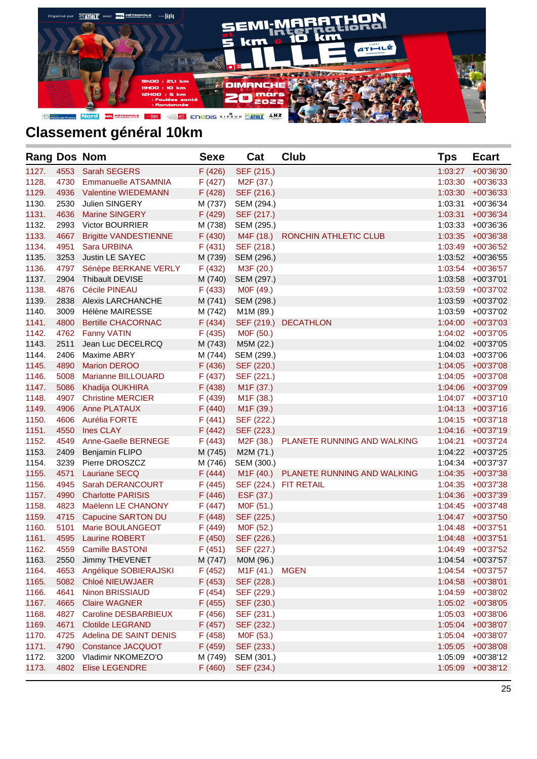

| <b>Rang Dos Nom</b> |      |                              | <b>Sexe</b> | Cat                    | <b>Club</b>                           | <b>Tps</b> | <b>Ecart</b>         |
|---------------------|------|------------------------------|-------------|------------------------|---------------------------------------|------------|----------------------|
| 1127.               | 4553 | <b>Sarah SEGERS</b>          | F (426)     | SEF (215.)             |                                       | 1:03:27    | +00'36'30            |
| 1128.               | 4730 | <b>Emmanuelle ATSAMNIA</b>   | F(427)      | M <sub>2</sub> F (37.) |                                       | 1:03:30    | $+00'36'33$          |
| 1129.               | 4936 | <b>Valentine WIEDEMANN</b>   | F(428)      | SEF (216.)             |                                       | 1:03:30    | $+00'36'33$          |
| 1130.               | 2530 | Julien SINGERY               | M (737)     | SEM (294.)             |                                       | 1:03:31    | +00'36'34            |
| 1131.               | 4636 | <b>Marine SINGERY</b>        | F (429)     | SEF (217.)             |                                       | 1:03:31    | +00'36'34            |
| 1132.               | 2993 | Victor BOURRIER              | M (738)     | SEM (295.)             |                                       | 1:03:33    | +00'36'36            |
| 1133.               | 4667 | <b>Brigitte VANDESTIENNE</b> | F(430)      | M4F (18.)              | RONCHIN ATHLETIC CLUB                 | 1:03:35    | $+00'36'38$          |
| 1134.               | 4951 | Sara URBINA                  | F(431)      | SEF (218.)             |                                       | 1:03:49    | +00'36'52            |
| 1135.               | 3253 | Justin LE SAYEC              | M (739)     | SEM (296.)             |                                       | 1:03:52    | $+00'36'55$          |
| 1136.               | 4797 | Sénèpe BERKANE VERLY         | F(432)      | M3F (20.)              |                                       | 1:03:54    | +00'36'57            |
| 1137.               | 2904 | Thibault DEVISE              | M (740)     | SEM (297.)             |                                       | 1:03:58    | $+00'37'01$          |
| 1138.               | 4876 | <b>Cécile PINEAU</b>         | F(433)      | M0F (49.)              |                                       | 1:03:59    | +00'37'02            |
| 1139.               | 2838 | <b>Alexis LARCHANCHE</b>     | M (741)     | SEM (298.)             |                                       | 1:03:59    | +00'37'02            |
| 1140.               | 3009 | Hélène MAIRESSE              | M (742)     | M1M (89.)              |                                       | 1:03:59    | +00'37'02            |
| 1141.               | 4800 | <b>Bertille CHACORNAC</b>    | F(434)      |                        | SEF (219.) DECATHLON                  | 1:04:00    | +00'37'03            |
| 1142.               | 4762 | <b>Fanny VATIN</b>           | F(435)      | M0F (50.)              |                                       | 1:04:02    | +00'37'05            |
| 1143.               | 2511 | Jean Luc DECELRCQ            | M (743)     | M5M (22.)              |                                       | 1:04:02    | +00'37'05            |
| 1144.               | 2406 | <b>Maxime ABRY</b>           | M (744)     | SEM (299.)             |                                       | 1:04:03    | +00'37'06            |
| 1145.               | 4890 | <b>Marion DEROO</b>          | F(436)      | SEF (220.)             |                                       | 1:04:05    | +00'37'08            |
| 1146.               | 5008 | Marianne BILLOUARD           | F(437)      | SEF (221.)             |                                       | 1:04:05    | +00'37'08            |
| 1147.               | 5086 | Khadija OUKHIRA              | F(438)      | M <sub>1</sub> F (37.) |                                       | 1:04:06    | +00'37'09            |
| 1148.               | 4907 | <b>Christine MERCIER</b>     | F(439)      | M1F (38.)              |                                       |            | 1:04:07 +00'37'10    |
| 1149.               | 4906 | <b>Anne PLATAUX</b>          | F(440)      | M <sub>1</sub> F (39.) |                                       |            | $1:04:13 + 00'37'16$ |
| 1150.               | 4606 | Aurélia FORTE                | F(441)      | SEF (222.)             |                                       | 1:04:15    | +00'37'18            |
| 1151.               | 4550 | <b>Ines CLAY</b>             | F(442)      | SEF (223.)             |                                       | 1:04:16    | $+00'37'19$          |
| 1152.               | 4549 | Anne-Gaelle BERNEGE          | F(443)      | M2F (38.)              | PLANETE RUNNING AND WALKING           | 1:04:21    | +00'37'24            |
| 1153.               | 2409 | <b>Benjamin FLIPO</b>        | M (745)     | M2M (71.)              |                                       | 1:04:22    | +00'37'25            |
| 1154.               | 3239 | Pierre DROSZCZ               | M (746)     | SEM (300.)             |                                       | 1:04:34    | +00'37'37            |
| 1155.               | 4571 | Lauriane SECQ                | F(444)      |                        | M1F (40.) PLANETE RUNNING AND WALKING | 1:04:35    | $+00'37'38$          |
| 1156.               | 4945 | Sarah DERANCOURT             | F(445)      |                        | SEF (224.) FIT RETAIL                 | 1:04:35    | +00'37'38            |
| 1157.               | 4990 | <b>Charlotte PARISIS</b>     | F(446)      | ESF (37.)              |                                       | 1:04:36    | +00'37'39            |
| 1158.               | 4823 | Maëlenn LE CHANONY           | F(447)      | MOF (51.)              |                                       | 1:04:45    | +00'37'48            |
| 1159.               | 4715 | Capucine SARTON DU           | F(448)      | SEF (225.)             |                                       | 1:04:47    | +00'37'50            |
| 1160.               | 5101 | Marie BOULANGEOT             | F(449)      | M0F (52.)              |                                       | 1:04:48    | $+00'37'51$          |
| 1161.               | 4595 | <b>Laurine ROBERT</b>        | F(450)      | SEF (226.)             |                                       | 1:04:48    | $+00'37'51$          |
| 1162.               | 4559 | <b>Camille BASTONI</b>       | F(451)      | SEF (227.)             |                                       | 1:04:49    | +00'37'52            |
| 1163.               | 2550 | Jimmy THEVENET               | M (747)     | M0M (96.)              |                                       | 1:04:54    | +00'37'57            |
| 1164.               | 4653 | Angélique SOBIERAJSKI        | F(452)      | M <sub>1</sub> F (41.) | <b>MGEN</b>                           | 1:04:54    | +00'37'57            |
| 1165.               | 5082 | Chloé NIEUWJAER              | F(453)      | SEF (228.)             |                                       | 1:04:58    | +00'38'01            |
| 1166.               | 4641 | Ninon BRISSIAUD              | F(454)      | SEF (229.)             |                                       | 1:04:59    | +00'38'02            |
| 1167.               | 4665 | <b>Claire WAGNER</b>         | F (455)     | SEF (230.)             |                                       | 1:05:02    | +00'38'05            |
| 1168.               | 4827 | Caroline DESBARBIEUX         | F(456)      | SEF (231.)             |                                       | 1:05:03    | +00'38'06            |
| 1169.               | 4671 | <b>Clotilde LEGRAND</b>      | F(457)      | SEF (232.)             |                                       | 1:05:04    | +00'38'07            |
| 1170.               | 4725 | Adelina DE SAINT DENIS       | F(458)      | M0F (53.)              |                                       | 1:05:04    | +00'38'07            |
| 1171.               | 4790 | <b>Constance JACQUOT</b>     | F (459)     | SEF (233.)             |                                       | 1:05:05    | +00'38'08            |
| 1172.               | 3200 | Vladimir NKOMEZO'O           | M (749)     | SEM (301.)             |                                       | 1:05:09    | +00'38'12            |
| 1173.               | 4802 | <b>Elise LEGENDRE</b>        | F(460)      | SEF (234.)             |                                       | 1:05:09    | $+00'38'12$          |
|                     |      |                              |             |                        |                                       |            |                      |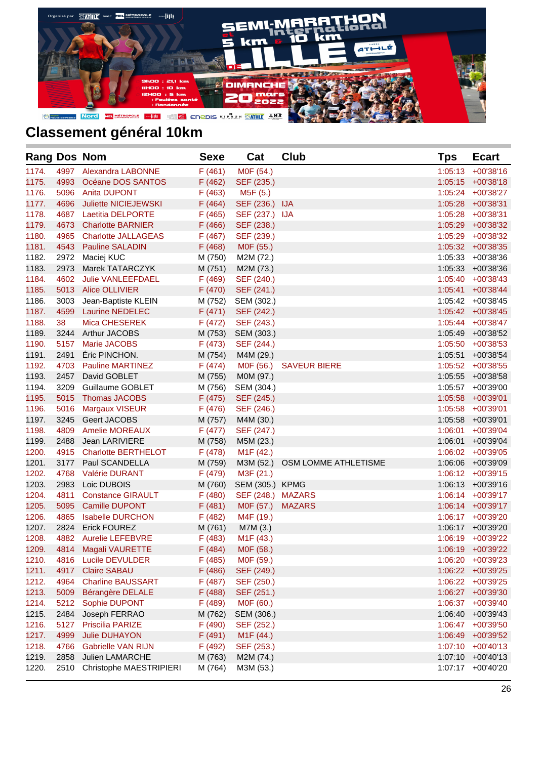

| <b>Rang Dos Nom</b> |      |                            | <b>Sexe</b> | Cat                    | <b>Club</b>          | <b>Tps</b> | <b>Ecart</b>      |
|---------------------|------|----------------------------|-------------|------------------------|----------------------|------------|-------------------|
| 1174.               | 4997 | <b>Alexandra LABONNE</b>   | F(461)      | M0F (54.)              |                      | 1:05:13    | $+00'38'16$       |
| 1175.               | 4993 | Océane DOS SANTOS          | F(462)      | SEF (235.)             |                      | 1:05:15    | $+00'38'18$       |
| 1176.               | 5096 | <b>Anita DUPONT</b>        | F(463)      | M5F (5.)               |                      | 1:05:24    | +00'38'27         |
| 1177.               | 4696 | Juliette NICIEJEWSKI       | F(464)      | SEF (236.) IJA         |                      | 1:05:28    | $+00'38'31$       |
| 1178.               | 4687 | <b>Laetitia DELPORTE</b>   | F(465)      | SEF (237.) IJA         |                      | 1:05:28    | +00'38'31         |
| 1179.               | 4673 | <b>Charlotte BARNIER</b>   | F(466)      | SEF (238.)             |                      | 1:05:29    | +00'38'32         |
| 1180.               | 4965 | <b>Charlotte JALLAGEAS</b> | F(467)      | SEF (239.)             |                      | 1:05:29    | +00'38'32         |
| 1181.               | 4543 | <b>Pauline SALADIN</b>     | F(468)      | MOF (55.)              |                      | 1:05:32    | +00'38'35         |
| 1182.               | 2972 | Maciej KUC                 | M (750)     | M2M (72.)              |                      | 1:05:33    | +00'38'36         |
| 1183.               | 2973 | Marek TATARCZYK            | M (751)     | M2M (73.)              |                      | 1:05:33    | +00'38'36         |
| 1184.               | 4602 | Julie VANLEEFDAEL          | F(469)      | SEF (240.)             |                      | 1:05:40    | +00'38'43         |
| 1185.               | 5013 | <b>Alice OLLIVIER</b>      | F(470)      | SEF (241.)             |                      | 1:05:41    | $+00'38'44$       |
| 1186.               | 3003 | Jean-Baptiste KLEIN        | M (752)     | SEM (302.)             |                      |            | 1:05:42 +00'38'45 |
| 1187.               | 4599 | <b>Laurine NEDELEC</b>     | F(471)      | SEF (242.)             |                      |            | 1:05:42 +00'38'45 |
| 1188.               | 38   | Mica CHESEREK              | F(472)      | SEF (243.)             |                      |            | 1:05:44 +00'38'47 |
| 1189.               | 3244 | Arthur JACOBS              | M (753)     | SEM (303.)             |                      | 1:05:49    | +00'38'52         |
| 1190.               | 5157 | Marie JACOBS               | F(473)      | SEF (244.)             |                      | 1:05:50    | +00'38'53         |
| 1191.               | 2491 | Éric PINCHON.              | M (754)     | M4M (29.)              |                      | 1:05:51    | +00'38'54         |
| 1192.               | 4703 | <b>Pauline MARTINEZ</b>    | F(474)      | M0F (56.)              | <b>SAVEUR BIERE</b>  | 1:05:52    | +00'38'55         |
| 1193.               | 2457 | David GOBLET               | M (755)     | M0M (97.)              |                      | 1:05:55    | +00'38'58         |
| 1194.               | 3209 | Guillaume GOBLET           | M (756)     | SEM (304.)             |                      | 1:05:57    | +00'39'00         |
| 1195.               | 5015 | <b>Thomas JACOBS</b>       | F(475)      | SEF (245.)             |                      | 1:05:58    | $+00'39'01$       |
| 1196.               | 5016 | Margaux VISEUR             | F(476)      | SEF (246.)             |                      |            | 1:05:58 +00'39'01 |
| 1197.               | 3245 | Geert JACOBS               | M (757)     | M4M (30.)              |                      | 1:05:58    | +00'39'01         |
| 1198.               | 4809 | <b>Amelie MOREAUX</b>      | F(477)      | SEF (247.)             |                      | 1:06:01    | +00'39'04         |
| 1199.               | 2488 | Jean LARIVIERE             | M (758)     | M5M (23.)              |                      | 1:06:01    | +00'39'04         |
| 1200.               | 4915 | <b>Charlotte BERTHELOT</b> | F(478)      | M <sub>1</sub> F (42.) |                      | 1:06:02    | +00'39'05         |
| 1201.               | 3177 | Paul SCANDELLA             | M (759)     | M3M (52.)              | OSM LOMME ATHLETISME | 1:06:06    | +00'39'09         |
| 1202.               | 4768 | <b>Valérie DURANT</b>      | F (479)     | M3F (21.)              |                      |            | 1:06:12 +00'39'15 |
| 1203.               | 2983 | Loic DUBOIS                | M (760)     | SEM (305.) KPMG        |                      | 1:06:13    | $+00'39'16$       |
| 1204.               | 4811 | <b>Constance GIRAULT</b>   | F (480)     | SEF (248.) MAZARS      |                      |            | 1:06:14 +00'39'17 |
| 1205.               | 5095 | Camille DUPONT             | F(481)      | MOF (57.)              | <b>MAZARS</b>        |            | 1:06:14 +00'39'17 |
| 1206.               | 4865 | <b>Isabelle DURCHON</b>    | F(482)      | M4F (19.)              |                      | 1:06:17    | +00'39'20         |
| 1207.               | 2824 | <b>Erick FOUREZ</b>        | M (761)     | M7M (3.)               |                      | 1:06:17    | +00'39'20         |
| 1208.               | 4882 | <b>Aurelie LEFEBVRE</b>    | F(483)      | M <sub>1</sub> F (43.) |                      | 1:06:19    | +00'39'22         |
| 1209.               | 4814 | Magali VAURETTE            | F(484)      | M0F (58.)              |                      |            | 1:06:19 +00'39'22 |
| 1210.               | 4816 | Lucile DEVULDER            | F (485)     | M0F (59.)              |                      | 1:06:20    | +00'39'23         |
| 1211.               | 4917 | <b>Claire SABAU</b>        | F(486)      | SEF (249.)             |                      | 1:06:22    | +00'39'25         |
| 1212.               | 4964 | <b>Charline BAUSSART</b>   | F (487)     | SEF (250.)             |                      | 1:06:22    | +00'39'25         |
| 1213.               | 5009 | Bérangère DELALE           | F(488)      | SEF (251.)             |                      | 1:06:27    | +00'39'30         |
| 1214.               | 5212 | Sophie DUPONT              | F (489)     | MOF (60.)              |                      | 1:06:37    | +00'39'40         |
| 1215.               | 2484 | Joseph FERRAO              | M (762)     | SEM (306.)             |                      | 1:06:40    | $+00'39'43$       |
| 1216.               | 5127 | Priscilia PARIZE           | F (490)     | SEF (252.)             |                      | 1:06:47    | +00'39'50         |
| 1217.               | 4999 | <b>Julie DUHAYON</b>       | F(491)      | M <sub>1</sub> F (44.) |                      | 1:06:49    | +00'39'52         |
| 1218.               | 4766 | <b>Gabrielle VAN RIJN</b>  | F (492)     | SEF (253.)             |                      | 1:07:10    | $+00'40'13$       |
| 1219.               | 2858 | Julien LAMARCHE            | M (763)     | M2M (74.)              |                      | 1:07:10    | $+00'40'13$       |
| 1220.               | 2510 | Christophe MAESTRIPIERI    | M (764)     | M3M (53.)              |                      | 1:07:17    | +00'40'20         |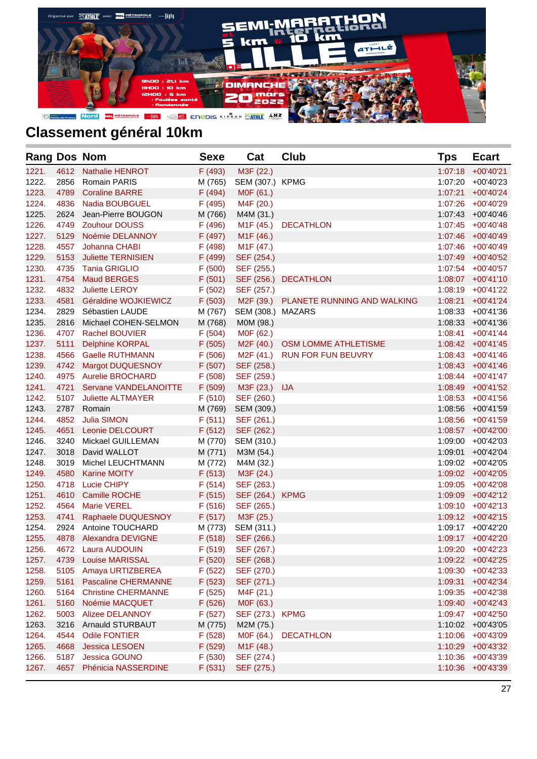

| <b>Rang Dos Nom</b> |      |                            | <b>Sexe</b> | Cat                    | <b>Club</b>                           | Tps     | <b>Ecart</b>      |
|---------------------|------|----------------------------|-------------|------------------------|---------------------------------------|---------|-------------------|
| 1221.               | 4612 | <b>Nathalie HENROT</b>     | F (493)     | M3F (22.)              |                                       | 1:07:18 | $+00'40'21$       |
| 1222.               | 2856 | <b>Romain PARIS</b>        | M (765)     | SEM (307.) KPMG        |                                       | 1:07:20 | +00'40'23         |
| 1223.               | 4789 | <b>Coraline BARRE</b>      | F(494)      | M0F (61.)              |                                       | 1:07:21 | $+00'40'24$       |
| 1224.               | 4836 | <b>Nadia BOUBGUEL</b>      | F (495)     | M4F (20.)              |                                       | 1:07:26 | +00'40'29         |
| 1225.               | 2624 | Jean-Pierre BOUGON         | M (766)     | M4M (31.)              |                                       | 1:07:43 | +00'40'46         |
| 1226.               | 4749 | <b>Zouhour DOUSS</b>       | F(496)      | M1F (45.)              | <b>DECATHLON</b>                      |         | 1:07:45 +00'40'48 |
| 1227.               | 5129 | Noémie DELANNOY            | F (497)     | M <sub>1</sub> F (46.) |                                       | 1:07:46 | +00'40'49         |
| 1228.               | 4557 | Johanna CHABI              | F (498)     | M <sub>1</sub> F (47.) |                                       |         | 1:07:46 +00'40'49 |
| 1229.               | 5153 | <b>Juliette TERNISIEN</b>  | F (499)     | SEF (254.)             |                                       |         | 1:07:49 +00'40'52 |
| 1230.               | 4735 | <b>Tania GRIGLIO</b>       | F(500)      | SEF (255.)             |                                       |         | 1:07:54 +00'40'57 |
| 1231.               | 4754 | <b>Maud BERGES</b>         | F(501)      | SEF (256.)             | <b>DECATHLON</b>                      |         | 1:08:07 +00'41'10 |
| 1232.               | 4832 | Juliette LEROY             | F(502)      | SEF (257.)             |                                       |         | 1:08:19 +00'41'22 |
| 1233.               | 4581 | Géraldine WOJKIEWICZ       | F(503)      |                        | M2F (39.) PLANETE RUNNING AND WALKING | 1:08:21 | $+00'41'24$       |
| 1234.               | 2829 | Sébastien LAUDE            | M (767)     | SEM (308.) MAZARS      |                                       |         | 1:08:33 +00'41'36 |
| 1235.               | 2816 | Michael COHEN-SELMON       | M (768)     | M0M (98.)              |                                       | 1:08:33 | $+00'41'36$       |
| 1236.               | 4707 | Rachel BOUVIER             | F(504)      | M0F (62.)              |                                       | 1:08:41 | $+00'41'44$       |
| 1237.               | 5111 | <b>Delphine KORPAL</b>     | F(505)      |                        | M2F (40.) OSM LOMME ATHLETISME        |         | 1:08:42 +00'41'45 |
| 1238.               | 4566 | <b>Gaelle RUTHMANN</b>     | F(506)      | M2F (41.)              | <b>RUN FOR FUN BEUVRY</b>             |         | 1:08:43 +00'41'46 |
| 1239.               | 4742 | <b>Margot DUQUESNOY</b>    | F(507)      | SEF (258.)             |                                       |         | 1:08:43 +00'41'46 |
| 1240.               | 4975 | <b>Aurelie BROCHARD</b>    | F(508)      | SEF (259.)             |                                       |         | 1:08:44 +00'41'47 |
| 1241.               | 4721 | Servane VANDELANOITTE      | F(509)      | M3F (23.) IJA          |                                       |         | 1:08:49 +00'41'52 |
| 1242.               | 5107 | <b>Juliette ALTMAYER</b>   | F(510)      | SEF (260.)             |                                       |         | 1:08:53 +00'41'56 |
| 1243.               | 2787 | Romain                     | M (769)     | SEM (309.)             |                                       | 1:08:56 | +00'41'59         |
| 1244.               | 4852 | <b>Julia SIMON</b>         | F(511)      | SEF (261.)             |                                       |         | 1:08:56 +00'41'59 |
| 1245.               | 4651 | Leonie DELCOURT            | F(512)      | SEF (262.)             |                                       |         | 1:08:57 +00'42'00 |
| 1246.               | 3240 | Mickael GUILLEMAN          | M (770)     | SEM (310.)             |                                       |         | 1:09:00 +00'42'03 |
| 1247.               | 3018 | David WALLOT               | M (771)     | M3M (54.)              |                                       | 1:09:01 | $+00'42'04$       |
| 1248.               | 3019 | Michel LEUCHTMANN          | M (772)     | M4M (32.)              |                                       |         | 1:09:02 +00'42'05 |
| 1249.               | 4580 | <b>Karine MOITY</b>        | F(513)      | M3F (24.)              |                                       |         | 1:09:02 +00'42'05 |
| 1250.               | 4718 | <b>Lucie CHIPY</b>         | F(514)      | SEF (263.)             |                                       |         | 1:09:05 +00'42'08 |
| 1251.               | 4610 | Camille ROCHE              | F(515)      | SEF (264.) KPMG        |                                       |         | 1:09:09 +00'42'12 |
| 1252.               | 4564 | <b>Marie VEREL</b>         | F(516)      | SEF (265.)             |                                       |         | 1:09:10 +00'42'13 |
| 1253.               | 4741 | Raphaele DUQUESNOY         | F(517)      | M3F (25.)              |                                       |         | 1:09:12 +00'42'15 |
| 1254.               | 2924 | Antoine TOUCHARD           | M (773)     | SEM (311.)             |                                       |         | 1:09:17 +00'42'20 |
| 1255.               | 4878 | <b>Alexandra DEVIGNE</b>   | F(518)      | SEF (266.)             |                                       |         | 1:09:17 +00'42'20 |
| 1256.               | 4672 | Laura AUDOUIN              | F(519)      | SEF (267.)             |                                       |         | 1:09:20 +00'42'23 |
| 1257.               | 4739 | <b>Louise MARISSAL</b>     | F (520)     | SEF (268.)             |                                       | 1:09:22 | $+00'42'25$       |
| 1258.               | 5105 | Amaya URTIZBEREA           | F(522)      | SEF (270.)             |                                       | 1:09:30 | $+00'42'33$       |
| 1259.               | 5161 | <b>Pascaline CHERMANNE</b> | F(523)      | SEF (271.)             |                                       | 1:09:31 | $+00'42'34$       |
| 1260.               | 5164 | <b>Christine CHERMANNE</b> | F(525)      | M4F (21.)              |                                       | 1:09:35 | $+00'42'38$       |
| 1261.               | 5160 | Noémie MACQUET             | F(526)      | M0F (63.)              |                                       | 1:09:40 | $+00'42'43$       |
| 1262.               | 5003 | Alizee DELANNOY            | F(527)      | SEF (273.) KPMG        |                                       | 1:09:47 | $+00'42'50$       |
| 1263.               | 3216 | Arnauld STURBAUT           | M (775)     | M2M (75.)              |                                       | 1:10:02 | $+00'43'05$       |
| 1264.               | 4544 | <b>Odile FONTIER</b>       | F(528)      | M0F (64.)              | <b>DECATHLON</b>                      | 1:10:06 | +00'43'09         |
| 1265.               | 4668 | <b>Jessica LESOEN</b>      | F (529)     | M1F (48.)              |                                       | 1:10:29 | $+00'43'32$       |
| 1266.               | 5187 | <b>Jessica GOUNO</b>       | F(530)      | SEF (274.)             |                                       | 1:10:36 | +00'43'39         |
| 1267.               | 4657 | Phénicia NASSERDINE        | F(531)      | SEF (275.)             |                                       | 1:10:36 | +00'43'39         |
|                     |      |                            |             |                        |                                       |         |                   |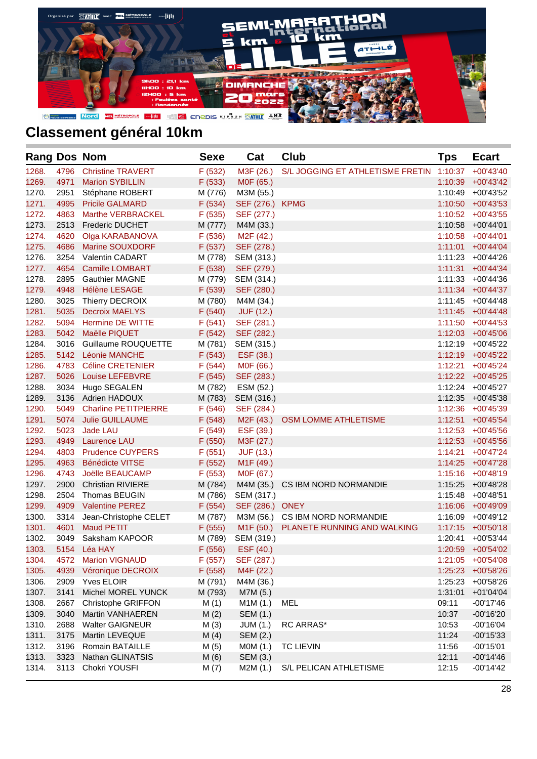

| <b>Rang Dos Nom</b> |      |                             | <b>Sexe</b> | Cat                    | Club                             | <b>Tps</b> | <b>Ecart</b>      |
|---------------------|------|-----------------------------|-------------|------------------------|----------------------------------|------------|-------------------|
| 1268.               | 4796 | <b>Christine TRAVERT</b>    | F(532)      | M3F (26.)              | S/L JOGGING ET ATHLETISME FRETIN | 1:10:37    | $+00'43'40$       |
| 1269.               | 4971 | <b>Marion SYBILLIN</b>      | F(533)      | M0F (65.)              |                                  | 1:10:39    | $+00'43'42$       |
| 1270.               | 2951 | Stéphane ROBERT             | M (776)     | M3M (55.)              |                                  | 1:10:49    | +00'43'52         |
| 1271.               | 4995 | <b>Pricile GALMARD</b>      | F(534)      | SEF (276.) KPMG        |                                  | 1:10:50    | $+00'43'53$       |
| 1272.               | 4863 | <b>Marthe VERBRACKEL</b>    | F(535)      | SEF (277.)             |                                  |            | 1:10:52 +00'43'55 |
| 1273.               | 2513 | <b>Frederic DUCHET</b>      | M (777)     | M4M (33.)              |                                  | 1:10:58    | $+00'44'01$       |
| 1274.               | 4620 | Olga KARABANOVA             | F(536)      | M <sub>2</sub> F (42.) |                                  |            | 1:10:58 +00'44'01 |
| 1275.               | 4686 | Marine SOUXDORF             | F(537)      | SEF (278.)             |                                  | 1:11:01    | $+00'44'04$       |
| 1276.               | 3254 | <b>Valentin CADART</b>      | M (778)     | SEM (313.)             |                                  | 1:11:23    | +00'44'26         |
| 1277.               | 4654 | <b>Camille LOMBART</b>      | F(538)      | SEF (279.)             |                                  | 1:11:31    | $+00'44'34$       |
| 1278.               | 2895 | <b>Gauthier MAGNE</b>       | M (779)     | SEM (314.)             |                                  |            | 1:11:33 +00'44'36 |
| 1279.               | 4948 | <b>Hélène LESAGE</b>        | F(539)      | SEF (280.)             |                                  | 1:11:34    | +00'44'37         |
| 1280.               | 3025 | Thierry DECROIX             | M (780)     | M4M (34.)              |                                  |            | 1:11:45 +00'44'48 |
| 1281.               | 5035 | <b>Decroix MAELYS</b>       | F(540)      | <b>JUF (12.)</b>       |                                  |            | 1:11:45 +00'44'48 |
| 1282.               | 5094 | Hermine DE WITTE            | F(541)      | SEF (281.)             |                                  |            | 1:11:50 +00'44'53 |
| 1283.               | 5042 | Maëlle PIQUET               | F(542)      | SEF (282.)             |                                  |            | 1:12:03 +00'45'06 |
| 1284.               | 3016 | Guillaume ROUQUETTE         | M (781)     | SEM (315.)             |                                  |            | 1:12:19 +00'45'22 |
| 1285.               | 5142 | <b>Léonie MANCHE</b>        | F(543)      | ESF (38.)              |                                  |            | 1:12:19 +00'45'22 |
| 1286.               | 4783 | <b>Céline CRETENIER</b>     | F(544)      | M0F (66.)              |                                  | 1:12:21    | $+00'45'24$       |
| 1287.               | 5026 | <b>Louise LEFEBVRE</b>      | F(545)      | SEF (283.)             |                                  |            | 1:12:22 +00'45'25 |
| 1288.               | 3034 | Hugo SEGALEN                | M (782)     | ESM (52.)              |                                  |            | 1:12:24 +00'45'27 |
| 1289.               | 3136 | <b>Adrien HADOUX</b>        | M (783)     | SEM (316.)             |                                  | 1:12:35    | +00'45'38         |
| 1290.               | 5049 | <b>Charline PETITPIERRE</b> | F(546)      | SEF (284.)             |                                  |            | 1:12:36 +00'45'39 |
| 1291.               | 5074 | <b>Julie GUILLAUME</b>      | F(548)      | M2F (43.)              | OSM LOMME ATHLETISME             | 1:12:51    | $+00'45'54$       |
| 1292.               | 5023 | Jade LAU                    | F(549)      | ESF (39.)              |                                  | 1:12:53    | +00'45'56         |
| 1293.               | 4949 | Laurence LAU                | F(550)      | M3F (27.)              |                                  | 1:12:53    | +00'45'56         |
| 1294.               | 4803 | <b>Prudence CUYPERS</b>     | F(551)      | <b>JUF (13.)</b>       |                                  | 1:14:21    | +00'47'24         |
| 1295.               | 4963 | <b>Bénédicte VITSE</b>      | F(552)      | M <sub>1</sub> F (49.) |                                  | 1:14:25    | +00'47'28         |
| 1296.               | 4743 | Joëlle BEAUCAMP             | F(553)      | M0F (67.)              |                                  |            | 1:15:16 +00'48'19 |
| 1297.               | 2900 | <b>Christian RIVIERE</b>    | M (784)     | M4M (35.)              | CS IBM NORD NORMANDIE            | 1:15:25    | +00'48'28         |
| 1298.               | 2504 | Thomas BEUGIN               | M (786)     | SEM (317.)             |                                  | 1:15:48    | +00'48'51         |
| 1299.               | 4909 | <b>Valentine PEREZ</b>      | F(554)      | SEF (286.) ONEY        |                                  | 1:16:06    | +00'49'09         |
| 1300.               | 3314 | Jean-Christophe CELET       | M (787)     |                        | M3M (56.) CS IBM NORD NORMANDIE  | 1:16:09    | +00'49'12         |
| 1301.               | 4601 | <b>Maud PETIT</b>           | F(555)      | M <sub>1</sub> F (50.) | PLANETE RUNNING AND WALKING      | 1:17:15    | $+00'50'18$       |
| 1302.               | 3049 | Saksham KAPOOR              | M (789)     | SEM (319.)             |                                  | 1:20:41    | $+00'53'44$       |
| 1303.               | 5154 | Léa HAY                     | F(556)      | ESF (40.)              |                                  | 1:20:59    | +00'54'02         |
| 1304.               | 4572 | <b>Marion VIGNAUD</b>       | F(557)      | SEF (287.)             |                                  | 1:21:05    | +00'54'08         |
| 1305.               | 4939 | Véronique DECROIX           | F(558)      | M4F (22.)              |                                  | 1:25:23    | +00'58'26         |
| 1306.               | 2909 | Yves ELOIR                  | M (791)     | M4M (36.)              |                                  | 1:25:23    | +00'58'26         |
| 1307.               | 3141 | Michel MOREL YUNCK          | M (793)     | M7M (5.)               |                                  | 1:31:01    | $+01'04'04$       |
| 1308.               | 2667 | Christophe GRIFFON          | M(1)        | M1M(1.)                | MEL                              | 09:11      | $-00'17'46$       |
| 1309.               | 3040 | Martin VANHAEREN            | M(2)        | SEM (1.)               |                                  | 10:37      | $-00'16'20$       |
| 1310.               | 2688 | <b>Walter GAIGNEUR</b>      | M(3)        | <b>JUM (1.)</b>        | RC ARRAS*                        | 10:53      | $-00'16'04$       |
| 1311.               | 3175 | Martin LEVEQUE              | M(4)        | SEM (2.)               |                                  | 11:24      | $-00'15'33$       |
| 1312.               | 3196 | Romain BATAILLE             | M(5)        | MOM (1.)               | <b>TC LIEVIN</b>                 | 11:56      | $-00'15'01$       |
| 1313.               | 3323 | Nathan GLINATSIS            | M(6)        | SEM (3.)               |                                  | 12:11      | $-00'14'46$       |
| 1314.               | 3113 | Chokri YOUSFI               | M(7)        | M2M (1.)               | S/L PELICAN ATHLETISME           | 12:15      | $-00'14'42$       |